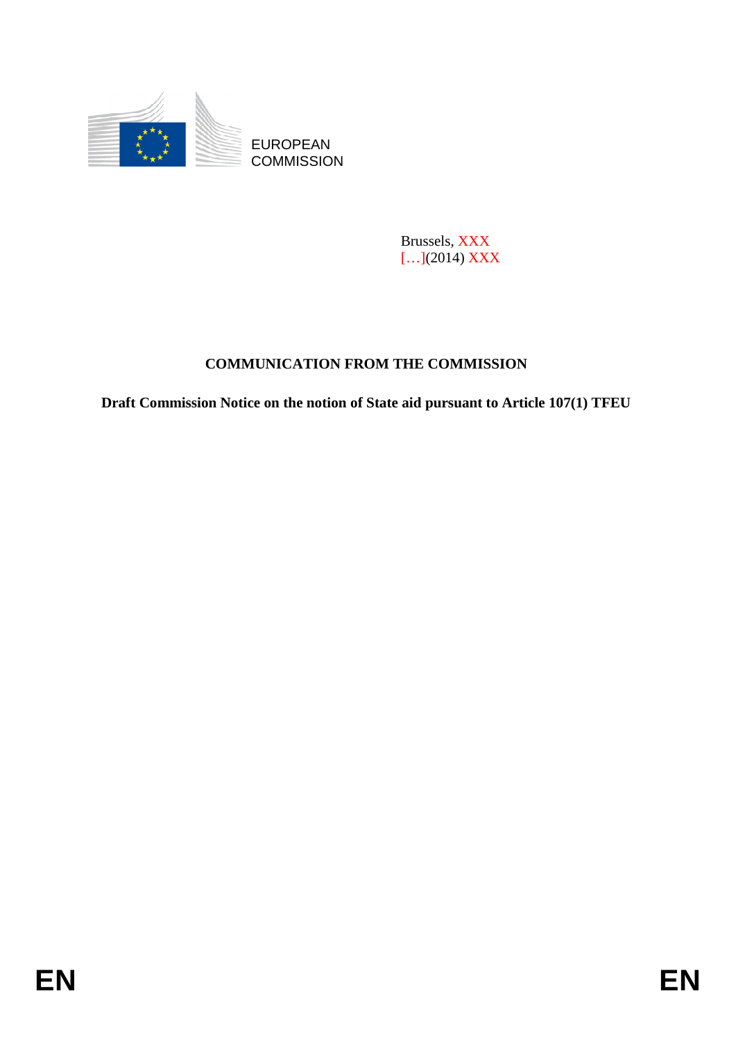

Brussels, XXX […](2014) XXX

# **COMMUNICATION FROM THE COMMISSION**

**Draft Commission Notice on the notion of State aid pursuant to Article 107(1) TFEU**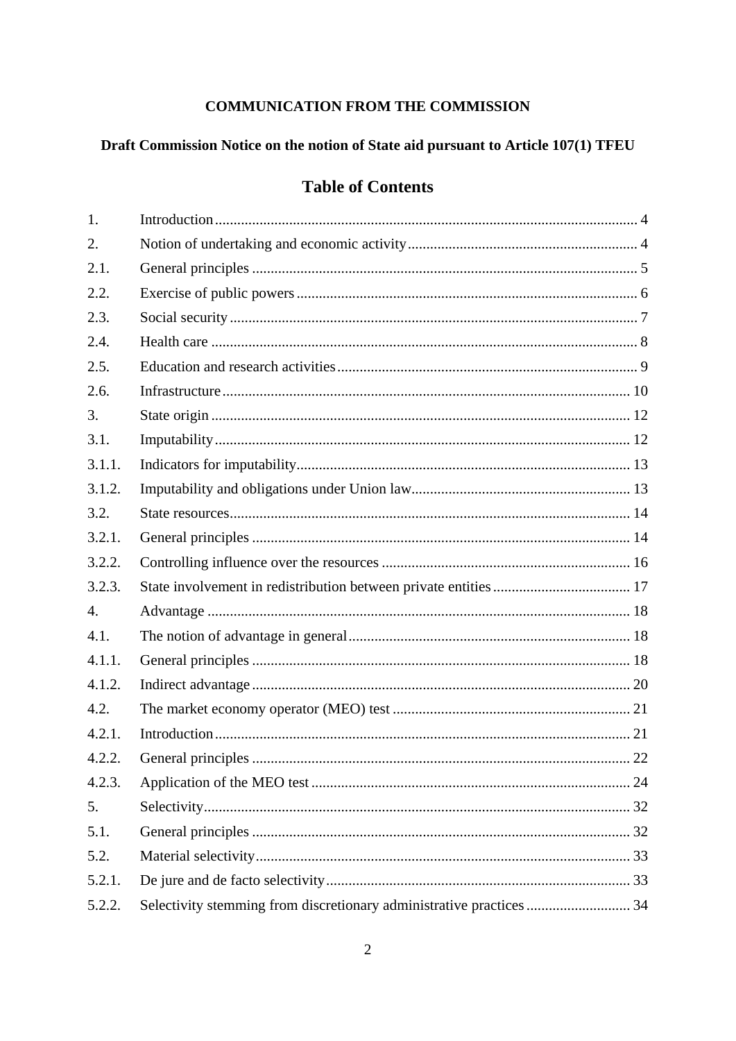# **COMMUNICATION FROM THE COMMISSION**

# Draft Commission Notice on the notion of State aid pursuant to Article 107(1) TFEU

# **Table of Contents**

| 1.     |                                                                      |  |
|--------|----------------------------------------------------------------------|--|
| 2.     |                                                                      |  |
| 2.1.   |                                                                      |  |
| 2.2.   |                                                                      |  |
| 2.3.   |                                                                      |  |
| 2.4.   |                                                                      |  |
| 2.5.   |                                                                      |  |
| 2.6.   |                                                                      |  |
| 3.     |                                                                      |  |
| 3.1.   |                                                                      |  |
| 3.1.1. |                                                                      |  |
| 3.1.2. |                                                                      |  |
| 3.2.   |                                                                      |  |
| 3.2.1. |                                                                      |  |
| 3.2.2. |                                                                      |  |
| 3.2.3. |                                                                      |  |
| 4.     |                                                                      |  |
| 4.1.   |                                                                      |  |
| 4.1.1. |                                                                      |  |
| 4.1.2. |                                                                      |  |
| 4.2.   |                                                                      |  |
| 4.2.1. |                                                                      |  |
| 4.2.2. |                                                                      |  |
| 4.2.3. |                                                                      |  |
| 5.     |                                                                      |  |
| 5.1.   |                                                                      |  |
| 5.2.   |                                                                      |  |
| 5.2.1. |                                                                      |  |
| 5.2.2. | Selectivity stemming from discretionary administrative practices  34 |  |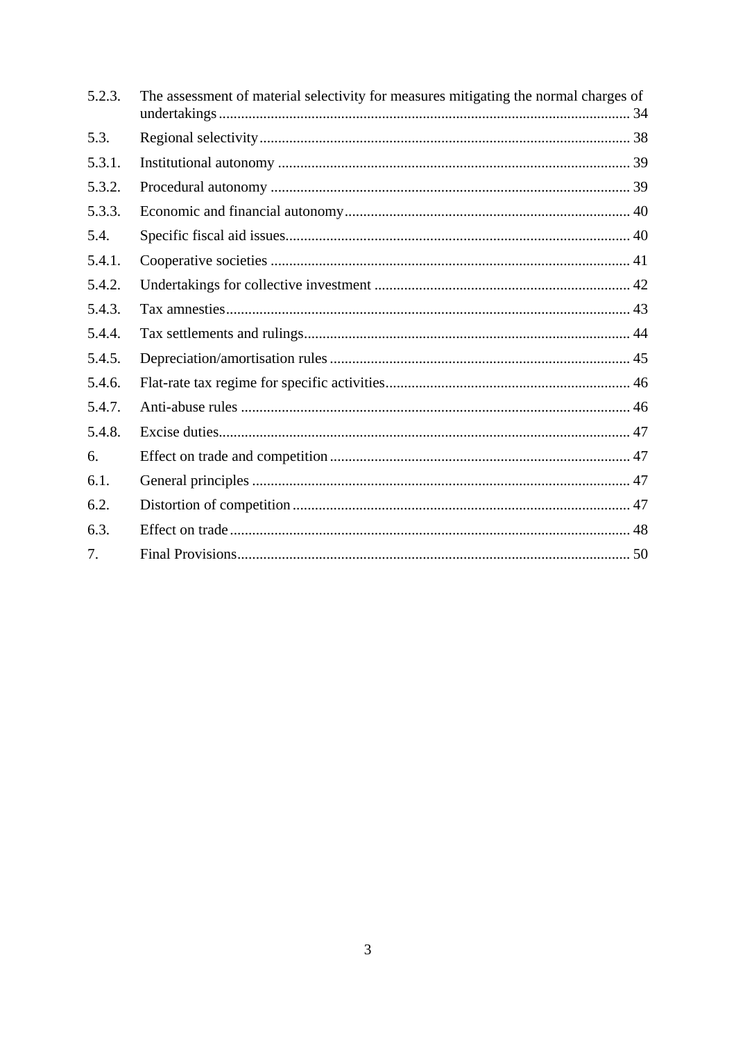| 5.2.3. | The assessment of material selectivity for measures mitigating the normal charges of |
|--------|--------------------------------------------------------------------------------------|
| 5.3.   |                                                                                      |
| 5.3.1. |                                                                                      |
| 5.3.2. |                                                                                      |
| 5.3.3. |                                                                                      |
| 5.4.   |                                                                                      |
| 5.4.1. |                                                                                      |
| 5.4.2. |                                                                                      |
| 5.4.3. |                                                                                      |
| 5.4.4. |                                                                                      |
| 5.4.5. |                                                                                      |
| 5.4.6. |                                                                                      |
| 5.4.7. |                                                                                      |
| 5.4.8. |                                                                                      |
| 6.     |                                                                                      |
| 6.1.   |                                                                                      |
| 6.2.   |                                                                                      |
| 6.3.   |                                                                                      |
| 7.     |                                                                                      |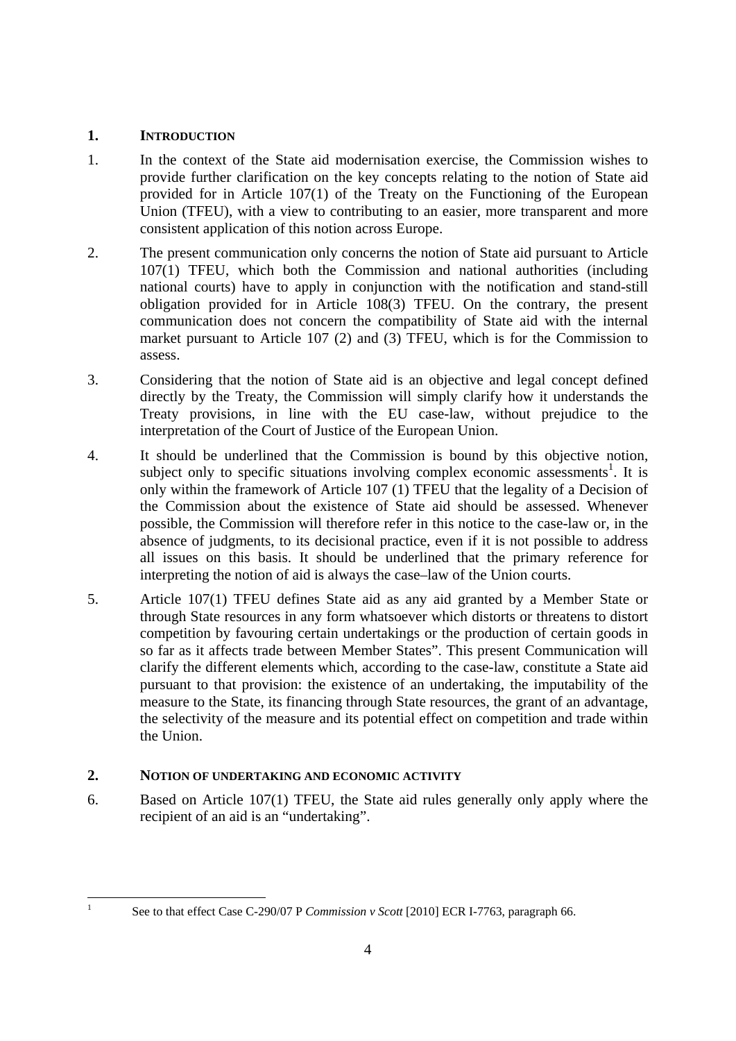#### <span id="page-3-0"></span>**1. INTRODUCTION**

- 1. In the context of the State aid modernisation exercise, the Commission wishes to provide further clarification on the key concepts relating to the notion of State aid provided for in Article 107(1) of the Treaty on the Functioning of the European Union (TFEU), with a view to contributing to an easier, more transparent and more consistent application of this notion across Europe.
- 2. The present communication only concerns the notion of State aid pursuant to Article 107(1) TFEU, which both the Commission and national authorities (including national courts) have to apply in conjunction with the notification and stand-still obligation provided for in Article 108(3) TFEU. On the contrary, the present communication does not concern the compatibility of State aid with the internal market pursuant to Article 107 (2) and (3) TFEU, which is for the Commission to assess.
- 3. Considering that the notion of State aid is an objective and legal concept defined directly by the Treaty, the Commission will simply clarify how it understands the Treaty provisions, in line with the EU case-law, without prejudice to the interpretation of the Court of Justice of the European Union.
- 4. It should be underlined that the Commission is bound by this objective notion, subject only to specific situations involving complex economic assessments<sup>1</sup>. It is only within the framework of Article 107 (1) TFEU that the legality of a Decision of the Commission about the existence of State aid should be assessed. Whenever possible, the Commission will therefore refer in this notice to the case-law or, in the absence of judgments, to its decisional practice, even if it is not possible to address all issues on this basis. It should be underlined that the primary reference for interpreting the notion of aid is always the case–law of the Union courts.
- 5. Article 107(1) TFEU defines State aid as any aid granted by a Member State or through State resources in any form whatsoever which distorts or threatens to distort competition by favouring certain undertakings or the production of certain goods in so far as it affects trade between Member States". This present Communication will clarify the different elements which, according to the case-law, constitute a State aid pursuant to that provision: the existence of an undertaking, the imputability of the measure to the State, its financing through State resources, the grant of an advantage, the selectivity of the measure and its potential effect on competition and trade within the Union.

# <span id="page-3-1"></span>**2. NOTION OF UNDERTAKING AND ECONOMIC ACTIVITY**

6. Based on Article 107(1) TFEU, the State aid rules generally only apply where the recipient of an aid is an "undertaking".

 $\frac{1}{1}$ 

See to that effect Case C-290/07 P *Commission v Scott* [2010] ECR I-7763, paragraph 66.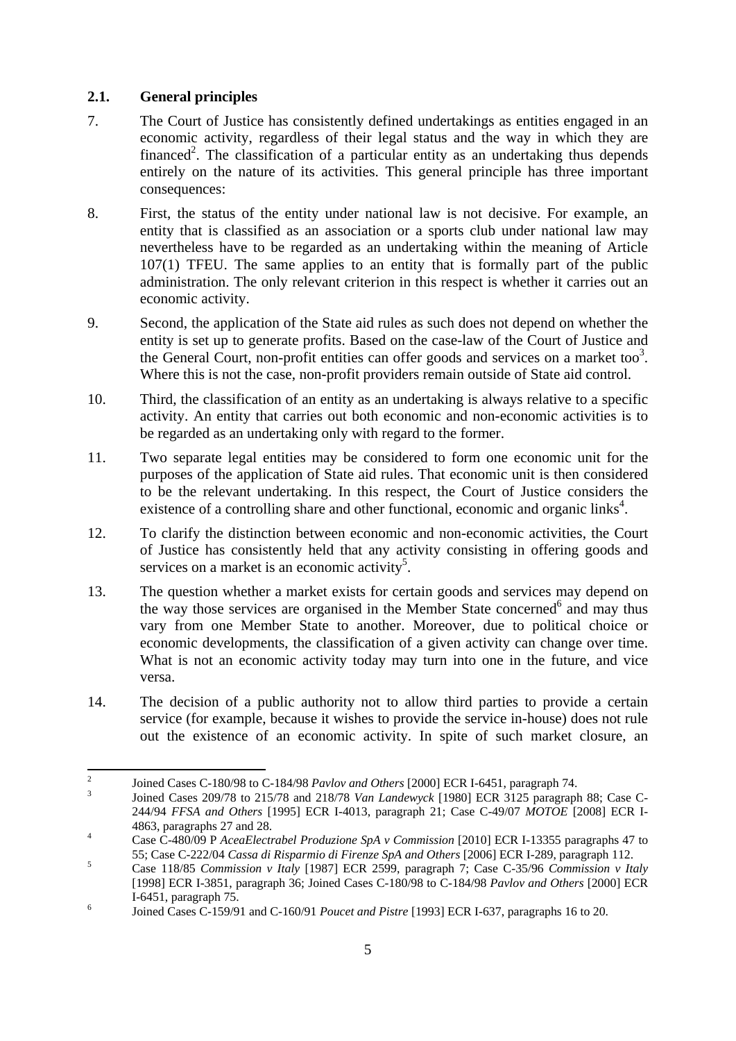## <span id="page-4-0"></span>**2.1. General principles**

- 7. The Court of Justice has consistently defined undertakings as entities engaged in an economic activity, regardless of their legal status and the way in which they are financed<sup>2</sup>. The classification of a particular entity as an undertaking thus depends entirely on the nature of its activities. This general principle has three important consequences:
- 8. First, the status of the entity under national law is not decisive. For example, an entity that is classified as an association or a sports club under national law may nevertheless have to be regarded as an undertaking within the meaning of Article 107(1) TFEU. The same applies to an entity that is formally part of the public administration. The only relevant criterion in this respect is whether it carries out an economic activity.
- 9. Second, the application of the State aid rules as such does not depend on whether the entity is set up to generate profits. Based on the case-law of the Court of Justice and the General Court, non-profit entities can offer goods and services on a market too<sup>3</sup>. Where this is not the case, non-profit providers remain outside of State aid control.
- 10. Third, the classification of an entity as an undertaking is always relative to a specific activity. An entity that carries out both economic and non-economic activities is to be regarded as an undertaking only with regard to the former.
- 11. Two separate legal entities may be considered to form one economic unit for the purposes of the application of State aid rules. That economic unit is then considered to be the relevant undertaking. In this respect, the Court of Justice considers the existence of a controlling share and other functional, economic and organic links<sup>4</sup>.
- 12. To clarify the distinction between economic and non-economic activities, the Court of Justice has consistently held that any activity consisting in offering goods and services on a market is an economic activity<sup>5</sup>.
- 13. The question whether a market exists for certain goods and services may depend on the way those services are organised in the Member State concerned<sup>6</sup> and may thus vary from one Member State to another. Moreover, due to political choice or economic developments, the classification of a given activity can change over time. What is not an economic activity today may turn into one in the future, and vice versa.
- 14. The decision of a public authority not to allow third parties to provide a certain service (for example, because it wishes to provide the service in-house) does not rule out the existence of an economic activity. In spite of such market closure, an

 $\frac{1}{2}$ <sup>2</sup> Joined Cases C-180/98 to C-184/98 *Pavlov and Others* [2000] ECR I-6451, paragraph 74.

Joined Cases 209/78 to 215/78 and 218/78 *Van Landewyck* [1980] ECR 3125 paragraph 88; Case C-244/94 *FFSA and Others* [1995] ECR I-4013, paragraph 21; Case C-49/07 *MOTOE* [2008] ECR I-4863, paragraphs 27 and 28.

Case C-480/09 P *AceaElectrabel Produzione SpA v Commission* [2010] ECR I-13355 paragraphs 47 to 55; Case C-222/04 *Cassa di Risparmio di Firenze SpA and Others* [2006] ECR I-289, paragraph 112. 5

Case 118/85 *Commission v Italy* [1987] ECR 2599, paragraph 7; Case C-35/96 *Commission v Italy* [1998] ECR I-3851, paragraph 36; Joined Cases C-180/98 to C-184/98 *Pavlov and Others* [2000] ECR  $I-6451$ , paragraph 75.

Joined Cases C-159/91 and C-160/91 *Poucet and Pistre* [1993] ECR I-637, paragraphs 16 to 20.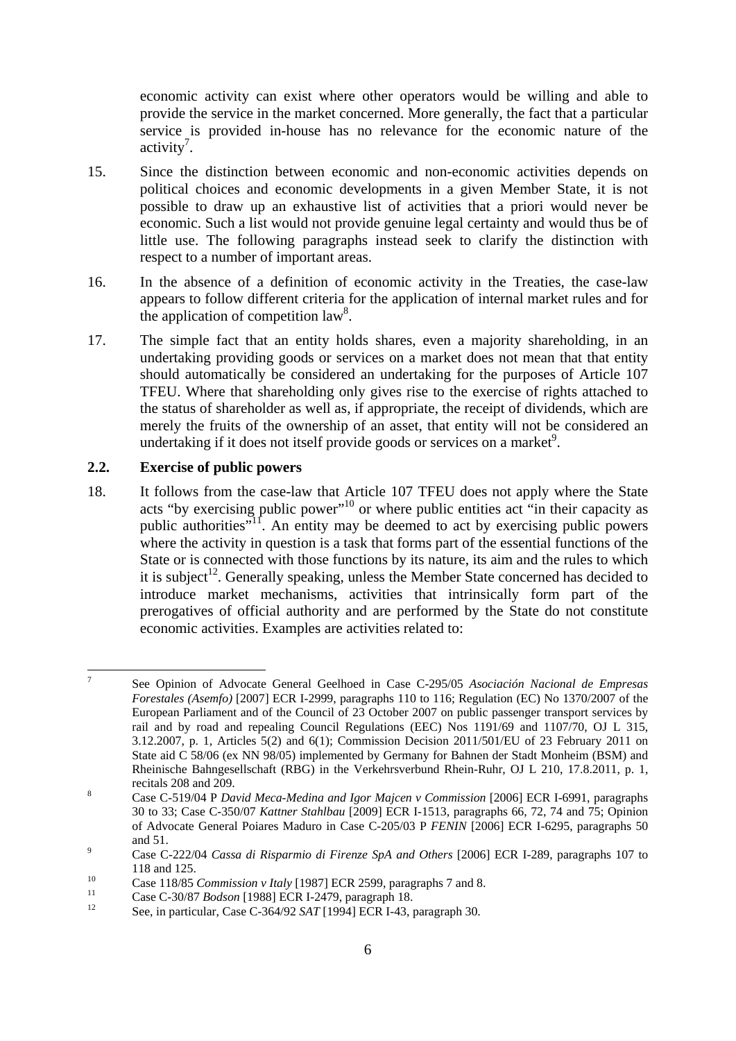economic activity can exist where other operators would be willing and able to provide the service in the market concerned. More generally, the fact that a particular service is provided in-house has no relevance for the economic nature of the  $\arctivity$ <sup>7</sup>.

- 15. Since the distinction between economic and non-economic activities depends on political choices and economic developments in a given Member State, it is not possible to draw up an exhaustive list of activities that a priori would never be economic. Such a list would not provide genuine legal certainty and would thus be of little use. The following paragraphs instead seek to clarify the distinction with respect to a number of important areas.
- 16. In the absence of a definition of economic activity in the Treaties, the case-law appears to follow different criteria for the application of internal market rules and for the application of competition  $law<sup>8</sup>$ .
- 17. The simple fact that an entity holds shares, even a majority shareholding, in an undertaking providing goods or services on a market does not mean that that entity should automatically be considered an undertaking for the purposes of Article 107 TFEU. Where that shareholding only gives rise to the exercise of rights attached to the status of shareholder as well as, if appropriate, the receipt of dividends, which are merely the fruits of the ownership of an asset, that entity will not be considered an undertaking if it does not itself provide goods or services on a market<sup>9</sup>.

## <span id="page-5-0"></span>**2.2. Exercise of public powers**

18. It follows from the case-law that Article 107 TFEU does not apply where the State acts "by exercising public power"<sup>10</sup> or where public entities act "in their capacity as public authorities"<sup>11</sup>. An entity may be deemed to act by exercising public powers where the activity in question is a task that forms part of the essential functions of the State or is connected with those functions by its nature, its aim and the rules to which it is subject<sup>12</sup>. Generally speaking, unless the Member State concerned has decided to introduce market mechanisms, activities that intrinsically form part of the prerogatives of official authority and are performed by the State do not constitute economic activities. Examples are activities related to:

**<sup>.</sup>** 7 See Opinion of Advocate General Geelhoed in Case C-295/05 *Asociación Nacional de Empresas Forestales (Asemfo)* [2007] ECR I-2999, paragraphs 110 to 116; Regulation (EC) No 1370/2007 of the European Parliament and of the Council of 23 October 2007 on public passenger transport services by rail and by road and repealing Council Regulations (EEC) Nos 1191/69 and 1107/70, OJ L 315, 3.12.2007, p. 1, Articles 5(2) and 6(1); Commission Decision 2011/501/EU of 23 February 2011 on State aid C 58/06 (ex NN 98/05) implemented by Germany for Bahnen der Stadt Monheim (BSM) and Rheinische Bahngesellschaft (RBG) in the Verkehrsverbund Rhein-Ruhr, OJ L 210, 17.8.2011, p. 1, recitals 208 and 209.

Case C-519/04 P *David Meca-Medina and Igor Majcen v Commission* [2006] ECR I-6991, paragraphs 30 to 33; Case C-350/07 *Kattner Stahlbau* [2009] ECR I-1513, paragraphs 66, 72, 74 and 75; Opinion of Advocate General Poiares Maduro in Case C-205/03 P *FENIN* [2006] ECR I-6295, paragraphs 50 and  $51$ .

Case C-222/04 *Cassa di Risparmio di Firenze SpA and Others* [2006] ECR I-289, paragraphs 107 to

<sup>118</sup> and 125.<br>
Case 118/85 Commission v Italy [1987] ECR 2599, paragraphs 7 and 8.<br>
Case C-30/87 *Bodson* [1988] ECR I-2479, paragraph 18.<br>
See, in particular, Case C-364/92 *SAT* [1994] ECR I-43, paragraph 30.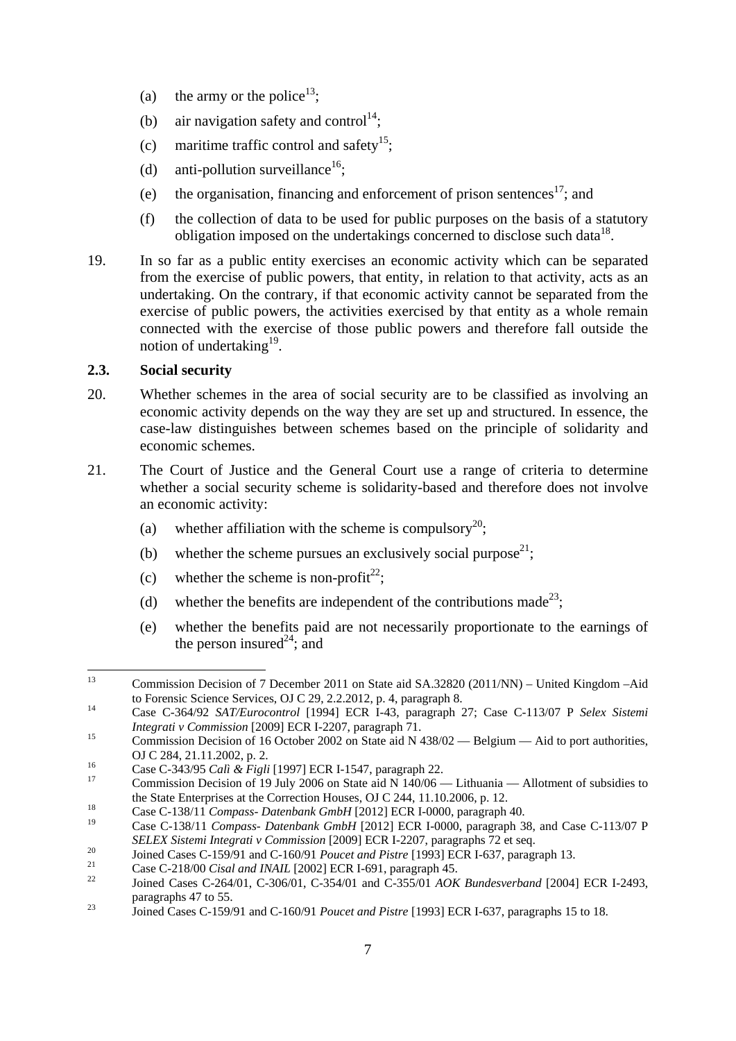- (a) the army or the police<sup>13</sup>;
- (b) air navigation safety and control<sup>14</sup>;
- (c) maritime traffic control and safety<sup>15</sup>;
- (d) anti-pollution surveillance<sup>16</sup>:
- (e) the organisation, financing and enforcement of prison sentences<sup>17</sup>; and
- (f) the collection of data to be used for public purposes on the basis of a statutory obligation imposed on the undertakings concerned to disclose such data<sup>18</sup>.
- 19. In so far as a public entity exercises an economic activity which can be separated from the exercise of public powers, that entity, in relation to that activity, acts as an undertaking. On the contrary, if that economic activity cannot be separated from the exercise of public powers, the activities exercised by that entity as a whole remain connected with the exercise of those public powers and therefore fall outside the notion of undertaking<sup>19</sup>.

#### <span id="page-6-0"></span>**2.3. Social security**

- 20. Whether schemes in the area of social security are to be classified as involving an economic activity depends on the way they are set up and structured. In essence, the case-law distinguishes between schemes based on the principle of solidarity and economic schemes.
- 21. The Court of Justice and the General Court use a range of criteria to determine whether a social security scheme is solidarity-based and therefore does not involve an economic activity:
	- (a) whether affiliation with the scheme is compulsory<sup>20</sup>;
	- (b) whether the scheme pursues an exclusively social purpose<sup>21</sup>;
	- (c) whether the scheme is non-profit<sup>22</sup>;
	- (d) whether the benefits are independent of the contributions made<sup>23</sup>;
	- (e) whether the benefits paid are not necessarily proportionate to the earnings of the person insured<sup>24</sup>; and

 $13$ 13 Commission Decision of 7 December 2011 on State aid SA.32820 (2011/NN) – United Kingdom –Aid

to Forensic Science Services, OJ C 29, 2.2.2012, p. 4, paragraph 8.<br>
Case C-364/92 *SAT/Eurocontrol* [1994] ECR I-43, paragraph 27; Case C-113/07 P *Selex Sistemi Integrati v Commission* [2009] ECR I-2207, paragraph 71.

 $I<sup>15</sup>$  Commission Decision of 16 October 2002 on State aid N 438/02 — Belgium — Aid to port authorities, OJ C 284, 21.11.2002, p. 2.<br><sup>16</sup> Case C-343/95 *Calì & Figli* [1997] ECR I-1547, paragraph 22.<br><sup>17</sup> Commission Decision of 19 July 2006 on State aid N 140/06 — Lithuania — Allotment of subsidies to

the State Enterprises at the Correction Houses, OJ C 244, 11.10.2006, p. 12.<br>
Case C-138/11 *Compass- Datenbank GmbH* [2012] ECR I-0000, paragraph 40.

<sup>19</sup> Case C-138/11 *Compass- Datenbank GmbH* [2012] ECR I-0000, paragraph 38, and Case C-113/07 P SELEX Sistemi Integrati v Commission [2009] ECR I-2207, paragraphs 72 et seq.<br>
Joined Cases C-159/91 and C-160/91 *Poucet and Pistre* [1993] ECR I-637, paragraph 13.<br>
Case C-218/00 *Cisal and INAIL* [2002] ECR I-691, parag

paragraphs 47 to 55.<br>
3<sup>23</sup> Joined Cases C-159/91 and C-160/91 *Poucet and Pistre* [1993] ECR I-637, paragraphs 15 to 18.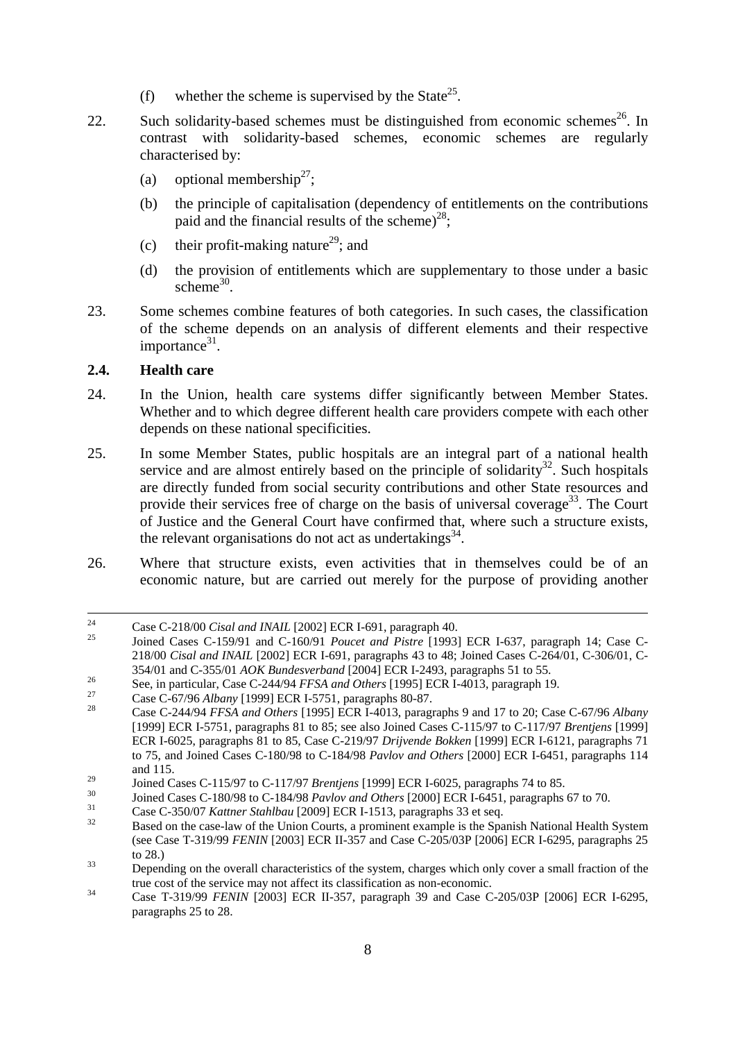- (f) whether the scheme is supervised by the State<sup>25</sup>.
- 22. Such solidarity-based schemes must be distinguished from economic schemes<sup>26</sup>. In contrast with solidarity-based schemes, economic schemes are regularly characterised by:
	- (a) optional membership<sup>27</sup>;
	- (b) the principle of capitalisation (dependency of entitlements on the contributions paid and the financial results of the scheme)<sup>28</sup>;
	- (c) their profit-making nature<sup>29</sup>; and
	- (d) the provision of entitlements which are supplementary to those under a basic scheme $30$ .
- 23. Some schemes combine features of both categories. In such cases, the classification of the scheme depends on an analysis of different elements and their respective importance $31$ .

#### <span id="page-7-0"></span>**2.4. Health care**

- 24. In the Union, health care systems differ significantly between Member States. Whether and to which degree different health care providers compete with each other depends on these national specificities.
- 25. In some Member States, public hospitals are an integral part of a national health service and are almost entirely based on the principle of solidarity<sup>32</sup>. Such hospitals are directly funded from social security contributions and other State resources and provide their services free of charge on the basis of universal coverage<sup>33</sup>. The Court of Justice and the General Court have confirmed that, where such a structure exists, the relevant organisations do not act as undertakings<sup>34</sup>.
- 26. Where that structure exists, even activities that in themselves could be of an economic nature, but are carried out merely for the purpose of providing another

<sup>&</sup>lt;sup>24</sup> Case C-218/00 *Cisal and INAIL* [2002] ECR I-691, paragraph 40.<br><sup>25</sup> Joined Cases C-159/91 and C-160/91 *Poucet and Pistre* [1993] ECR I-637, paragraph 14; Case C-218/00 *Cisal and INAIL* [2002] ECR I-691, paragraphs 43 to 48; Joined Cases C-264/01, C-306/01, C-

<sup>354/01</sup> and C-355/01 *AOK Bundesverband* [2004] ECR I-2493, paragraphs 51 to 55.<br>
See, in particular, Case C-244/94 *FFSA and Others* [1995] ECR I-4013, paragraph 19.<br>
Case C-67/96 *Albany* [1999] ECR I-5751, paragraphs 80-[1999] ECR I-5751, paragraphs 81 to 85; see also Joined Cases C-115/97 to C-117/97 *Brentjens* [1999] ECR I-6025, paragraphs 81 to 85, Case C-219/97 *Drijvende Bokken* [1999] ECR I-6121, paragraphs 71 to 75, and Joined Cases C-180/98 to C-184/98 *Pavlov and Others* [2000] ECR I-6451, paragraphs 114 and 115.

<sup>&</sup>lt;sup>29</sup><br>Joined Cases C-115/97 to C-117/97 *Brentjens* [1999] ECR I-6025, paragraphs 74 to 85.<br>Joined Cases C-180/98 to C-184/98 *Pavlov and Others* [2000] ECR I-6451, paragraphs 67 to 70.<br>Case C-350/07 *Kattner Stahlbau* [20

<sup>(</sup>see Case T-319/99 *FENIN* [2003] ECR II-357 and Case C-205/03P [2006] ECR I-6295, paragraphs 25 to 28.)<br>Depending on the overall characteristics of the system, charges which only cover a small fraction of the

true cost of the service may not affect its classification as non-economic.<br>Case T-319/99 *FENIN* [2003] ECR II-357, paragraph 39 and Case C-205/03P [2006] ECR I-6295,

paragraphs 25 to 28.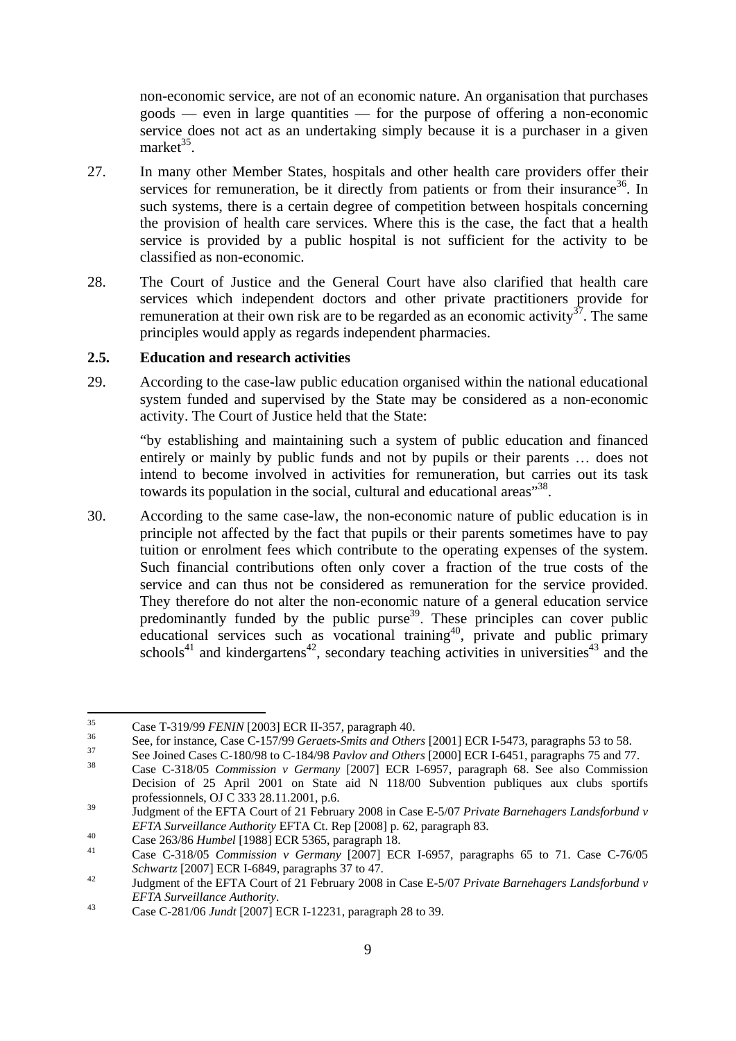non-economic service, are not of an economic nature. An organisation that purchases goods — even in large quantities — for the purpose of offering a non-economic service does not act as an undertaking simply because it is a purchaser in a given market $^{35}$ .

- 27. In many other Member States, hospitals and other health care providers offer their services for remuneration, be it directly from patients or from their insurance<sup>36</sup>. In such systems, there is a certain degree of competition between hospitals concerning the provision of health care services. Where this is the case, the fact that a health service is provided by a public hospital is not sufficient for the activity to be classified as non-economic.
- 28. The Court of Justice and the General Court have also clarified that health care services which independent doctors and other private practitioners provide for remuneration at their own risk are to be regarded as an economic activity<sup>37</sup>. The same principles would apply as regards independent pharmacies.

#### <span id="page-8-0"></span>**2.5. Education and research activities**

29. According to the case-law public education organised within the national educational system funded and supervised by the State may be considered as a non-economic activity. The Court of Justice held that the State:

"by establishing and maintaining such a system of public education and financed entirely or mainly by public funds and not by pupils or their parents … does not intend to become involved in activities for remuneration, but carries out its task towards its population in the social, cultural and educational areas<sup>"38</sup>.

30. According to the same case-law, the non-economic nature of public education is in principle not affected by the fact that pupils or their parents sometimes have to pay tuition or enrolment fees which contribute to the operating expenses of the system. Such financial contributions often only cover a fraction of the true costs of the service and can thus not be considered as remuneration for the service provided. They therefore do not alter the non-economic nature of a general education service predominantly funded by the public purse<sup>39</sup>. These principles can cover public educational services such as vocational training<sup>40</sup>, private and public primary schools<sup>41</sup> and kindergartens<sup>42</sup>, secondary teaching activities in universities<sup>43</sup> and the

 $35$ 

<sup>&</sup>lt;sup>35</sup><br>Case T-319/99 *FENIN* [2003] ECR II-357, paragraph 40.<br>See, for instance, Case C-157/99 *Geraets-Smits and Others* [2001] ECR I-5473, paragraphs 53 to 58.<br>See Joined Cases C-180/98 to C-184/98 *Pavlov and Others* [20

Decision of 25 April 2001 on State aid N 118/00 Subvention publiques aux clubs sportifs professionnels, OJ C 333 28.11.2001, p.6.

<sup>39</sup> Judgment of the EFTA Court of 21 February 2008 in Case E-5/07 *Private Barnehagers Landsforbund v EFTA Surveillance Authority EFTA Ct. Rep* [2008] p. 62, paragraph 83.<br>
Case 263/86 *Humbel* [1988] ECR 5365, paragraph 18.<br>
Case C-318/05 *Commission v Germany* [2007] ECR 1-6957, paragraphs 65 to 71. Case C-76/05

*Schwartz* [2007] ECR I-6849, paragraphs 37 to 47.<br>Judgment of the EFTA Court of 21 February 2008 in Case E-5/07 *Private Barnehagers Landsforbund v* 

*EFTA Surveillance Authority*. 43 Case C-281/06 *Jundt* [2007] ECR I-12231, paragraph 28 to 39.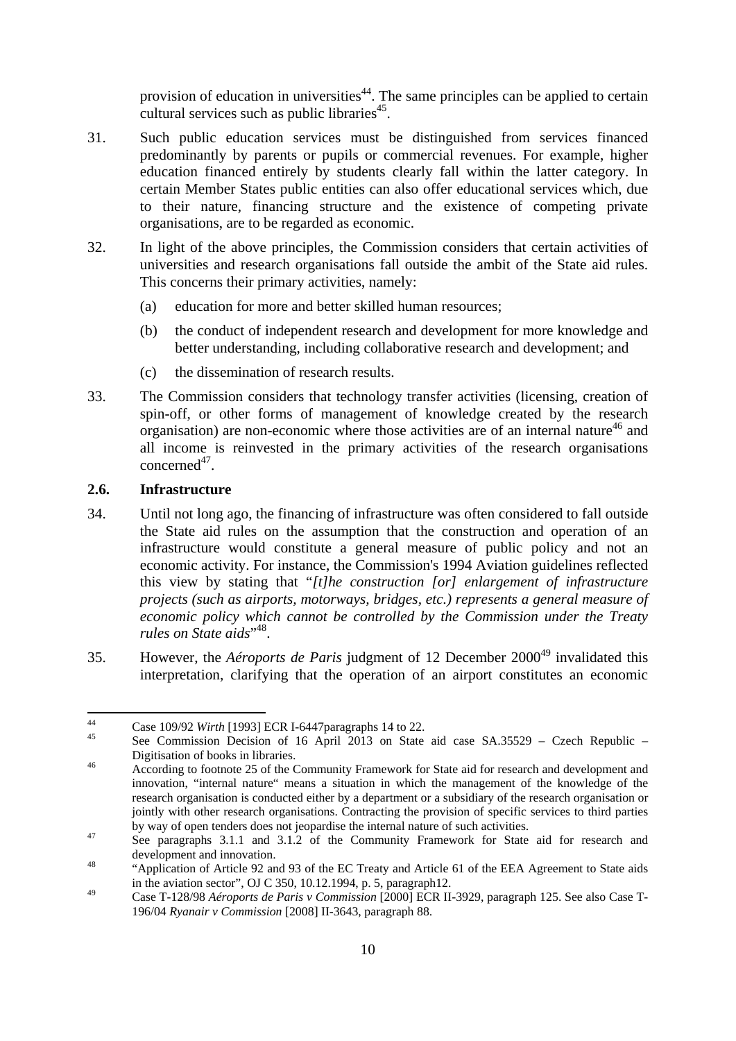provision of education in universities<sup>44</sup>. The same principles can be applied to certain cultural services such as public libraries<sup>45</sup>.

- 31. Such public education services must be distinguished from services financed predominantly by parents or pupils or commercial revenues. For example, higher education financed entirely by students clearly fall within the latter category. In certain Member States public entities can also offer educational services which, due to their nature, financing structure and the existence of competing private organisations, are to be regarded as economic.
- 32. In light of the above principles, the Commission considers that certain activities of universities and research organisations fall outside the ambit of the State aid rules. This concerns their primary activities, namely:
	- (a) education for more and better skilled human resources;
	- (b) the conduct of independent research and development for more knowledge and better understanding, including collaborative research and development; and
	- (c) the dissemination of research results.
- 33. The Commission considers that technology transfer activities (licensing, creation of spin-off, or other forms of management of knowledge created by the research organisation) are non-economic where those activities are of an internal nature<sup>46</sup> and all income is reinvested in the primary activities of the research organisations concerned<sup>47</sup>.

## <span id="page-9-0"></span>**2.6. Infrastructure**

- 34. Until not long ago, the financing of infrastructure was often considered to fall outside the State aid rules on the assumption that the construction and operation of an infrastructure would constitute a general measure of public policy and not an economic activity. For instance, the Commission's 1994 Aviation guidelines reflected this view by stating that "*[t]he construction [or] enlargement of infrastructure projects (such as airports, motorways, bridges, etc.) represents a general measure of economic policy which cannot be controlled by the Commission under the Treaty*  rules on State aids"<sup>48</sup>.
- 35. However, the *Aéroports de Paris* judgment of 12 December 200049 invalidated this interpretation, clarifying that the operation of an airport constitutes an economic

 $\overline{A}$ 

<sup>&</sup>lt;sup>44</sup> Case 109/92 *Wirth* [1993] ECR I-6447 paragraphs 14 to 22.<br><sup>45</sup> See Commission Decision of 16 April 2013 on State aid case SA.35529 – Czech Republic – Digitisation of books in libraries.<br>According to footnote 25 of the Community Framework for State aid for research and development and

innovation, "internal nature" means a situation in which the management of the knowledge of the research organisation is conducted either by a department or a subsidiary of the research organisation or jointly with other research organisations. Contracting the provision of specific services to third parties

by way of open tenders does not jeopardise the internal nature of such activities.<br><sup>47</sup> See paragraphs 3.1.1 and 3.1.2 of the Community Framework for State aid for research and

development and innovation.<br>
"Application of Article 92 and 93 of the EC Treaty and Article 61 of the EEA Agreement to State aids in the aviation sector", OJ C 350, 10.12.1994, p. 5, paragraph12.

<sup>49</sup> Case T-128/98 *Aéroports de Paris v Commission* [2000] ECR II-3929, paragraph 125. See also Case T-196/04 *Ryanair v Commission* [2008] II-3643, paragraph 88.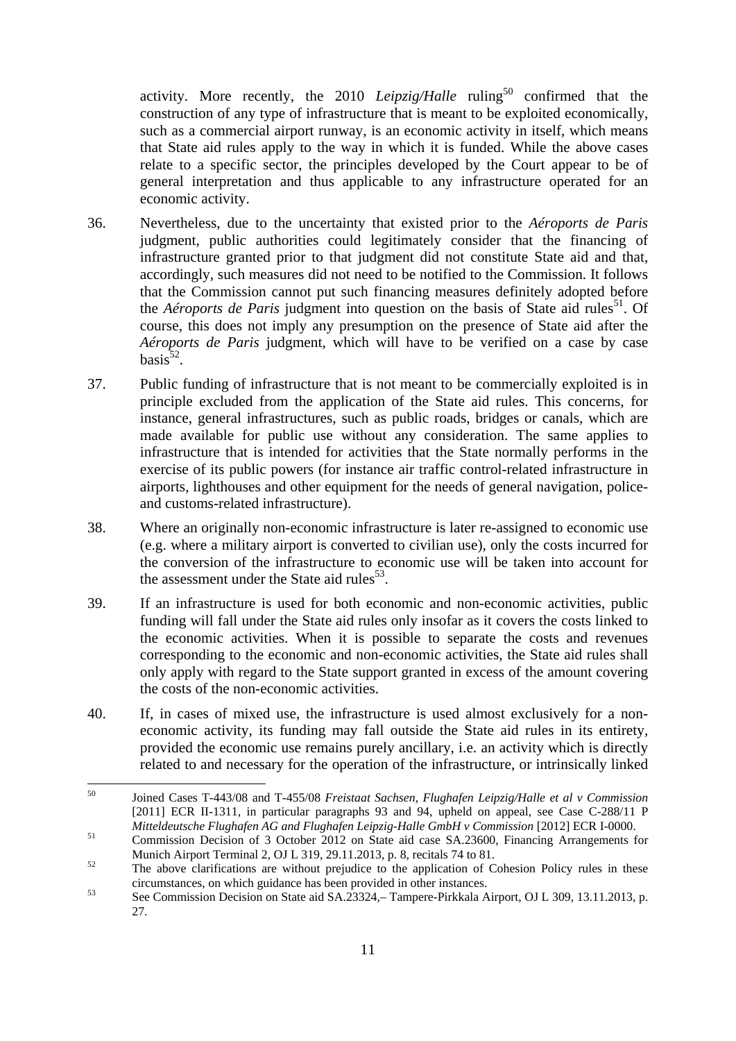activity. More recently, the 2010 *Leipzig/Halle* ruling<sup>50</sup> confirmed that the construction of any type of infrastructure that is meant to be exploited economically, such as a commercial airport runway, is an economic activity in itself, which means that State aid rules apply to the way in which it is funded. While the above cases relate to a specific sector, the principles developed by the Court appear to be of general interpretation and thus applicable to any infrastructure operated for an economic activity.

- 36. Nevertheless, due to the uncertainty that existed prior to the *Aéroports de Paris* judgment, public authorities could legitimately consider that the financing of infrastructure granted prior to that judgment did not constitute State aid and that, accordingly, such measures did not need to be notified to the Commission. It follows that the Commission cannot put such financing measures definitely adopted before the *Aéroports de Paris* judgment into question on the basis of State aid rules<sup>51</sup>. Of course, this does not imply any presumption on the presence of State aid after the *Aéroports de Paris* judgment, which will have to be verified on a case by case  $basis^{52}$ .
- 37. Public funding of infrastructure that is not meant to be commercially exploited is in principle excluded from the application of the State aid rules. This concerns, for instance, general infrastructures, such as public roads, bridges or canals, which are made available for public use without any consideration. The same applies to infrastructure that is intended for activities that the State normally performs in the exercise of its public powers (for instance air traffic control-related infrastructure in airports, lighthouses and other equipment for the needs of general navigation, policeand customs-related infrastructure).
- 38. Where an originally non-economic infrastructure is later re-assigned to economic use (e.g. where a military airport is converted to civilian use), only the costs incurred for the conversion of the infrastructure to economic use will be taken into account for the assessment under the State aid rules<sup>53</sup>.
- 39. If an infrastructure is used for both economic and non-economic activities, public funding will fall under the State aid rules only insofar as it covers the costs linked to the economic activities. When it is possible to separate the costs and revenues corresponding to the economic and non-economic activities, the State aid rules shall only apply with regard to the State support granted in excess of the amount covering the costs of the non-economic activities.
- 40. If, in cases of mixed use, the infrastructure is used almost exclusively for a noneconomic activity, its funding may fall outside the State aid rules in its entirety, provided the economic use remains purely ancillary, i.e. an activity which is directly related to and necessary for the operation of the infrastructure, or intrinsically linked

<sup>50</sup> 50 Joined Cases T-443/08 and T-455/08 *Freistaat Sachsen, Flughafen Leipzig/Halle et al v Commission* [2011] ECR II-1311, in particular paragraphs 93 and 94, upheld on appeal, see Case C-288/11 P *Mitteldeutsche Flughafen AG and Flughafen Leipzig-Halle GmbH v Commission* [2012] ECR I-0000.<br><sup>51</sup> Commission Decision of 3 October 2012 on State aid case SA.23600, Financing Arrangements for

Munich Airport Terminal 2, OJ L 319, 29.11.2013, p. 8, recitals 74 to 81.<br>The above clarifications are without prejudice to the application of Cohesion Policy rules in these

circumstances, on which guidance has been provided in other instances.<br>See Commission Decision on State aid SA.23324,– Tampere-Pirkkala Airport, OJ L 309, 13.11.2013, p.

<sup>27.</sup>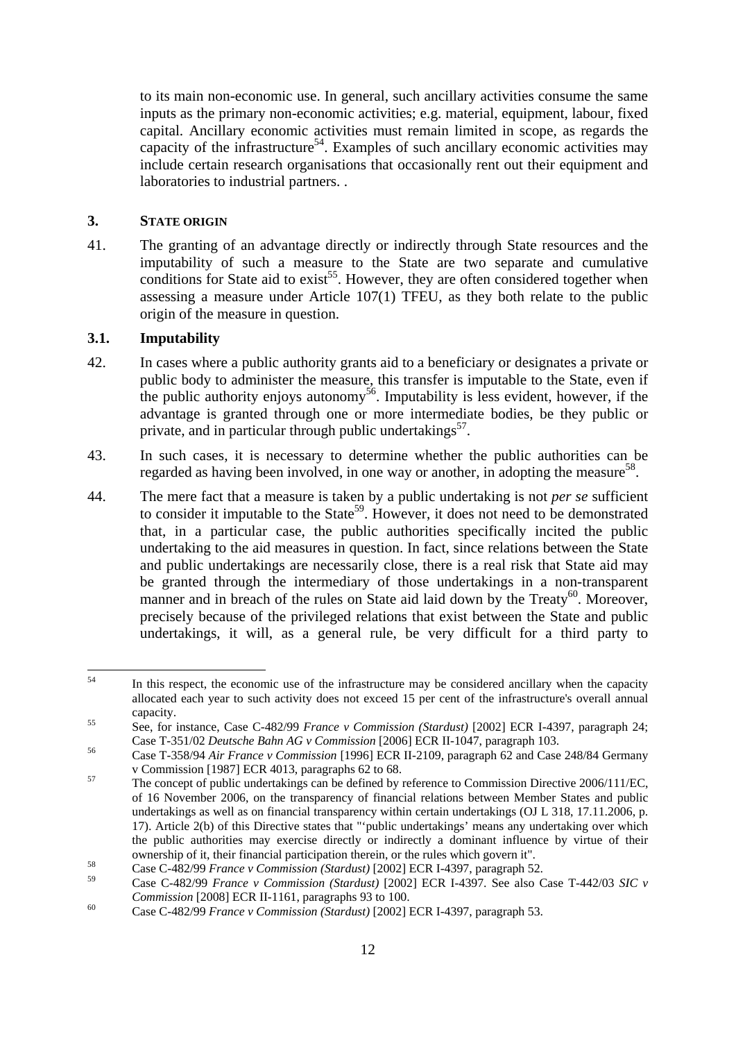to its main non-economic use. In general, such ancillary activities consume the same inputs as the primary non-economic activities; e.g. material, equipment, labour, fixed capital. Ancillary economic activities must remain limited in scope, as regards the capacity of the infrastructure<sup>54</sup>. Examples of such ancillary economic activities may include certain research organisations that occasionally rent out their equipment and laboratories to industrial partners. .

#### <span id="page-11-0"></span>**3. STATE ORIGIN**

41. The granting of an advantage directly or indirectly through State resources and the imputability of such a measure to the State are two separate and cumulative conditions for State aid to  $exist^{55}$ . However, they are often considered together when assessing a measure under Article 107(1) TFEU, as they both relate to the public origin of the measure in question.

## <span id="page-11-1"></span>**3.1. Imputability**

- 42. In cases where a public authority grants aid to a beneficiary or designates a private or public body to administer the measure, this transfer is imputable to the State, even if the public authority enjoys autonomy<sup>56</sup>. Imputability is less evident, however, if the advantage is granted through one or more intermediate bodies, be they public or private, and in particular through public undertakings<sup>57</sup>.
- 43. In such cases, it is necessary to determine whether the public authorities can be regarded as having been involved, in one way or another, in adopting the measure<sup>58</sup>.
- 44. The mere fact that a measure is taken by a public undertaking is not *per se* sufficient to consider it imputable to the State<sup>59</sup>. However, it does not need to be demonstrated that, in a particular case, the public authorities specifically incited the public undertaking to the aid measures in question. In fact, since relations between the State and public undertakings are necessarily close, there is a real risk that State aid may be granted through the intermediary of those undertakings in a non-transparent manner and in breach of the rules on State aid laid down by the  $Treaty<sup>60</sup>$ . Moreover, precisely because of the privileged relations that exist between the State and public undertakings, it will, as a general rule, be very difficult for a third party to

 $54$ In this respect, the economic use of the infrastructure may be considered ancillary when the capacity allocated each year to such activity does not exceed 15 per cent of the infrastructure's overall annual

capacity.<br>
55 See, for instance, Case C-482/99 *France v Commission (Stardust)* [2002] ECR I-4397, paragraph 24;<br>
Case T-351/02 *Deutsche Bahn AG v Commission* [2006] ECR II-1047, paragraph 103.

Case T-358/94 *Air France v Commission* [1996] ECR II-2109, paragraph 62 and Case 248/84 Germany v Commission [1987] ECR 4013, paragraphs 62 to 68.

 $v_0$ <sup>57</sup> The concept of public undertakings can be defined by reference to Commission Directive 2006/111/EC, of 16 November 2006, on the transparency of financial relations between Member States and public undertakings as well as on financial transparency within certain undertakings (OJ L 318, 17.11.2006, p. 17). Article 2(b) of this Directive states that "'public undertakings' means any undertaking over which the public authorities may exercise directly or indirectly a dominant influence by virtue of their ownership of it, their financial participation therein, or the rules which govern it".<br>Case C-482/99 *France v Commission (Stardust)* [2002] ECR I-4397, paragraph 52.

<sup>59</sup> Case C-482/99 *France v Commission (Stardust)* [2002] ECR I-4397. See also Case T-442/03 *SIC v* 

*Commission* [2008] ECR II-1161, paragraphs 93 to 100.<br>
Case C-482/99 *France v Commission* (*Stardust*) [2002] ECR I-4397, paragraph 53.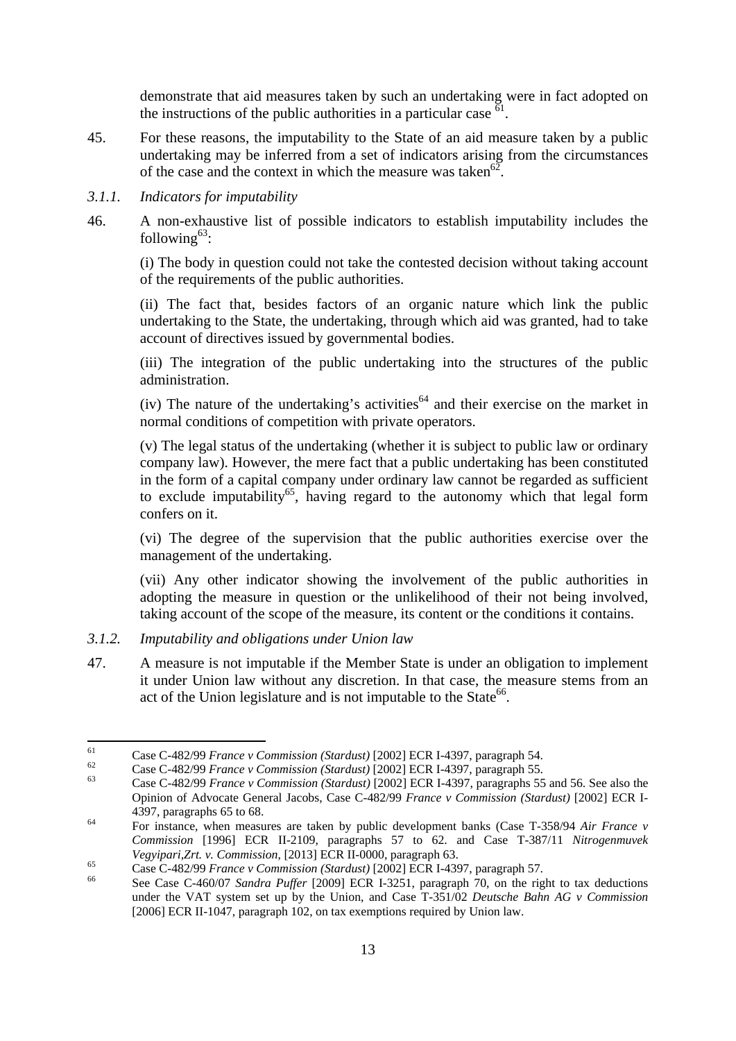demonstrate that aid measures taken by such an undertaking were in fact adopted on the instructions of the public authorities in a particular case  $^{61}$ .

- 45. For these reasons, the imputability to the State of an aid measure taken by a public undertaking may be inferred from a set of indicators arising from the circumstances of the case and the context in which the measure was taken<sup>62</sup>.
- <span id="page-12-0"></span>*3.1.1. Indicators for imputability*
- 46. A non-exhaustive list of possible indicators to establish imputability includes the following $63$ :

(i) The body in question could not take the contested decision without taking account of the requirements of the public authorities.

(ii) The fact that, besides factors of an organic nature which link the public undertaking to the State, the undertaking, through which aid was granted, had to take account of directives issued by governmental bodies.

(iii) The integration of the public undertaking into the structures of the public administration.

(iv) The nature of the undertaking's activities<sup>64</sup> and their exercise on the market in normal conditions of competition with private operators.

(v) The legal status of the undertaking (whether it is subject to public law or ordinary company law). However, the mere fact that a public undertaking has been constituted in the form of a capital company under ordinary law cannot be regarded as sufficient to exclude imputability<sup>65</sup>, having regard to the autonomy which that legal form confers on it.

(vi) The degree of the supervision that the public authorities exercise over the management of the undertaking.

(vii) Any other indicator showing the involvement of the public authorities in adopting the measure in question or the unlikelihood of their not being involved, taking account of the scope of the measure, its content or the conditions it contains.

- <span id="page-12-1"></span>*3.1.2. Imputability and obligations under Union law*
- 47. A measure is not imputable if the Member State is under an obligation to implement it under Union law without any discretion. In that case, the measure stems from an act of the Union legislature and is not imputable to the State<sup>66</sup>.

<sup>61</sup> Case C-482/99 France v Commission (Stardust) [2002] ECR I-4397, paragraph 54.<br>Case C-482/99 France v Commission (Stardust) [2002] ECR I-4397, paragraph 55.<br>Case C-482/99 France v Commission (Stardust) [2002] ECR I-4397, p

Opinion of Advocate General Jacobs, Case C-482/99 *France v Commission (Stardust)* [2002] ECR I-4397, paragraphs 65 to 68. 64 For instance, when measures are taken by public development banks (Case T-358/94 *Air France v* 

*Commission* [1996] ECR II-2109, paragraphs 57 to 62. and Case T-387/11 *Nitrogenmuvek*  Vegyipari, Zrt. v. Commission, [2013] ECR II-0000, paragraph 63.<br>Case C-482/99 France v Commission (Stardust) [2002] ECR I-4397, paragraph 57.<br>See Case C-460/07 Sandra Puffer [2009] ECR I-3251, paragraph 70, on the right t

under the VAT system set up by the Union, and Case T-351/02 *Deutsche Bahn AG v Commission* [2006] ECR II-1047, paragraph 102, on tax exemptions required by Union law.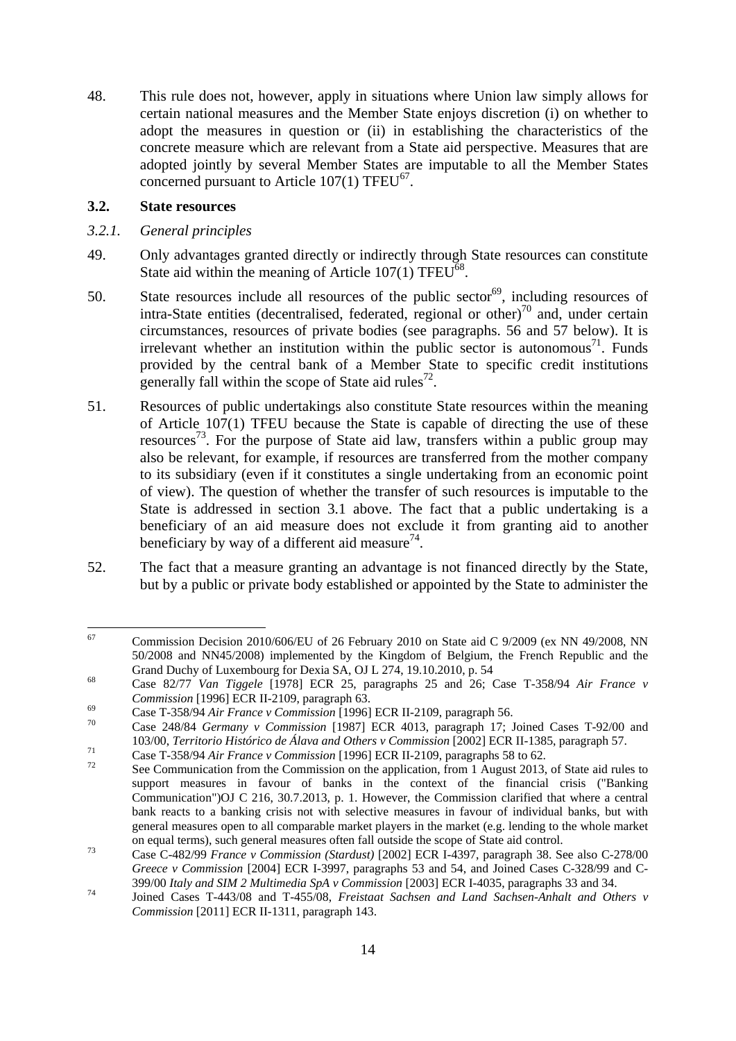48. This rule does not, however, apply in situations where Union law simply allows for certain national measures and the Member State enjoys discretion (i) on whether to adopt the measures in question or (ii) in establishing the characteristics of the concrete measure which are relevant from a State aid perspective. Measures that are adopted jointly by several Member States are imputable to all the Member States concerned pursuant to Article  $107(1)$  TFEU<sup>67</sup>.

#### <span id="page-13-0"></span>**3.2. State resources**

- <span id="page-13-1"></span>*3.2.1. General principles*
- 49. Only advantages granted directly or indirectly through State resources can constitute State aid within the meaning of Article  $107(1)$  TFEU<sup>68</sup>.
- 50. State resources include all resources of the public sector<sup>69</sup>, including resources of intra-State entities (decentralised, federated, regional or other)<sup>70</sup> and, under certain circumstances, resources of private bodies (see paragraphs. 56 and 57 below). It is irrelevant whether an institution within the public sector is autonomous<sup>71</sup>. Funds provided by the central bank of a Member State to specific credit institutions generally fall within the scope of State aid rules<sup>72</sup>.
- 51. Resources of public undertakings also constitute State resources within the meaning of Article 107(1) TFEU because the State is capable of directing the use of these resources<sup>73</sup>. For the purpose of State aid law, transfers within a public group may also be relevant, for example, if resources are transferred from the mother company to its subsidiary (even if it constitutes a single undertaking from an economic point of view). The question of whether the transfer of such resources is imputable to the State is addressed in section 3.1 above. The fact that a public undertaking is a beneficiary of an aid measure does not exclude it from granting aid to another beneficiary by way of a different aid measure<sup>74</sup>.
- 52. The fact that a measure granting an advantage is not financed directly by the State, but by a public or private body established or appointed by the State to administer the

<sup>67</sup> 67 Commission Decision 2010/606/EU of 26 February 2010 on State aid C 9/2009 (ex NN 49/2008, NN 50/2008 and NN45/2008) implemented by the Kingdom of Belgium, the French Republic and the

Grand Duchy of Luxembourg for Dexia SA, OJ L 274, 19.10.2010, p. 54<br><sup>68</sup> Case 82/77 *Van Tiggele* [1978] ECR 25, paragraphs 25 and 26; Case T-358/94 *Air France v* Commission [1996] ECR II-2109, paragraph 63.<br>
Case T-358/94 Air France v Commission [1996] ECR II-2109, paragraph 56.<br>
Case 248/84 Germany v Commission [1987] ECR 4013, paragraph 17; Joined Cases T-92/00 and

<sup>103/00,</sup> Territorio Histórico de Álava and Others v Commission [2002] ECR II-1385, paragraph 57.<br>Case T-358/94 Air France v Commission [1996] ECR II-2109, paragraphs 58 to 62.<br>See Communication from the Commission on the ap

support measures in favour of banks in the context of the financial crisis ("Banking Communication")OJ C 216, 30.7.2013, p. 1. However, the Commission clarified that where a central bank reacts to a banking crisis not with selective measures in favour of individual banks, but with general measures open to all comparable market players in the market (e.g. lending to the whole market

on equal terms), such general measures often fall outside the scope of State aid control. 73 Case C-482/99 *France v Commission (Stardust)* [2002] ECR I-4397, paragraph 38. See also C-278/00 *Greece v Commission* [2004] ECR I-3997, paragraphs 53 and 54, and Joined Cases C-328/99 and C-399/00 *Italy and SIM 2 Multimedia SpA v Commission* [2003] ECR I-4035, paragraphs 33 and 34. 74 Joined Cases T-443/08 and T-455/08, *Freistaat Sachsen and Land Sachsen-Anhalt and Others v* 

*Commission* [2011] ECR II-1311, paragraph 143.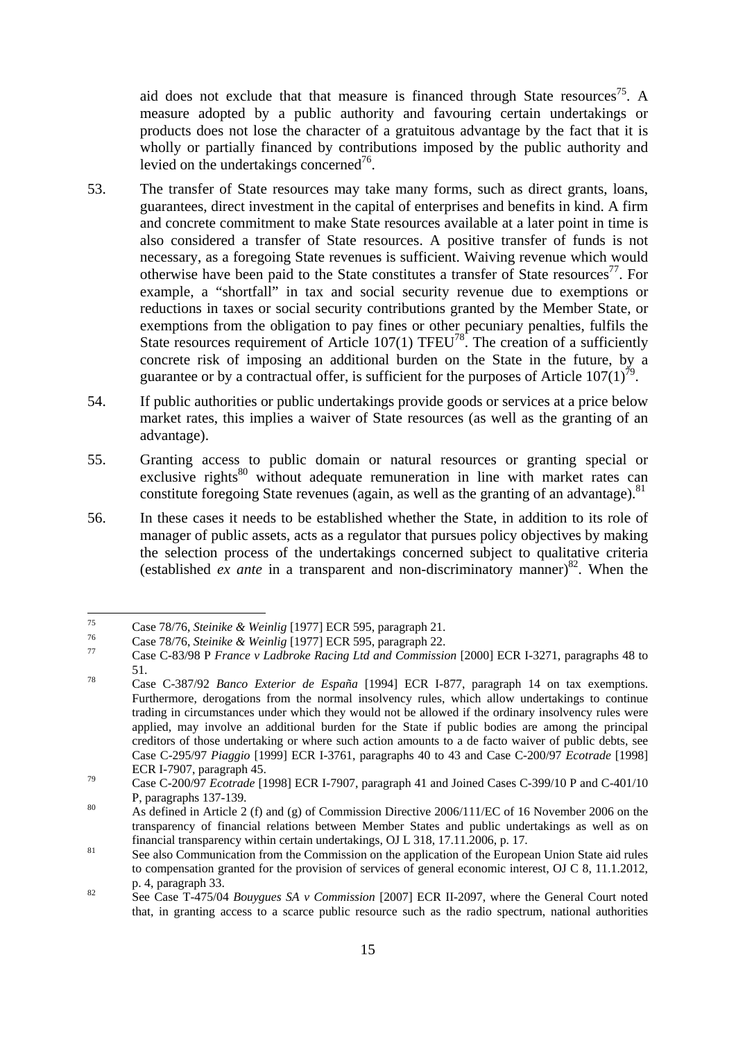aid does not exclude that that measure is financed through State resources<sup>75</sup>. A measure adopted by a public authority and favouring certain undertakings or products does not lose the character of a gratuitous advantage by the fact that it is wholly or partially financed by contributions imposed by the public authority and levied on the undertakings concerned<sup>76</sup>.

- 53. The transfer of State resources may take many forms, such as direct grants, loans, guarantees, direct investment in the capital of enterprises and benefits in kind. A firm and concrete commitment to make State resources available at a later point in time is also considered a transfer of State resources. A positive transfer of funds is not necessary, as a foregoing State revenues is sufficient. Waiving revenue which would otherwise have been paid to the State constitutes a transfer of State resources<sup>77</sup>. For example, a "shortfall" in tax and social security revenue due to exemptions or reductions in taxes or social security contributions granted by the Member State, or exemptions from the obligation to pay fines or other pecuniary penalties, fulfils the State resources requirement of Article  $107(1)$  TFEU<sup>78</sup>. The creation of a sufficiently concrete risk of imposing an additional burden on the State in the future, by a guarantee or by a contractual offer, is sufficient for the purposes of Article  $107(1)^{79}$ .
- 54. If public authorities or public undertakings provide goods or services at a price below market rates, this implies a waiver of State resources (as well as the granting of an advantage).
- 55. Granting access to public domain or natural resources or granting special or exclusive rights $80$  without adequate remuneration in line with market rates can constitute foregoing State revenues (again, as well as the granting of an advantage).  $81$
- 56. In these cases it needs to be established whether the State, in addition to its role of manager of public assets, acts as a regulator that pursues policy objectives by making the selection process of the undertakings concerned subject to qualitative criteria (established *ex ante* in a transparent and non-discriminatory manner)<sup>82</sup>. When the

 $75$ 

<sup>&</sup>lt;sup>75</sup><br>Case 78/76, *Steinike & Weinlig* [1977] ECR 595, paragraph 21.<br>Case 78/76, *Steinike & Weinlig* [1977] ECR 595, paragraph 22.<br>Case C-83/98 P *France v Ladbroke Racing Ltd and Commission* [2000] ECR I-3271, paragraphs 51. 78 Case C-387/92 *Banco Exterior de España* [1994] ECR I-877, paragraph 14 on tax exemptions.

Furthermore, derogations from the normal insolvency rules, which allow undertakings to continue trading in circumstances under which they would not be allowed if the ordinary insolvency rules were applied, may involve an additional burden for the State if public bodies are among the principal creditors of those undertaking or where such action amounts to a de facto waiver of public debts, see Case C-295/97 *Piaggio* [1999] ECR I-3761, paragraphs 40 to 43 and Case C-200/97 *Ecotrade* [1998] ECR I-7907, paragraph 45. 79 Case C-200/97 *Ecotrade* [1998] ECR I-7907, paragraph 41 and Joined Cases C-399/10 P and C-401/10

P, paragraphs 137-139.<br><sup>80</sup> As defined in Article 2 (f) and (g) of Commission Directive 2006/111/EC of 16 November 2006 on the

transparency of financial relations between Member States and public undertakings as well as on financial transparency within certain undertakings, OJ L 318, 17.11.2006, p. 17.<br><sup>81</sup> See also Communication from the Commission on the application of the European Union State aid rules

to compensation granted for the provision of services of general economic interest, OJ C 8, 11.1.2012, p. 4, paragraph 33.<br><sup>82</sup> See Case T-475/04 *Bouygues SA v Commission* [2007] ECR II-2097, where the General Court noted

that, in granting access to a scarce public resource such as the radio spectrum, national authorities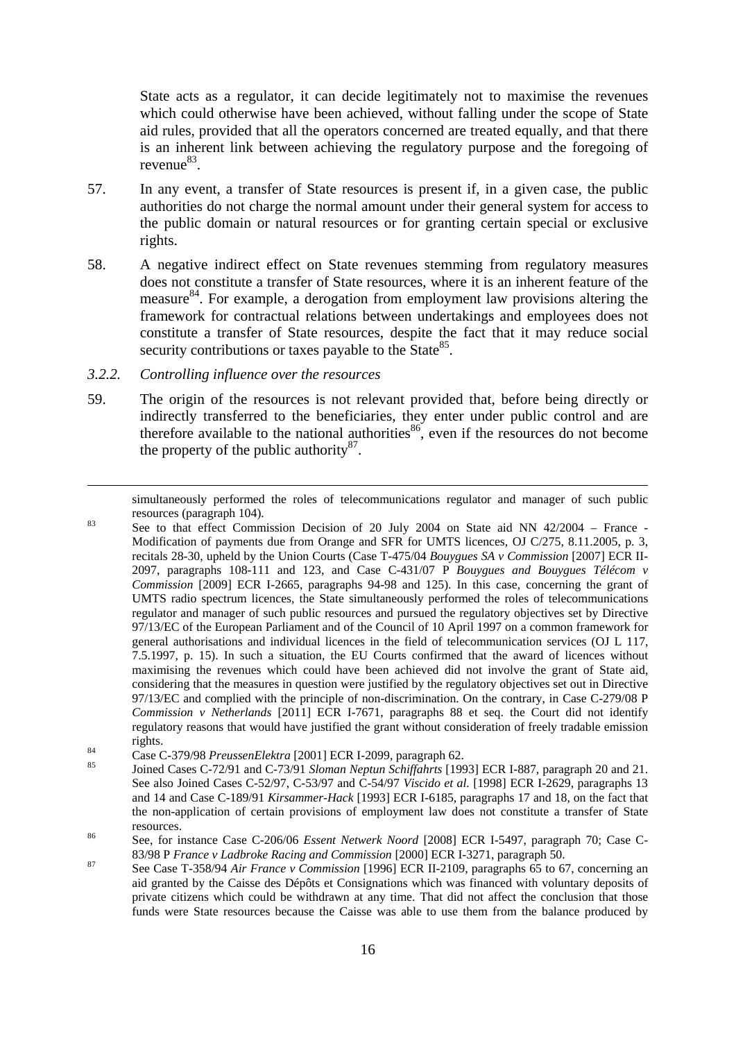State acts as a regulator, it can decide legitimately not to maximise the revenues which could otherwise have been achieved, without falling under the scope of State aid rules, provided that all the operators concerned are treated equally, and that there is an inherent link between achieving the regulatory purpose and the foregoing of  $revenue^{83}$ .

- 57. In any event, a transfer of State resources is present if, in a given case, the public authorities do not charge the normal amount under their general system for access to the public domain or natural resources or for granting certain special or exclusive rights.
- 58. A negative indirect effect on State revenues stemming from regulatory measures does not constitute a transfer of State resources, where it is an inherent feature of the measure<sup>84</sup>. For example, a derogation from employment law provisions altering the framework for contractual relations between undertakings and employees does not constitute a transfer of State resources, despite the fact that it may reduce social security contributions or taxes payable to the State<sup>85</sup>.
- <span id="page-15-0"></span>*3.2.2. Controlling influence over the resources*

**.** 

59. The origin of the resources is not relevant provided that, before being directly or indirectly transferred to the beneficiaries, they enter under public control and are therefore available to the national authorities  $\frac{86}{3}$ , even if the resources do not become the property of the public authority $^{87}$ .

resources (paragraph 104).<br>
See to that effect Commission Decision of 20 July 2004 on State aid NN 42/2004 – France -Modification of payments due from Orange and SFR for UMTS licences, OJ C/275, 8.11.2005, p. 3, recitals 28-30, upheld by the Union Courts (Case T-475/04 *Bouygues SA v Commission* [2007] ECR II-2097, paragraphs 108-111 and 123, and Case C-431/07 P *Bouygues and Bouygues Télécom v Commission* [2009] ECR I-2665, paragraphs 94-98 and 125). In this case, concerning the grant of UMTS radio spectrum licences, the State simultaneously performed the roles of telecommunications regulator and manager of such public resources and pursued the regulatory objectives set by Directive 97/13/EC of the European Parliament and of the Council of 10 April 1997 on a common framework for general authorisations and individual licences in the field of telecommunication services (OJ L 117, 7.5.1997, p. 15). In such a situation, the EU Courts confirmed that the award of licences without maximising the revenues which could have been achieved did not involve the grant of State aid, considering that the measures in question were justified by the regulatory objectives set out in Directive 97/13/EC and complied with the principle of non-discrimination. On the contrary, in Case C-279/08 P *Commission v Netherlands* [2011] ECR I-7671, paragraphs 88 et seq. the Court did not identify regulatory reasons that would have justified the grant without consideration of freely tradable emission rights. 84 Case C-379/98 *PreussenElektra* [2001] ECR I-2099, paragraph 62. 85 Joined Cases C-72/91 and C-73/91 *Sloman Neptun Schiffahrts* [1993] ECR I-887, paragraph 20 and 21.

simultaneously performed the roles of telecommunications regulator and manager of such public

See also Joined Cases C-52/97, C-53/97 and C-54/97 *Viscido et al.* [1998] ECR I-2629, paragraphs 13 and 14 and Case C-189/91 *Kirsammer-Hack* [1993] ECR I-6185, paragraphs 17 and 18, on the fact that the non-application of certain provisions of employment law does not constitute a transfer of State resources. 86 See, for instance Case C-206/06 *Essent Netwerk Noord* [2008] ECR I-5497, paragraph 70; Case C-

<sup>83/98</sup> P *France v Ladbroke Racing and Commission* [2000] ECR I-3271, paragraph 50.<br>87 See Case T-358/94 Air *France v Commission* [1996] ECR II-2109, paragraphs 65 to 67, concerning an

aid granted by the Caisse des Dépôts et Consignations which was financed with voluntary deposits of private citizens which could be withdrawn at any time. That did not affect the conclusion that those funds were State resources because the Caisse was able to use them from the balance produced by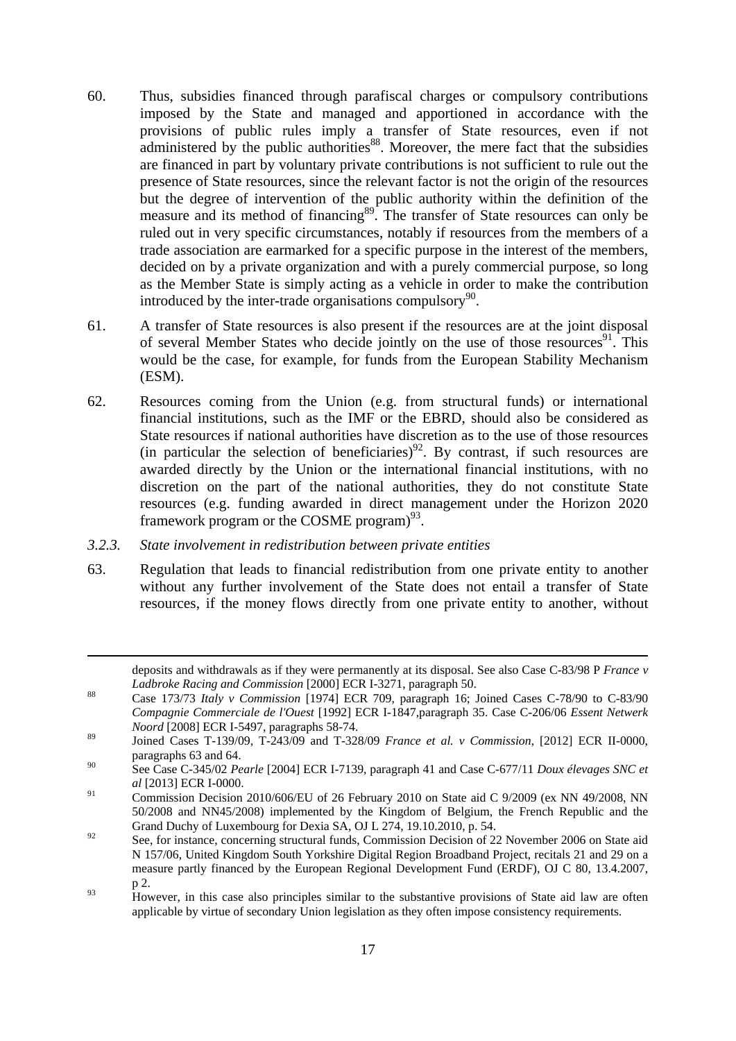- 60. Thus, subsidies financed through parafiscal charges or compulsory contributions imposed by the State and managed and apportioned in accordance with the provisions of public rules imply a transfer of State resources, even if not administered by the public authorities<sup>88</sup>. Moreover, the mere fact that the subsidies are financed in part by voluntary private contributions is not sufficient to rule out the presence of State resources, since the relevant factor is not the origin of the resources but the degree of intervention of the public authority within the definition of the measure and its method of financing<sup>89</sup>. The transfer of State resources can only be ruled out in very specific circumstances, notably if resources from the members of a trade association are earmarked for a specific purpose in the interest of the members, decided on by a private organization and with a purely commercial purpose, so long as the Member State is simply acting as a vehicle in order to make the contribution introduced by the inter-trade organisations compulsory<sup>90</sup>.
- 61. A transfer of State resources is also present if the resources are at the joint disposal of several Member States who decide jointly on the use of those resources<sup>91</sup>. This would be the case, for example, for funds from the European Stability Mechanism (ESM).
- 62. Resources coming from the Union (e.g. from structural funds) or international financial institutions, such as the IMF or the EBRD, should also be considered as State resources if national authorities have discretion as to the use of those resources (in particular the selection of beneficiaries)<sup>92</sup>. By contrast, if such resources are awarded directly by the Union or the international financial institutions, with no discretion on the part of the national authorities, they do not constitute State resources (e.g. funding awarded in direct management under the Horizon 2020 framework program or the COSME program $)^{93}$ .
- <span id="page-16-0"></span>*3.2.3. State involvement in redistribution between private entities*

**.** 

63. Regulation that leads to financial redistribution from one private entity to another without any further involvement of the State does not entail a transfer of State resources, if the money flows directly from one private entity to another, without

deposits and withdrawals as if they were permanently at its disposal. See also Case C-83/98 P *France v Ladbroke Racing and Commission* [2000] ECR I-3271, paragraph 50.<br><sup>88</sup> Case 173/73 *Italy v Commission* [1974] ECR 709, paragraph 16; Joined Cases C-78/90 to C-83/90

*Compagnie Commerciale de l'Ouest* [1992] ECR I-1847,paragraph 35. Case C-206/06 *Essent Netwerk Noord* [2008] ECR I-5497, paragraphs 58-74.

<sup>89</sup> Joined Cases T-139/09, T-243/09 and T-328/09 *France et al. v Commission*, [2012] ECR II-0000, paragraphs 63 and 64.

<sup>90</sup> See Case C-345/02 *Pearle* [2004] ECR I-7139, paragraph 41 and Case C-677/11 *Doux élevages SNC et al* [2013] ECR I-0000.

<sup>&</sup>lt;sup>91</sup> Commission Decision 2010/606/EU of 26 February 2010 on State aid C 9/2009 (ex NN 49/2008, NN 50/2008 and NN45/2008) implemented by the Kingdom of Belgium, the French Republic and the Grand Duchy of Luxembourg for Dexia SA, OJ L 274, 19.10.2010, p. 54.

<sup>&</sup>lt;sup>92</sup> See, for instance, concerning structural funds, Commission Decision of 22 November 2006 on State aid N 157/06, United Kingdom South Yorkshire Digital Region Broadband Project, recitals 21 and 29 on a measure partly financed by the European Regional Development Fund (ERDF), OJ C 80, 13.4.2007, p 2.

 $\frac{93}{93}$  However, in this case also principles similar to the substantive provisions of State aid law are often applicable by virtue of secondary Union legislation as they often impose consistency requirements.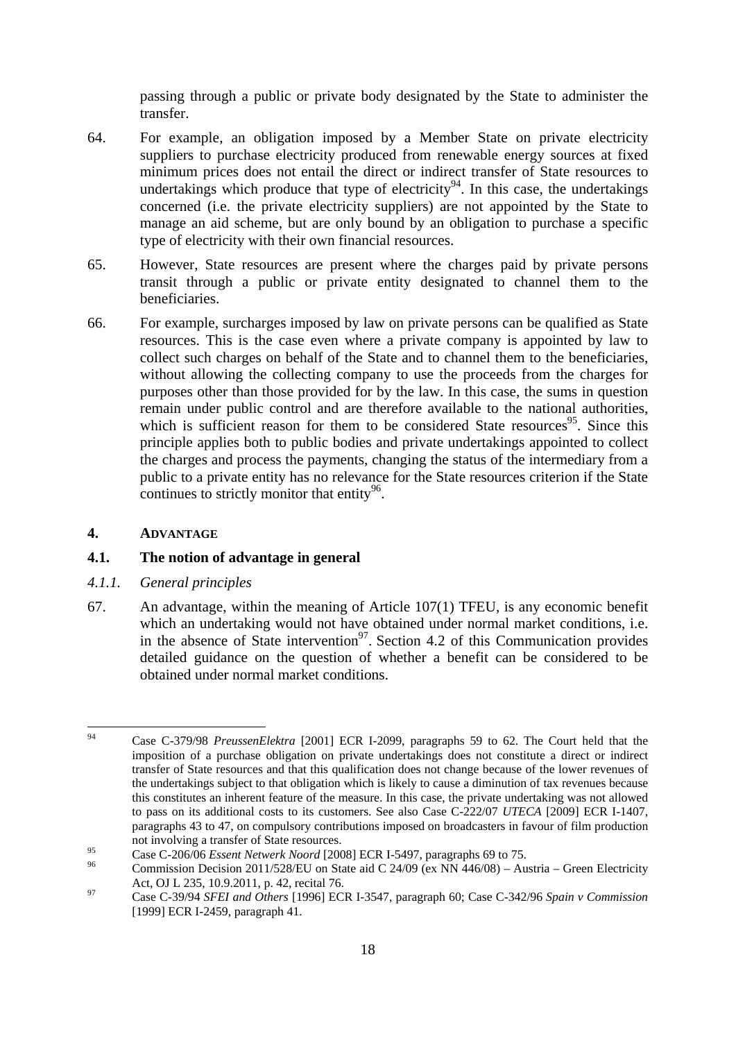passing through a public or private body designated by the State to administer the transfer.

- 64. For example, an obligation imposed by a Member State on private electricity suppliers to purchase electricity produced from renewable energy sources at fixed minimum prices does not entail the direct or indirect transfer of State resources to undertakings which produce that type of electricity<sup>94</sup>. In this case, the undertakings concerned (i.e. the private electricity suppliers) are not appointed by the State to manage an aid scheme, but are only bound by an obligation to purchase a specific type of electricity with their own financial resources.
- 65. However, State resources are present where the charges paid by private persons transit through a public or private entity designated to channel them to the beneficiaries.
- 66. For example, surcharges imposed by law on private persons can be qualified as State resources. This is the case even where a private company is appointed by law to collect such charges on behalf of the State and to channel them to the beneficiaries, without allowing the collecting company to use the proceeds from the charges for purposes other than those provided for by the law. In this case, the sums in question remain under public control and are therefore available to the national authorities, which is sufficient reason for them to be considered State resources<sup>95</sup>. Since this principle applies both to public bodies and private undertakings appointed to collect the charges and process the payments, changing the status of the intermediary from a public to a private entity has no relevance for the State resources criterion if the State continues to strictly monitor that entity $96$ .

#### <span id="page-17-0"></span>**4. ADVANTAGE**

#### <span id="page-17-1"></span>**4.1. The notion of advantage in general**

- <span id="page-17-2"></span>*4.1.1. General principles*
- 67. An advantage, within the meaning of Article 107(1) TFEU, is any economic benefit which an undertaking would not have obtained under normal market conditions, i.e. in the absence of State intervention<sup>97</sup>. Section [4.2 o](#page-20-0)f this Communication provides detailed guidance on the question of whether a benefit can be considered to be obtained under normal market conditions.

<sup>94</sup> 94 Case C-379/98 *PreussenElektra* [2001] ECR I-2099, paragraphs 59 to 62. The Court held that the imposition of a purchase obligation on private undertakings does not constitute a direct or indirect transfer of State resources and that this qualification does not change because of the lower revenues of the undertakings subject to that obligation which is likely to cause a diminution of tax revenues because this constitutes an inherent feature of the measure. In this case, the private undertaking was not allowed to pass on its additional costs to its customers. See also Case C-222/07 *UTECA* [2009] ECR I-1407, paragraphs 43 to 47, on compulsory contributions imposed on broadcasters in favour of film production not involving a transfer of State resources.

<sup>&</sup>lt;sup>95</sup> Case C-206/06 *Essent Netwerk Noord* [2008] ECR I-5497, paragraphs 69 to 75.<br><sup>96</sup> Commission Decision 2011/528/EU on State aid C 24/09 (ex NN 446/08) – Austria – Green Electricity Act, OJ L 235, 10.9.2011, p. 42, recital 76. 97 Case C-39/94 *SFEI and Others* [1996] ECR I-3547, paragraph 60; Case C-342/96 *Spain v Commission*

<sup>[1999]</sup> ECR I-2459, paragraph 41.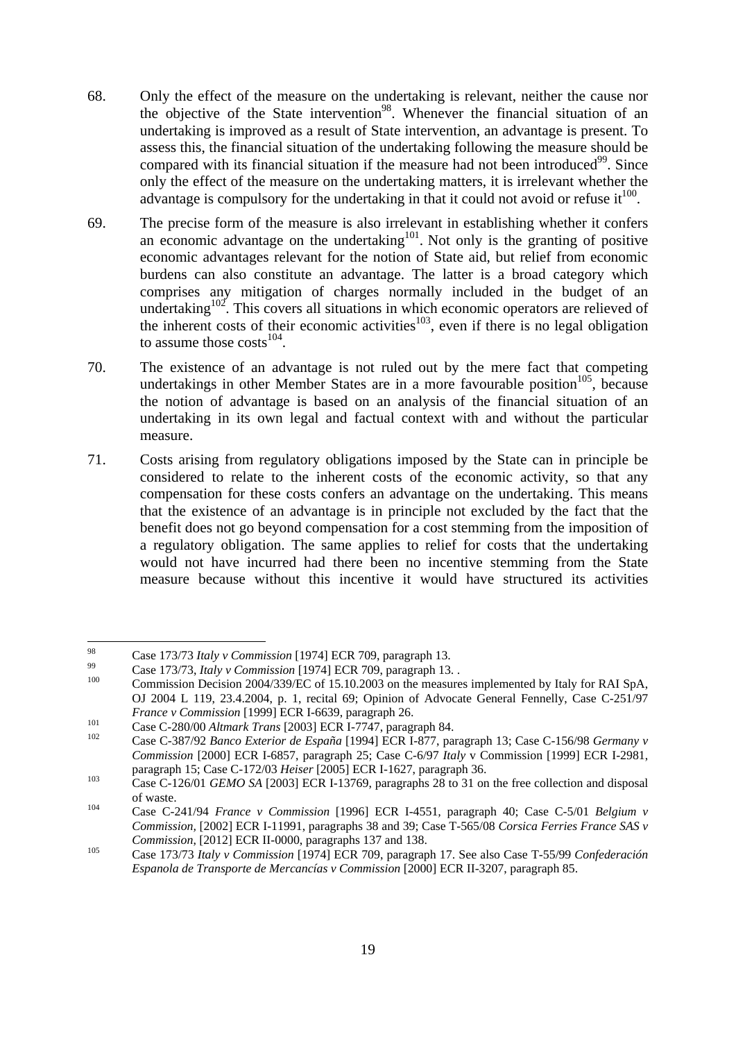- 68. Only the effect of the measure on the undertaking is relevant, neither the cause nor the objective of the State intervention<sup>98</sup>. Whenever the financial situation of an undertaking is improved as a result of State intervention, an advantage is present. To assess this, the financial situation of the undertaking following the measure should be compared with its financial situation if the measure had not been introduced $99$ . Since only the effect of the measure on the undertaking matters, it is irrelevant whether the advantage is compulsory for the undertaking in that it could not avoid or refuse  $it^{100}$ .
- 69. The precise form of the measure is also irrelevant in establishing whether it confers an economic advantage on the undertaking $101$ . Not only is the granting of positive economic advantages relevant for the notion of State aid, but relief from economic burdens can also constitute an advantage. The latter is a broad category which comprises any mitigation of charges normally included in the budget of an undertaking<sup>102</sup>. This covers all situations in which economic operators are relieved of the inherent costs of their economic activities<sup>103</sup>, even if there is no legal obligation to assume those  $costs^{104}$ .
- 70. The existence of an advantage is not ruled out by the mere fact that competing undertakings in other Member States are in a more favourable position<sup>105</sup>, because the notion of advantage is based on an analysis of the financial situation of an undertaking in its own legal and factual context with and without the particular measure.
- 71. Costs arising from regulatory obligations imposed by the State can in principle be considered to relate to the inherent costs of the economic activity, so that any compensation for these costs confers an advantage on the undertaking. This means that the existence of an advantage is in principle not excluded by the fact that the benefit does not go beyond compensation for a cost stemming from the imposition of a regulatory obligation. The same applies to relief for costs that the undertaking would not have incurred had there been no incentive stemming from the State measure because without this incentive it would have structured its activities

<sup>98</sup> 

<sup>&</sup>lt;sup>98</sup><br>Case 173/73 *Italy v Commission* [1974] ECR 709, paragraph 13.<br>Case 173/73, *Italy v Commission* [1974] ECR 709, paragraph 13. .<br>Commission Decision 2004/339/EC of 15.10.2003 on the measures implemented by Italy for OJ 2004 L 119, 23.4.2004, p. 1, recital 69; Opinion of Advocate General Fennelly, Case C-251/97 France v Commission [1999] ECR I-6639, paragraph 26.<br>
Case C-280/00 Altmark Trans [2003] ECR I-7747, paragraph 84.<br>
Case C-387/92 Banco Exterior de España [1994] ECR I-877, paragraph 13; Case C-156/98 Germany v

*Commission* [2000] ECR I-6857, paragraph 25; Case C-6/97 *Italy* v Commission [1999] ECR I-2981, paragraph 15; Case C-172/03 *Heiser* [2005] ECR I-1627, paragraph 36.<br>
Case C-126/01 *GEMO SA* [2003] ECR I-13769, paragraphs 28 to 31 on the free collection and disposal

of waste. 104 Case C-241/94 *France v Commission* [1996] ECR I-4551*,* paragraph 40; Case C-5/01 *Belgium v* 

*Commission,* [2002] ECR I-11991, paragraphs 38 and 39; Case T-565/08 *Corsica Ferries France SAS v* 

*Commission*, [2012] ECR II-0000, paragraphs 137 and 138.<br>
Case 173/73 *Italy v Commission* [1974] ECR 709, paragraph 17. See also Case T-55/99 *Confederación Espanola de Transporte de Mercancías v Commission* [2000] ECR II-3207, paragraph 85.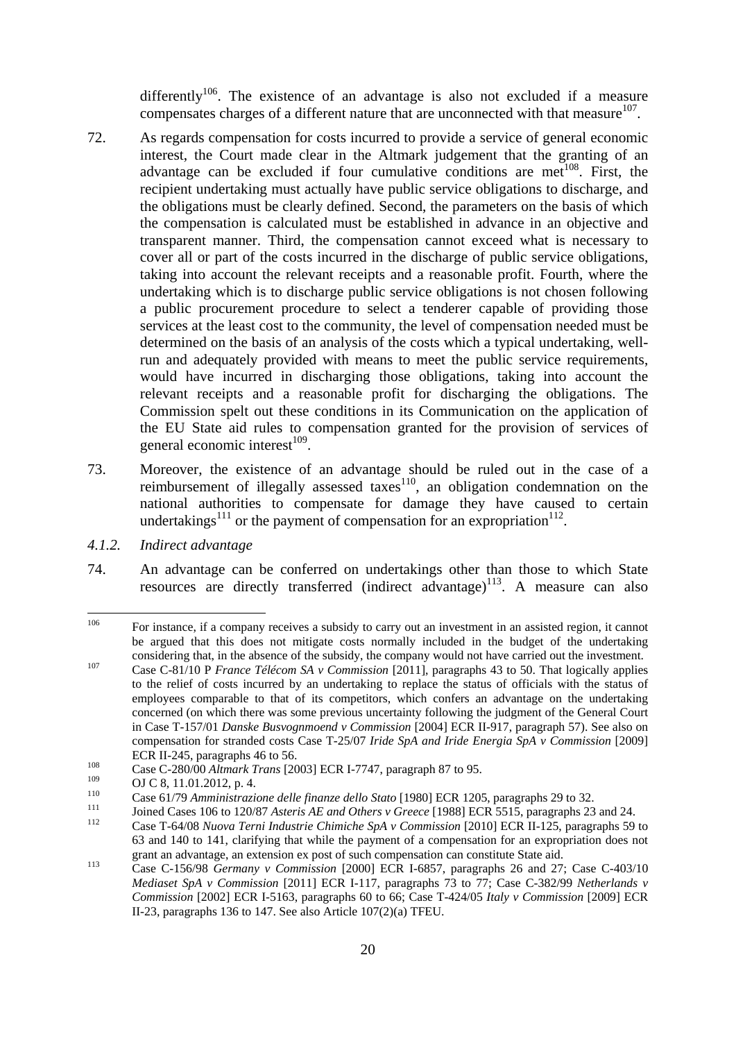differently<sup>106</sup>. The existence of an advantage is also not excluded if a measure compensates charges of a different nature that are unconnected with that measure $107$ .

- 72. As regards compensation for costs incurred to provide a service of general economic interest, the Court made clear in the Altmark judgement that the granting of an advantage can be excluded if four cumulative conditions are met<sup>108</sup>. First, the recipient undertaking must actually have public service obligations to discharge, and the obligations must be clearly defined. Second, the parameters on the basis of which the compensation is calculated must be established in advance in an objective and transparent manner. Third, the compensation cannot exceed what is necessary to cover all or part of the costs incurred in the discharge of public service obligations, taking into account the relevant receipts and a reasonable profit. Fourth, where the undertaking which is to discharge public service obligations is not chosen following a public procurement procedure to select a tenderer capable of providing those services at the least cost to the community, the level of compensation needed must be determined on the basis of an analysis of the costs which a typical undertaking, wellrun and adequately provided with means to meet the public service requirements, would have incurred in discharging those obligations, taking into account the relevant receipts and a reasonable profit for discharging the obligations. The Commission spelt out these conditions in its Communication on the application of the EU State aid rules to compensation granted for the provision of services of general economic interest $^{109}$ .
- 73. Moreover, the existence of an advantage should be ruled out in the case of a reimbursement of illegally assessed taxes<sup>110</sup>, an obligation condemnation on the national authorities to compensate for damage they have caused to certain undertakings<sup>111</sup> or the payment of compensation for an expropriation<sup>112</sup>.
- <span id="page-19-0"></span>*4.1.2. Indirect advantage*
- 74. An advantage can be conferred on undertakings other than those to which State resources are directly transferred (indirect advantage)<sup>113</sup>. A measure can also

<sup>106</sup> For instance, if a company receives a subsidy to carry out an investment in an assisted region, it cannot be argued that this does not mitigate costs normally included in the budget of the undertaking considering that, in the absence of the subsidy, the company would not have carried out the investment.<br>
Case C-81/10 P *France Télécom SA v Commission* [2011], paragraphs 43 to 50. That logically applies

to the relief of costs incurred by an undertaking to replace the status of officials with the status of employees comparable to that of its competitors, which confers an advantage on the undertaking concerned (on which there was some previous uncertainty following the judgment of the General Court in Case T-157/01 *Danske Busvognmoend v Commission* [2004] ECR II-917, paragraph 57). See also on compensation for stranded costs Case T-25/07 *Iride SpA and Iride Energia SpA v Commission* [2009]

ECR II-245, paragraphs 46 to 56.<br>
Case C-280/00 *Altmark Trans* [2003] ECR I-7747, paragraph 87 to 95.<br>
<sup>109</sup> CLG 8, 11.01.2012 m.4

<sup>&</sup>lt;sup>109</sup> OJ C 8, 11.01.2012, p. 4.<br>
Case 61/79 Amministrazione delle finanze dello Stato [1980] ECR 1205, paragraphs 29 to 32.<br>
Joined Cases 106 to 120/87 Asteris AE and Others v Greece [1988] ECR 5515, paragraphs 23 and 24.

<sup>63</sup> and 140 to 141, clarifying that while the payment of a compensation for an expropriation does not

grant an advantage, an extension ex post of such compensation can constitute State aid.<br>
Case C-156/98 *Germany v Commission* [2000] ECR I-6857, paragraphs 26 and 27; Case C-403/10 *Mediaset SpA v Commission* [2011] ECR I-117, paragraphs 73 to 77; Case C-382/99 *Netherlands v Commission* [2002] ECR I-5163, paragraphs 60 to 66; Case T-424/05 *Italy v Commission* [2009] ECR II-23, paragraphs 136 to 147. See also Article 107(2)(a) TFEU.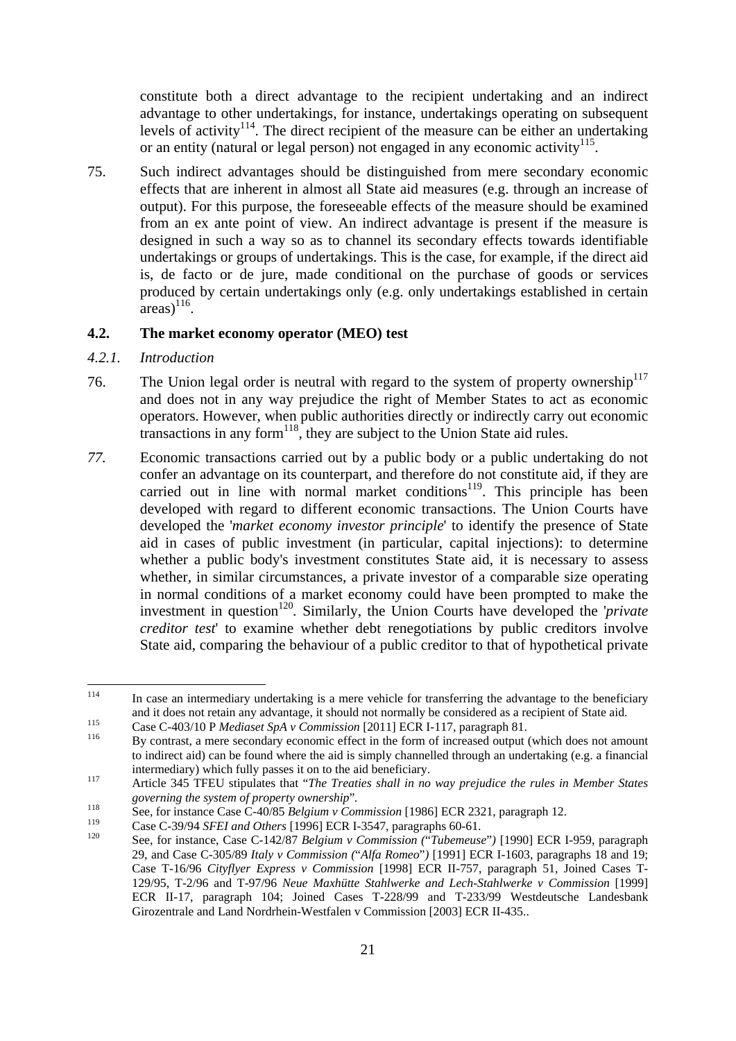constitute both a direct advantage to the recipient undertaking and an indirect advantage to other undertakings, for instance, undertakings operating on subsequent levels of activity<sup>114</sup>. The direct recipient of the measure can be either an undertaking or an entity (natural or legal person) not engaged in any economic activity<sup>115</sup>.

75. Such indirect advantages should be distinguished from mere secondary economic effects that are inherent in almost all State aid measures (e.g. through an increase of output). For this purpose, the foreseeable effects of the measure should be examined from an ex ante point of view. An indirect advantage is present if the measure is designed in such a way so as to channel its secondary effects towards identifiable undertakings or groups of undertakings. This is the case, for example, if the direct aid is, de facto or de jure, made conditional on the purchase of goods or services produced by certain undertakings only (e.g. only undertakings established in certain  $\arccos$ <sup>116</sup>.

#### <span id="page-20-0"></span>**4.2. The market economy operator (MEO) test**

- <span id="page-20-1"></span>*4.2.1. Introduction*
- 76. The Union legal order is neutral with regard to the system of property ownership<sup>117</sup> and does not in any way prejudice the right of Member States to act as economic operators. However, when public authorities directly or indirectly carry out economic transactions in any form<sup>118</sup>, they are subject to the Union State aid rules.
- *77.* Economic transactions carried out by a public body or a public undertaking do not confer an advantage on its counterpart, and therefore do not constitute aid, if they are carried out in line with normal market conditions<sup>119</sup>. This principle has been developed with regard to different economic transactions. The Union Courts have developed the '*market economy investor principle*' to identify the presence of State aid in cases of public investment (in particular, capital injections): to determine whether a public body's investment constitutes State aid, it is necessary to assess whether, in similar circumstances, a private investor of a comparable size operating in normal conditions of a market economy could have been prompted to make the investment in question120*.* Similarly, the Union Courts have developed the '*private creditor test*' to examine whether debt renegotiations by public creditors involve State aid, comparing the behaviour of a public creditor to that of hypothetical private

<sup>114</sup> In case an intermediary undertaking is a mere vehicle for transferring the advantage to the beneficiary and it does not retain any advantage, it should not normally be considered as a recipient of State aid.<br>
Case C-403/10 P *Mediaset SpA v Commission* [2011] ECR I-117, paragraph 81.<br>
By contrast, a mere secondary economic e

to indirect aid) can be found where the aid is simply channelled through an undertaking (e.g. a financial intermediary) which fully passes it on to the aid beneficiary.<br><sup>117</sup> Article 345 TFEU stipulates that "*The Treaties shall in no way prejudice the rules in Member States* 

*governing the system of property ownership*".<br>
See, for instance Case C-40/85 *Belgium v Commission* [1986] ECR 2321, paragraph 12.<br>
Cose C 20/04 SEEL and Others [1996] ECR 1.2547, paragraphs 69, 61.

<sup>&</sup>lt;sup>119</sup> Case C-39/94 *SFEI and Others* [1996] ECR I-3547, paragraphs 60-61.<br><sup>120</sup> See, for instance, Case C-142/87 *Belgium v Commission ("Tubemeuse")* [1990] ECR I-959, paragraph 29, and Case C-305/89 *Italy v Commission (*"*Alfa Romeo*"*)* [1991] ECR I-1603, paragraphs 18 and 19; Case T-16/96 *Cityflyer Express v Commission* [1998] ECR II-757, paragraph 51, Joined Cases T-129/95, T-2/96 and T-97/96 *Neue Maxhütte Stahlwerke and Lech-Stahlwerke v Commission* [1999] ECR II-17, paragraph 104; Joined Cases T-228/99 and T-233/99 Westdeutsche Landesbank Girozentrale and Land Nordrhein-Westfalen v Commission [2003] ECR II-435..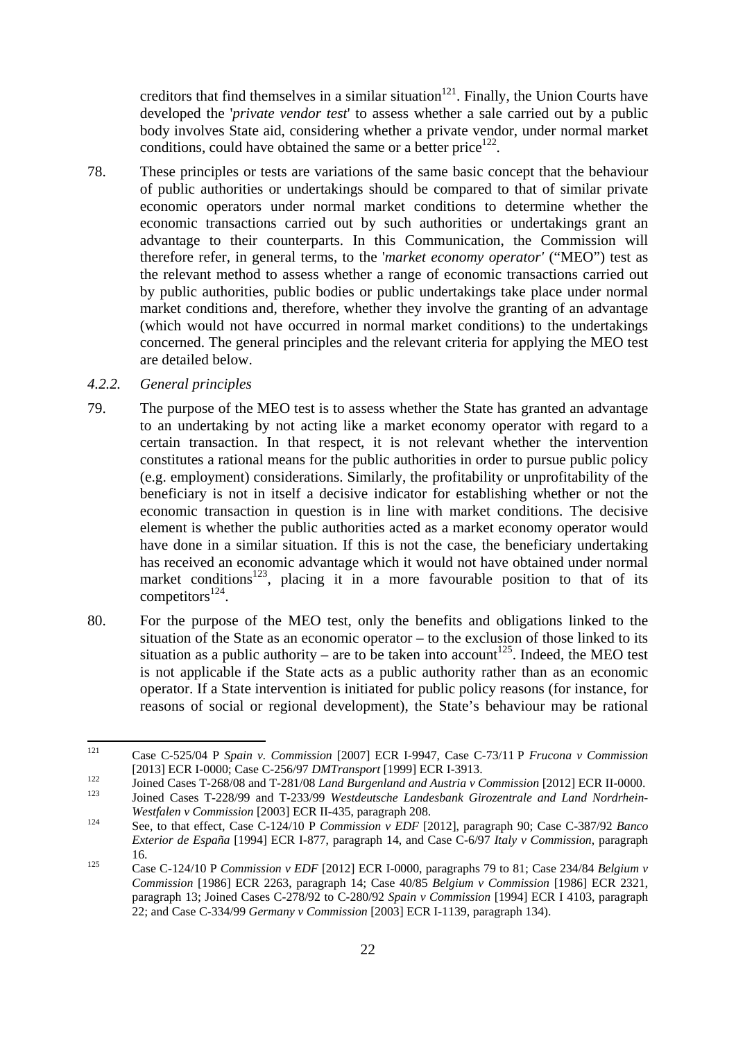creditors that find themselves in a similar situation $121$ . Finally, the Union Courts have developed the '*private vendor test*' to assess whether a sale carried out by a public body involves State aid, considering whether a private vendor, under normal market conditions, could have obtained the same or a better price<sup>122</sup>.

78. These principles or tests are variations of the same basic concept that the behaviour of public authorities or undertakings should be compared to that of similar private economic operators under normal market conditions to determine whether the economic transactions carried out by such authorities or undertakings grant an advantage to their counterparts. In this Communication, the Commission will therefore refer, in general terms, to the '*market economy operator'* ("MEO") test as the relevant method to assess whether a range of economic transactions carried out by public authorities, public bodies or public undertakings take place under normal market conditions and, therefore, whether they involve the granting of an advantage (which would not have occurred in normal market conditions) to the undertakings concerned. The general principles and the relevant criteria for applying the MEO test are detailed below.

#### <span id="page-21-0"></span>*4.2.2. General principles*

- 79. The purpose of the MEO test is to assess whether the State has granted an advantage to an undertaking by not acting like a market economy operator with regard to a certain transaction. In that respect, it is not relevant whether the intervention constitutes a rational means for the public authorities in order to pursue public policy (e.g. employment) considerations. Similarly, the profitability or unprofitability of the beneficiary is not in itself a decisive indicator for establishing whether or not the economic transaction in question is in line with market conditions. The decisive element is whether the public authorities acted as a market economy operator would have done in a similar situation. If this is not the case, the beneficiary undertaking has received an economic advantage which it would not have obtained under normal market conditions<sup>123</sup>, placing it in a more favourable position to that of its competitors $^{124}$ .
- 80. For the purpose of the MEO test, only the benefits and obligations linked to the situation of the State as an economic operator – to the exclusion of those linked to its situation as a public authority – are to be taken into account<sup>125</sup>. Indeed, the MEO test is not applicable if the State acts as a public authority rather than as an economic operator. If a State intervention is initiated for public policy reasons (for instance, for reasons of social or regional development), the State's behaviour may be rational

 $121$ 121 Case C-525/04 P *Spain v. Commission* [2007] ECR I-9947, Case C-73/11 P *Frucona v Commission*

<sup>[2013]</sup> ECR I-0000; Case C-256/97 *DMTransport* [1999] ECR I-3913.<br>Joined Cases T-268/08 and T-281/08 *Land Burgenland and Austria v Commission* [2012] ECR II-0000.<br>Joined Cases T-228/99 and T-233/99 *Westdeutsche Landesban* 

*Westfalen v Commission* [2003] ECR II-435, paragraph 208.<br>
See, to that effect, Case C-124/10 P *Commission v EDF* [2012], paragraph 90; Case C-387/92 *Banco Exterior de España* [1994] ECR I-877, paragraph 14, and Case C-6/97 *Italy v Commission*, paragraph 16. 125 Case C-124/10 P *Commission v EDF* [2012] ECR I-0000, paragraphs 79 to 81; Case 234/84 *Belgium v* 

*Commission* [1986] ECR 2263, paragraph 14; Case 40/85 *Belgium v Commission* [1986] ECR 2321, paragraph 13; Joined Cases C-278/92 to C-280/92 *Spain v Commission* [1994] ECR I 4103, paragraph 22; and Case C-334/99 *Germany v Commission* [2003] ECR I-1139, paragraph 134).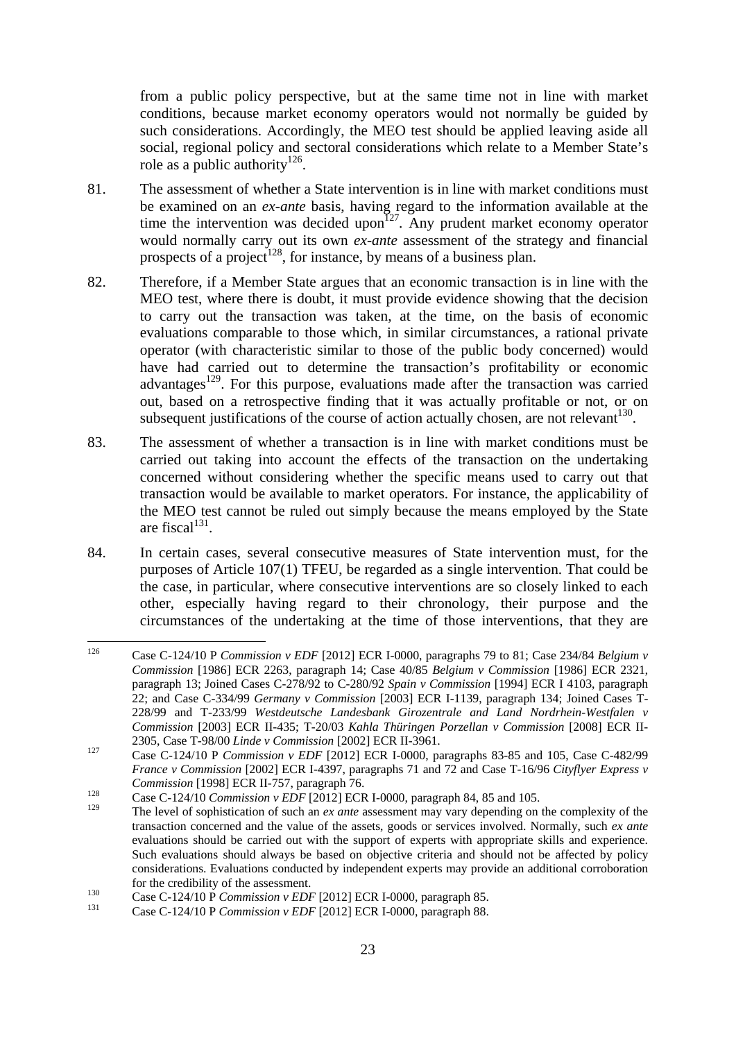from a public policy perspective, but at the same time not in line with market conditions, because market economy operators would not normally be guided by such considerations. Accordingly, the MEO test should be applied leaving aside all social, regional policy and sectoral considerations which relate to a Member State's role as a public authority<sup>126</sup>.

- 81. The assessment of whether a State intervention is in line with market conditions must be examined on an *ex-ante* basis, having regard to the information available at the time the intervention was decided upon<sup> $127$ </sup>. Any prudent market economy operator would normally carry out its own *ex-ante* assessment of the strategy and financial prospects of a project<sup>128</sup>, for instance, by means of a business plan.
- 82. Therefore, if a Member State argues that an economic transaction is in line with the MEO test, where there is doubt, it must provide evidence showing that the decision to carry out the transaction was taken, at the time, on the basis of economic evaluations comparable to those which, in similar circumstances, a rational private operator (with characteristic similar to those of the public body concerned) would have had carried out to determine the transaction's profitability or economic advantages<sup>129</sup>. For this purpose, evaluations made after the transaction was carried out, based on a retrospective finding that it was actually profitable or not, or on subsequent justifications of the course of action actually chosen, are not relevant  $130$ .
- 83. The assessment of whether a transaction is in line with market conditions must be carried out taking into account the effects of the transaction on the undertaking concerned without considering whether the specific means used to carry out that transaction would be available to market operators. For instance, the applicability of the MEO test cannot be ruled out simply because the means employed by the State are fiscal $131$ .
- 84. In certain cases, several consecutive measures of State intervention must, for the purposes of Article 107(1) TFEU, be regarded as a single intervention. That could be the case, in particular, where consecutive interventions are so closely linked to each other, especially having regard to their chronology, their purpose and the circumstances of the undertaking at the time of those interventions, that they are

<sup>126</sup> 126 Case C-124/10 P *Commission v EDF* [2012] ECR I-0000, paragraphs 79 to 81; Case 234/84 *Belgium v Commission* [1986] ECR 2263, paragraph 14; Case 40/85 *Belgium v Commission* [1986] ECR 2321, paragraph 13; Joined Cases C-278/92 to C-280/92 *Spain v Commission* [1994] ECR I 4103, paragraph 22; and Case C-334/99 *Germany v Commission* [2003] ECR I-1139, paragraph 134; Joined Cases T-228/99 and T-233/99 *Westdeutsche Landesbank Girozentrale and Land Nordrhein-Westfalen v Commission* [2003] ECR II-435; T-20/03 *Kahla Thüringen Porzellan v Commission* [2008] ECR II-2305, Case T-98/00 *Linde v Commission* [2002] ECR II-3961. 127 Case C-124/10 <sup>P</sup>*Commission v EDF* [2012] ECR I-0000, paragraphs 83-85 and 105, Case C-482/99

*France v Commission* [2002] ECR I-4397, paragraphs 71 and 72 and Case T-16/96 *Cityflyer Express v Commission* [1998] ECR II-757, paragraph 76.<br>
Case C-124/10 *Commission v EDF* [2012] ECR I-0000, paragraph 84, 85 and 105.

<sup>129</sup> The level of sophistication of such an *ex ante* assessment may vary depending on the complexity of the transaction concerned and the value of the assets, goods or services involved. Normally, such *ex ante* evaluations should be carried out with the support of experts with appropriate skills and experience. Such evaluations should always be based on objective criteria and should not be affected by policy considerations. Evaluations conducted by independent experts may provide an additional corroboration for the credibility of the assessment. 130 Case C-124/10 P *Commission v EDF* [2012] ECR I-0000, paragraph 85. 131 Case C-124/10 P *Commission v EDF* [2012] ECR I-0000, paragraph 88.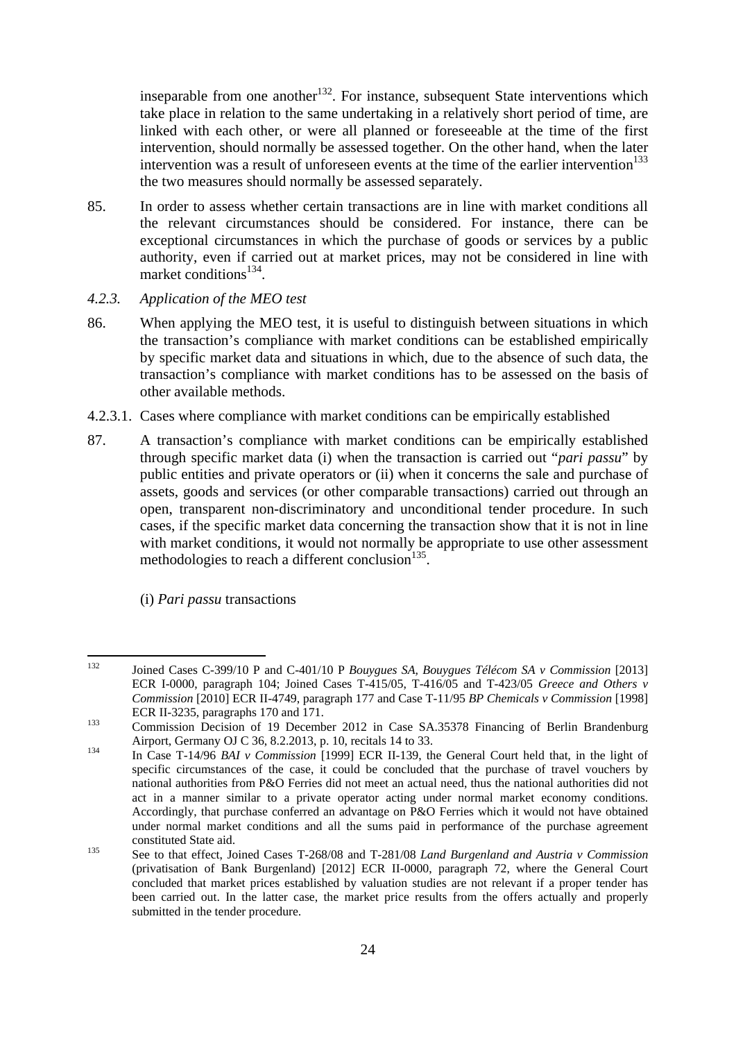inseparable from one another<sup>132</sup>. For instance, subsequent State interventions which take place in relation to the same undertaking in a relatively short period of time, are linked with each other, or were all planned or foreseeable at the time of the first intervention, should normally be assessed together. On the other hand, when the later intervention was a result of unforeseen events at the time of the earlier intervention $133$ the two measures should normally be assessed separately.

- 85. In order to assess whether certain transactions are in line with market conditions all the relevant circumstances should be considered. For instance, there can be exceptional circumstances in which the purchase of goods or services by a public authority, even if carried out at market prices, may not be considered in line with market conditions<sup>134</sup>
- <span id="page-23-0"></span>*4.2.3. Application of the MEO test*
- 86. When applying the MEO test, it is useful to distinguish between situations in which the transaction's compliance with market conditions can be established empirically by specific market data and situations in which, due to the absence of such data, the transaction's compliance with market conditions has to be assessed on the basis of other available methods.
- 4.2.3.1. Cases where compliance with market conditions can be empirically established
- 87. A transaction's compliance with market conditions can be empirically established through specific market data (i) when the transaction is carried out "*pari passu*" by public entities and private operators or (ii) when it concerns the sale and purchase of assets, goods and services (or other comparable transactions) carried out through an open, transparent non-discriminatory and unconditional tender procedure. In such cases, if the specific market data concerning the transaction show that it is not in line with market conditions, it would not normally be appropriate to use other assessment methodologies to reach a different conclusion<sup>135</sup>.
	- (i) *Pari passu* transactions

<sup>132</sup> 132 Joined Cases C-399/10 P and C-401/10 P *Bouygues SA, Bouygues Télécom SA v Commission* [2013] ECR I-0000, paragraph 104; Joined Cases T-415/05, T-416/05 and T-423/05 *Greece and Others v Commission* [2010] ECR II-4749, paragraph 177 and Case T-11/95 *BP Chemicals v Commission* [1998]

ECR II-3235, paragraphs 170 and 171.<br>
Commission Decision of 19 December 2012 in Case SA.35378 Financing of Berlin Brandenburg Airport, Germany OJ C 36, 8.2.2013, p. 10, recitals 14 to 33.<br>In Case T-14/96 *BAI v Commission* [1999] ECR II-139, the General Court held that, in the light of

specific circumstances of the case, it could be concluded that the purchase of travel vouchers by national authorities from P&O Ferries did not meet an actual need, thus the national authorities did not act in a manner similar to a private operator acting under normal market economy conditions. Accordingly, that purchase conferred an advantage on P&O Ferries which it would not have obtained under normal market conditions and all the sums paid in performance of the purchase agreement constituted State aid. 135 See to that effect, Joined Cases T-268/08 and T-281/08 *Land Burgenland and Austria v Commission*

<sup>(</sup>privatisation of Bank Burgenland) [2012] ECR II-0000, paragraph 72, where the General Court concluded that market prices established by valuation studies are not relevant if a proper tender has been carried out. In the latter case, the market price results from the offers actually and properly submitted in the tender procedure.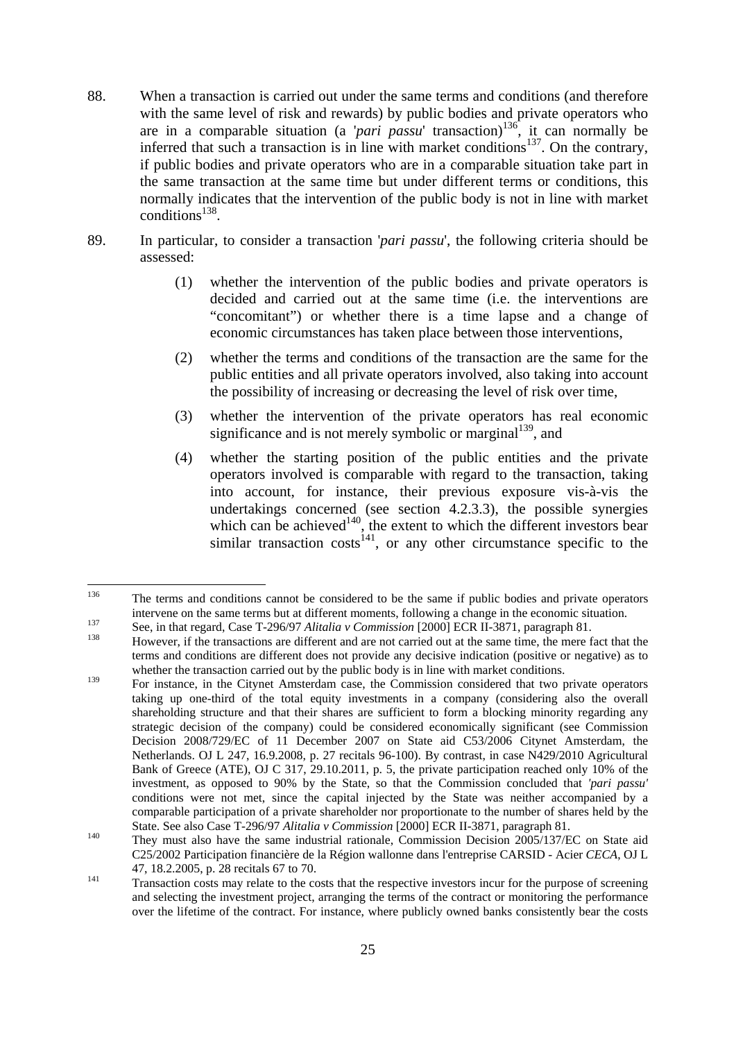- 88. When a transaction is carried out under the same terms and conditions (and therefore with the same level of risk and rewards) by public bodies and private operators who are in a comparable situation (a '*pari passu*' transaction)<sup>136</sup>, it can normally be inferred that such a transaction is in line with market conditions<sup>137</sup>. On the contrary, if public bodies and private operators who are in a comparable situation take part in the same transaction at the same time but under different terms or conditions, this normally indicates that the intervention of the public body is not in line with market  $conditions<sup>138</sup>$ .
- 89. In particular, to consider a transaction '*pari passu*', the following criteria should be assessed:
	- (1) whether the intervention of the public bodies and private operators is decided and carried out at the same time (i.e. the interventions are "concomitant") or whether there is a time lapse and a change of economic circumstances has taken place between those interventions,
	- (2) whether the terms and conditions of the transaction are the same for the public entities and all private operators involved, also taking into account the possibility of increasing or decreasing the level of risk over time,
	- (3) whether the intervention of the private operators has real economic significance and is not merely symbolic or marginal<sup>139</sup>, and
	- (4) whether the starting position of the public entities and the private operators involved is comparable with regard to the transaction, taking into account, for instance, their previous exposure vis-à-vis the undertakings concerned (see section [4.2.3.3\)](#page-29-0), the possible synergies which can be achieved<sup>140</sup>, the extent to which the different investors bear similar transaction costs<sup>141</sup>, or any other circumstance specific to the

<sup>136</sup> 136 The terms and conditions cannot be considered to be the same if public bodies and private operators intervene on the same terms but at different moments, following a change in the economic situation.<br>See, in that regard, Case T-296/97 Alitalia v Commission [2000] ECR II-3871, paragraph 81.<br>However, if the transactions ar

terms and conditions are different does not provide any decisive indication (positive or negative) as to whether the transaction carried out by the public body is in line with market conditions.

<sup>&</sup>lt;sup>139</sup> For instance, in the Citynet Amsterdam case, the Commission considered that two private operators taking up one-third of the total equity investments in a company (considering also the overall shareholding structure and that their shares are sufficient to form a blocking minority regarding any strategic decision of the company) could be considered economically significant (see Commission Decision 2008/729/EC of 11 December 2007 on State aid C53/2006 Citynet Amsterdam, the Netherlands. OJ L 247, 16.9.2008, p. 27 recitals 96-100). By contrast, in case N429/2010 Agricultural Bank of Greece (ATE), OJ C 317, 29.10.2011, p. 5, the private participation reached only 10% of the investment, as opposed to 90% by the State, so that the Commission concluded that *'pari passu'* conditions were not met, since the capital injected by the State was neither accompanied by a comparable participation of a private shareholder nor proportionate to the number of shares held by the

State. See also Case T-296/97 *Alitalia v Commission* [2000] ECR II-3871, paragraph 81.<br><sup>140</sup> They must also have the same industrial rationale, Commission Decision 2005/137/EC on State aid C25/2002 Participation financière de la Région wallonne dans l'entreprise CARSID - Acier *CECA*, OJ L 47, 18.2.2005, p. 28 recitals 67 to 70.<br>Transaction costs may relate to the costs that the respective investors incur for the purpose of screening

and selecting the investment project, arranging the terms of the contract or monitoring the performance over the lifetime of the contract. For instance, where publicly owned banks consistently bear the costs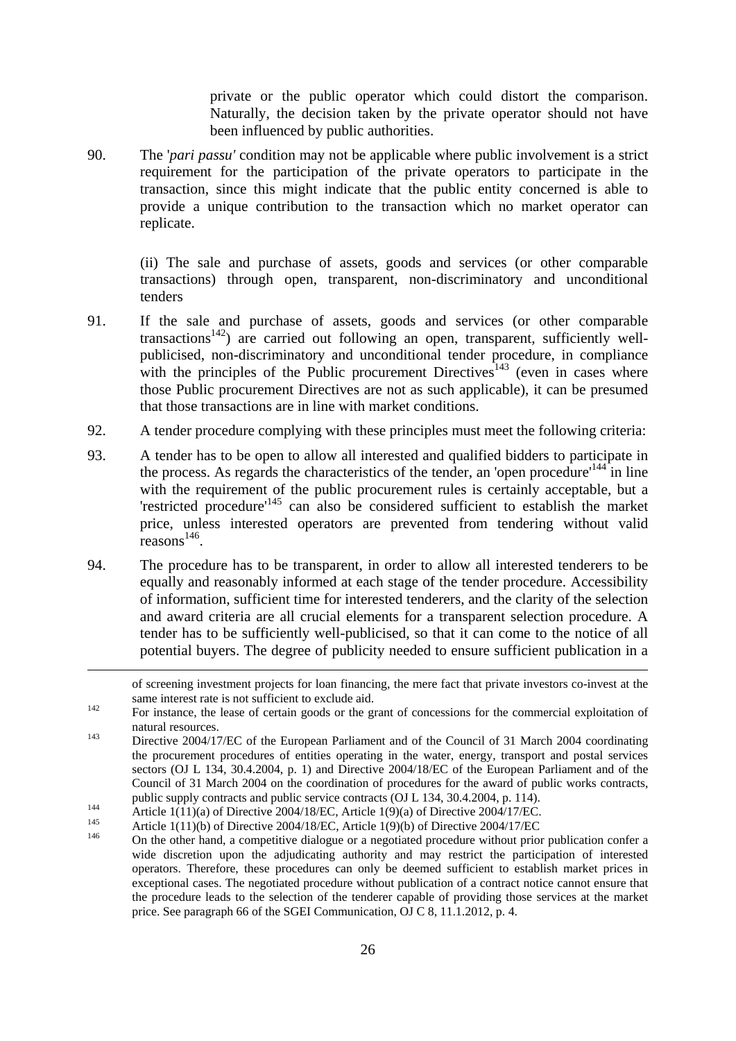private or the public operator which could distort the comparison. Naturally, the decision taken by the private operator should not have been influenced by public authorities.

90. The '*pari passu'* condition may not be applicable where public involvement is a strict requirement for the participation of the private operators to participate in the transaction, since this might indicate that the public entity concerned is able to provide a unique contribution to the transaction which no market operator can replicate.

(ii) The sale and purchase of assets, goods and services (or other comparable transactions) through open, transparent, non-discriminatory and unconditional tenders

- 91. If the sale and purchase of assets, goods and services (or other comparable transactions<sup>142</sup>) are carried out following an open, transparent, sufficiently wellpublicised, non-discriminatory and unconditional tender procedure, in compliance with the principles of the Public procurement Directives<sup>143</sup> (even in cases where those Public procurement Directives are not as such applicable), it can be presumed that those transactions are in line with market conditions.
- 92. A tender procedure complying with these principles must meet the following criteria:
- 93. A tender has to be open to allow all interested and qualified bidders to participate in the process. As regards the characteristics of the tender, an 'open procedure'<sup>144</sup> in line with the requirement of the public procurement rules is certainly acceptable, but a 'restricted procedure'145 can also be considered sufficient to establish the market price, unless interested operators are prevented from tendering without valid  $reasons<sup>146</sup>$ .
- 94. The procedure has to be transparent, in order to allow all interested tenderers to be equally and reasonably informed at each stage of the tender procedure. Accessibility of information, sufficient time for interested tenderers, and the clarity of the selection and award criteria are all crucial elements for a transparent selection procedure. A tender has to be sufficiently well-publicised, so that it can come to the notice of all potential buyers. The degree of publicity needed to ensure sufficient publication in a

**.** 

public supply contracts and public service contracts (OJ L 134, 30.4.2004, p. 114).<br>
Article 1(11)(a) of Directive 2004/18/EC, Article 1(9)(a) of Directive 2004/17/EC.<br>
Article 1(11)(b) of Directive 2004/18/EC, Article 1(9 wide discretion upon the adjudicating authority and may restrict the participation of interested operators. Therefore, these procedures can only be deemed sufficient to establish market prices in exceptional cases. The negotiated procedure without publication of a contract notice cannot ensure that the procedure leads to the selection of the tenderer capable of providing those services at the market price. See paragraph 66 of the SGEI Communication, OJ C 8, 11.1.2012, p. 4.

of screening investment projects for loan financing, the mere fact that private investors co-invest at the same interest rate is not sufficient to exclude aid.<br><sup>142</sup> For instance, the lease of certain goods or the grant of concessions for the commercial exploitation of

natural resources.<br>Directive 2004/17/EC of the European Parliament and of the Council of 31 March 2004 coordinating

the procurement procedures of entities operating in the water, energy, transport and postal services sectors (OJ L 134, 30.4.2004, p. 1) and Directive 2004/18/EC of the European Parliament and of the Council of 31 March 2004 on the coordination of procedures for the award of public works contracts,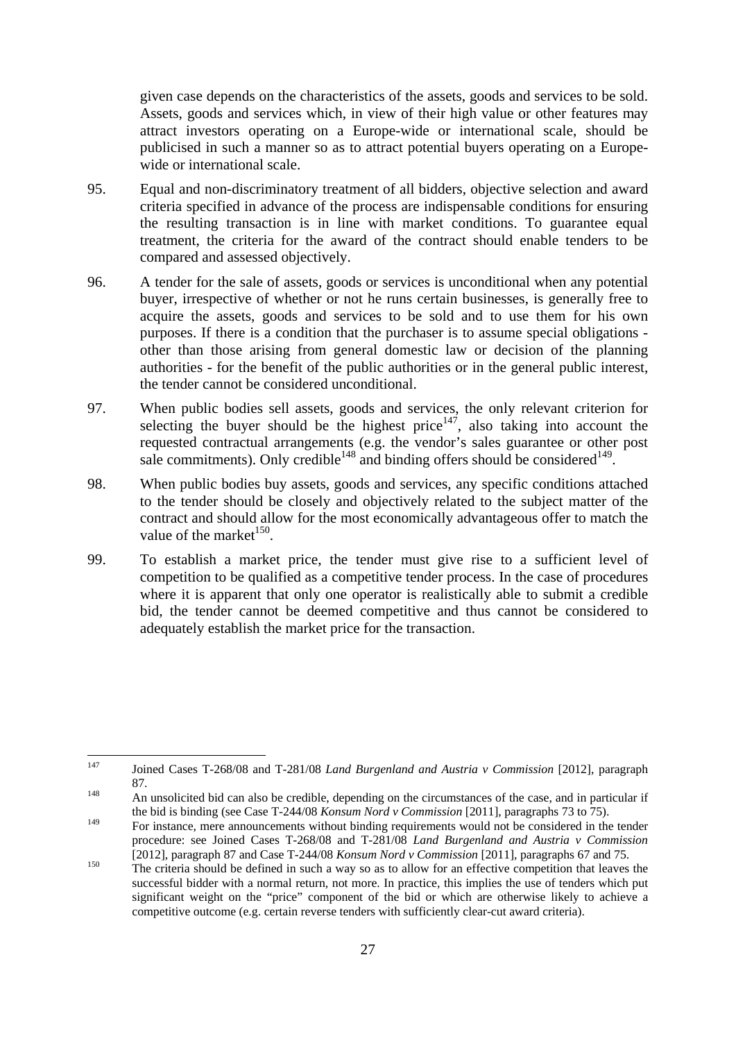given case depends on the characteristics of the assets, goods and services to be sold. Assets, goods and services which, in view of their high value or other features may attract investors operating on a Europe-wide or international scale, should be publicised in such a manner so as to attract potential buyers operating on a Europewide or international scale.

- 95. Equal and non-discriminatory treatment of all bidders, objective selection and award criteria specified in advance of the process are indispensable conditions for ensuring the resulting transaction is in line with market conditions. To guarantee equal treatment, the criteria for the award of the contract should enable tenders to be compared and assessed objectively.
- 96. A tender for the sale of assets, goods or services is unconditional when any potential buyer, irrespective of whether or not he runs certain businesses, is generally free to acquire the assets, goods and services to be sold and to use them for his own purposes. If there is a condition that the purchaser is to assume special obligations other than those arising from general domestic law or decision of the planning authorities - for the benefit of the public authorities or in the general public interest, the tender cannot be considered unconditional.
- 97. When public bodies sell assets, goods and services, the only relevant criterion for selecting the buyer should be the highest price $147$ , also taking into account the requested contractual arrangements (e.g. the vendor's sales guarantee or other post sale commitments). Only credible<sup>148</sup> and binding offers should be considered<sup>149</sup>.
- 98. When public bodies buy assets, goods and services, any specific conditions attached to the tender should be closely and objectively related to the subject matter of the contract and should allow for the most economically advantageous offer to match the value of the market $^{150}$ .
- 99. To establish a market price, the tender must give rise to a sufficient level of competition to be qualified as a competitive tender process. In the case of procedures where it is apparent that only one operator is realistically able to submit a credible bid, the tender cannot be deemed competitive and thus cannot be considered to adequately establish the market price for the transaction.

<sup>147</sup> 147 Joined Cases T-268/08 and T-281/08 *Land Burgenland and Austria v Commission* [2012], paragraph 87. 148 An unsolicited bid can also be credible, depending on the circumstances of the case, and in particular if

the bid is binding (see Case T-244/08 *Konsum Nord v Commission* [2011], paragraphs 73 to 75).

<sup>149</sup> For instance, mere announcements without binding requirements would not be considered in the tender procedure: see Joined Cases T-268/08 and T-281/08 *Land Burgenland and Austria v Commission* [2012], paragraph 87 and Case T-244/08 *Konsum Nord v Commission* [2011], paragraphs 67 and 75.

<sup>[2012],</sup> paragraph 87 and Case T-244/08 *Konsum Nord v Commission* [2011], paragraphs 67 and 75. 150 The criteria should be defined in such a way so as to allow for an effective competition that leaves the successful bidder with a normal return, not more. In practice, this implies the use of tenders which put significant weight on the "price" component of the bid or which are otherwise likely to achieve a competitive outcome (e.g. certain reverse tenders with sufficiently clear-cut award criteria).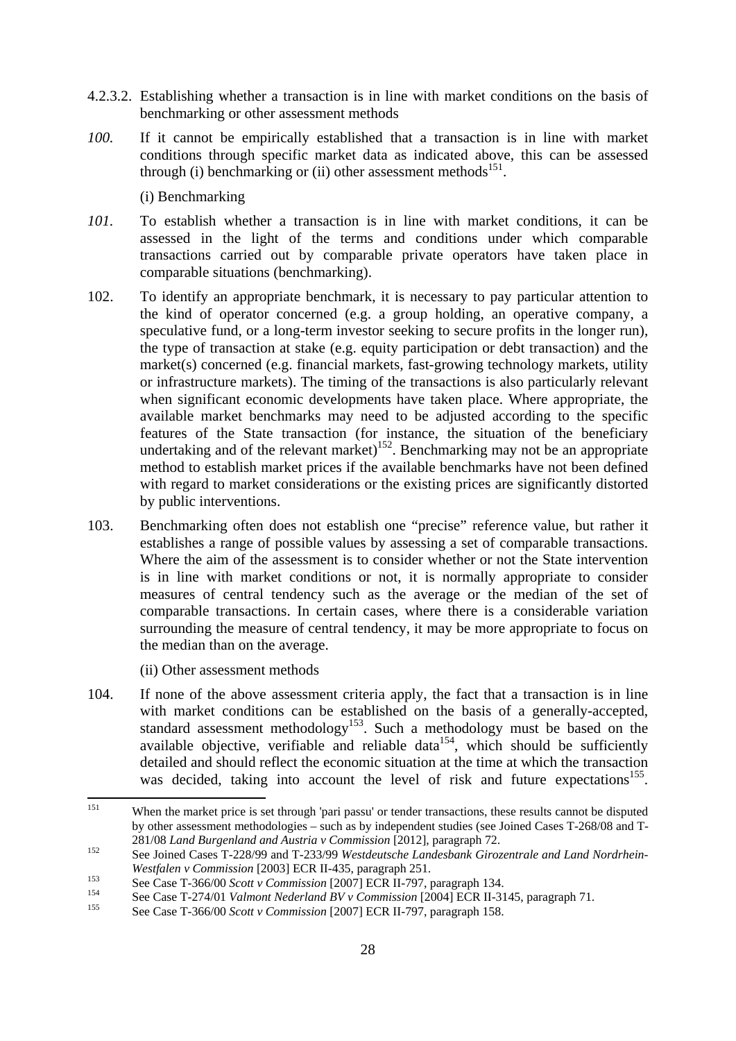- 4.2.3.2. Establishing whether a transaction is in line with market conditions on the basis of benchmarking or other assessment methods
- *100.* If it cannot be empirically established that a transaction is in line with market conditions through specific market data as indicated above, this can be assessed through (i) benchmarking or (ii) other assessment methods $^{151}$ .

(i) Benchmarking

- *101.* To establish whether a transaction is in line with market conditions, it can be assessed in the light of the terms and conditions under which comparable transactions carried out by comparable private operators have taken place in comparable situations (benchmarking).
- 102. To identify an appropriate benchmark, it is necessary to pay particular attention to the kind of operator concerned (e.g. a group holding, an operative company, a speculative fund, or a long-term investor seeking to secure profits in the longer run), the type of transaction at stake (e.g. equity participation or debt transaction) and the market(s) concerned (e.g. financial markets, fast-growing technology markets, utility or infrastructure markets). The timing of the transactions is also particularly relevant when significant economic developments have taken place. Where appropriate, the available market benchmarks may need to be adjusted according to the specific features of the State transaction (for instance, the situation of the beneficiary undertaking and of the relevant market)<sup>152</sup>. Benchmarking may not be an appropriate method to establish market prices if the available benchmarks have not been defined with regard to market considerations or the existing prices are significantly distorted by public interventions.
- 103. Benchmarking often does not establish one "precise" reference value, but rather it establishes a range of possible values by assessing a set of comparable transactions. Where the aim of the assessment is to consider whether or not the State intervention is in line with market conditions or not, it is normally appropriate to consider measures of central tendency such as the average or the median of the set of comparable transactions. In certain cases, where there is a considerable variation surrounding the measure of central tendency, it may be more appropriate to focus on the median than on the average.

(ii) Other assessment methods

104. If none of the above assessment criteria apply, the fact that a transaction is in line with market conditions can be established on the basis of a generally-accepted, standard assessment methodology<sup>153</sup>. Such a methodology must be based on the  $a$ vailable objective, verifiable and reliable data<sup>154</sup>, which should be sufficiently detailed and should reflect the economic situation at the time at which the transaction was decided, taking into account the level of risk and future expectations<sup>155</sup>.

<sup>151</sup> When the market price is set through 'pari passu' or tender transactions, these results cannot be disputed by other assessment methodologies – such as by independent studies (see Joined Cases T-268/08 and T-281/08 Land Burgenland and Austria v Commission [2012], paragraph 72.

<sup>281/08</sup> *Land Burgenland and Austria v Commission* [2012], paragraph 72. 152 See Joined Cases T-228/99 and T-233/99 *Westdeutsche Landesbank Girozentrale and Land Nordrhein-*

Westfalen v Commission [2003] ECR II-435, paragraph 251.<br>
See Case T-366/00 Scott v Commission [2007] ECR II-797, paragraph 134.<br>
See Case T-274/01 Valmont Nederland BV v Commission [2004] ECR II-3145, paragraph 71.<br>
See C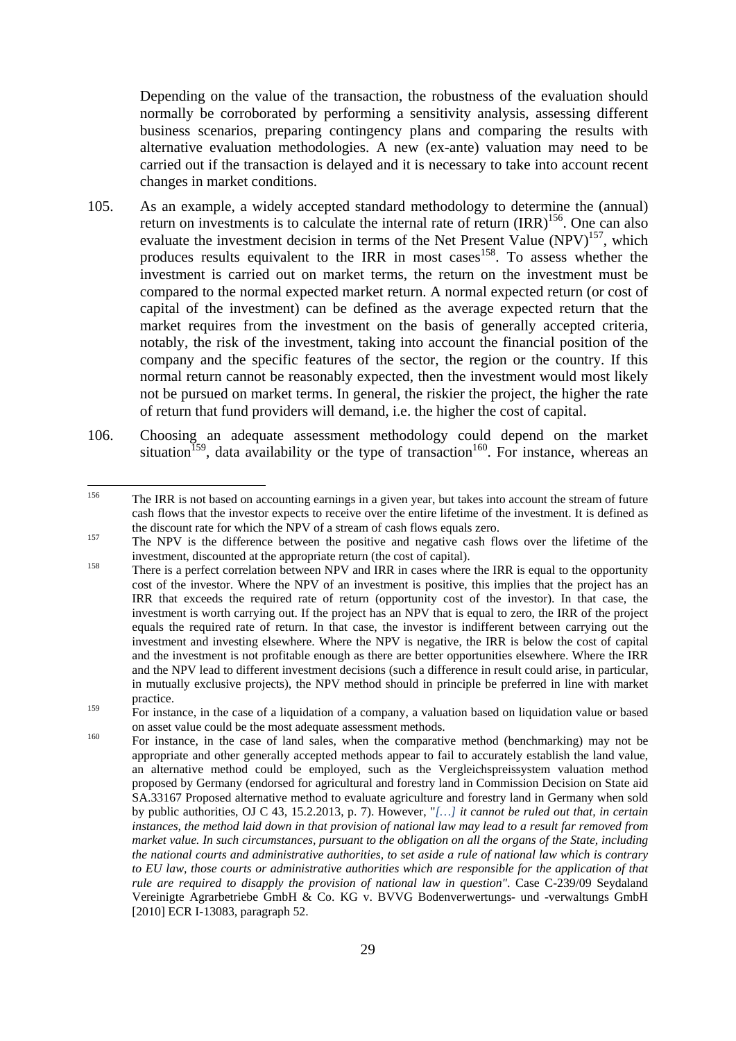Depending on the value of the transaction, the robustness of the evaluation should normally be corroborated by performing a sensitivity analysis, assessing different business scenarios, preparing contingency plans and comparing the results with alternative evaluation methodologies. A new (ex-ante) valuation may need to be carried out if the transaction is delayed and it is necessary to take into account recent changes in market conditions.

- 105. As an example, a widely accepted standard methodology to determine the (annual) return on investments is to calculate the internal rate of return  $\text{IRR}\text{)}^{156}$ . One can also evaluate the investment decision in terms of the Net Present Value (NPV)<sup>157</sup>, which produces results equivalent to the IRR in most cases<sup>158</sup>. To assess whether the investment is carried out on market terms, the return on the investment must be compared to the normal expected market return. A normal expected return (or cost of capital of the investment) can be defined as the average expected return that the market requires from the investment on the basis of generally accepted criteria, notably, the risk of the investment, taking into account the financial position of the company and the specific features of the sector, the region or the country. If this normal return cannot be reasonably expected, then the investment would most likely not be pursued on market terms. In general, the riskier the project, the higher the rate of return that fund providers will demand, i.e. the higher the cost of capital.
- 106. Choosing an adequate assessment methodology could depend on the market situation<sup>159</sup>, data availability or the type of transaction<sup>160</sup>. For instance, whereas an

<sup>156</sup> 156 The IRR is not based on accounting earnings in a given year, but takes into account the stream of future cash flows that the investor expects to receive over the entire lifetime of the investment. It is defined as the discount rate for which the NPV of a stream of cash flows equals zero.<br><sup>157</sup> The NPV is the difference between the positive and negative cash flows over the lifetime of the

investment, discounted at the appropriate return (the cost of capital).<br>
There is a perfect correlation between NPV and IRR in cases where the IRR is equal to the opportunity

cost of the investor. Where the NPV of an investment is positive, this implies that the project has an IRR that exceeds the required rate of return (opportunity cost of the investor). In that case, the investment is worth carrying out. If the project has an NPV that is equal to zero, the IRR of the project equals the required rate of return. In that case, the investor is indifferent between carrying out the investment and investing elsewhere. Where the NPV is negative, the IRR is below the cost of capital and the investment is not profitable enough as there are better opportunities elsewhere. Where the IRR and the NPV lead to different investment decisions (such a difference in result could arise, in particular, in mutually exclusive projects), the NPV method should in principle be preferred in line with market practice.

<sup>&</sup>lt;sup>159</sup> For instance, in the case of a liquidation of a company, a valuation based on liquidation value or based on asset value could be the most adequate assessment methods.<br>For instance, in the case of land sales, when the comparative method (benchmarking) may not be

appropriate and other generally accepted methods appear to fail to accurately establish the land value, an alternative method could be employed, such as the Vergleichspreissystem valuation method proposed by Germany (endorsed for agricultural and forestry land in Commission Decision on State aid SA.33167 Proposed alternative method to evaluate agriculture and forestry land in Germany when sold by public authorities, OJ C 43, 15.2.2013, p. 7). However, "*[…] it cannot be ruled out that, in certain instances, the method laid down in that provision of national law may lead to a result far removed from market value. In such circumstances, pursuant to the obligation on all the organs of the State, including the national courts and administrative authorities, to set aside a rule of national law which is contrary to EU law, those courts or administrative authorities which are responsible for the application of that rule are required to disapply the provision of national law in question"*. Case C-239/09 Seydaland Vereinigte Agrarbetriebe GmbH & Co. KG v. BVVG Bodenverwertungs- und -verwaltungs GmbH [2010] ECR I-13083, paragraph 52.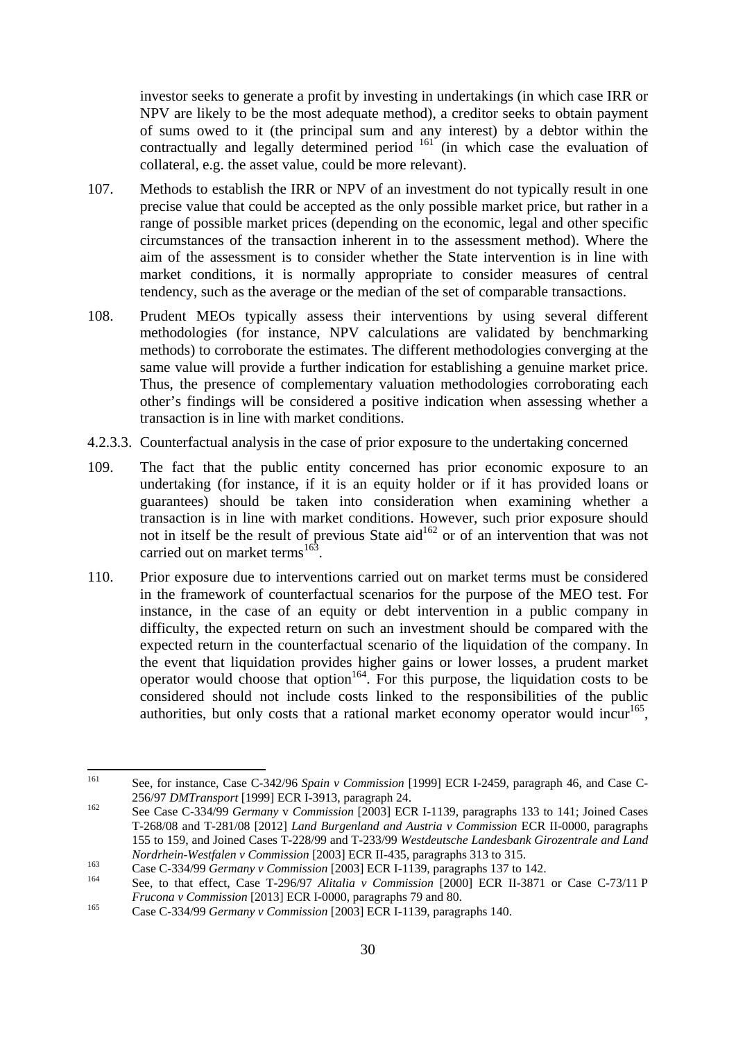investor seeks to generate a profit by investing in undertakings (in which case IRR or NPV are likely to be the most adequate method), a creditor seeks to obtain payment of sums owed to it (the principal sum and any interest) by a debtor within the contractually and legally determined period <sup>161</sup> (in which case the evaluation of collateral, e.g. the asset value, could be more relevant).

- 107. Methods to establish the IRR or NPV of an investment do not typically result in one precise value that could be accepted as the only possible market price, but rather in a range of possible market prices (depending on the economic, legal and other specific circumstances of the transaction inherent in to the assessment method). Where the aim of the assessment is to consider whether the State intervention is in line with market conditions, it is normally appropriate to consider measures of central tendency, such as the average or the median of the set of comparable transactions.
- 108. Prudent MEOs typically assess their interventions by using several different methodologies (for instance, NPV calculations are validated by benchmarking methods) to corroborate the estimates. The different methodologies converging at the same value will provide a further indication for establishing a genuine market price. Thus, the presence of complementary valuation methodologies corroborating each other's findings will be considered a positive indication when assessing whether a transaction is in line with market conditions.
- <span id="page-29-0"></span>4.2.3.3. Counterfactual analysis in the case of prior exposure to the undertaking concerned
- 109. The fact that the public entity concerned has prior economic exposure to an undertaking (for instance, if it is an equity holder or if it has provided loans or guarantees) should be taken into consideration when examining whether a transaction is in line with market conditions. However, such prior exposure should not in itself be the result of previous State aid<sup>162</sup> or of an intervention that was not carried out on market terms<sup>163</sup>.
- 110. Prior exposure due to interventions carried out on market terms must be considered in the framework of counterfactual scenarios for the purpose of the MEO test. For instance, in the case of an equity or debt intervention in a public company in difficulty, the expected return on such an investment should be compared with the expected return in the counterfactual scenario of the liquidation of the company. In the event that liquidation provides higher gains or lower losses, a prudent market operator would choose that option<sup>164</sup>. For this purpose, the liquidation costs to be considered should not include costs linked to the responsibilities of the public authorities, but only costs that a rational market economy operator would incur<sup>165</sup>,

<sup>161</sup> 161 See, for instance, Case C-342/96 *Spain v Commission* [1999] ECR I-2459, paragraph 46, and Case C-256/97 *DMTransport* [1999] ECR I-3913, paragraph 24. 162 See Case C-334/99 *Germany* v *Commission* [2003] ECR I-1139, paragraphs 133 to 141; Joined Cases

T-268/08 and T-281/08 [2012] *Land Burgenland and Austria v Commission* ECR II-0000, paragraphs 155 to 159, and Joined Cases T-228/99 and T-233/99 *Westdeutsche Landesbank Girozentrale and Land Nordrhein-Westfalen v Commission* [2003] ECR II-435, paragraphs 313 to 315.<br>
Case C-334/99 *Germany v Commission* [2003] ECR I-1139, paragraphs 137 to 142.<br>
See, to that effect, Case T-296/97 *Alitalia v Commission* [2000

*Frucona v Commission* [2013] ECR I-0000, paragraphs 79 and 80.<br>
Case C-334/99 *Germany v Commission* [2003] ECR I-1139, paragraphs 140.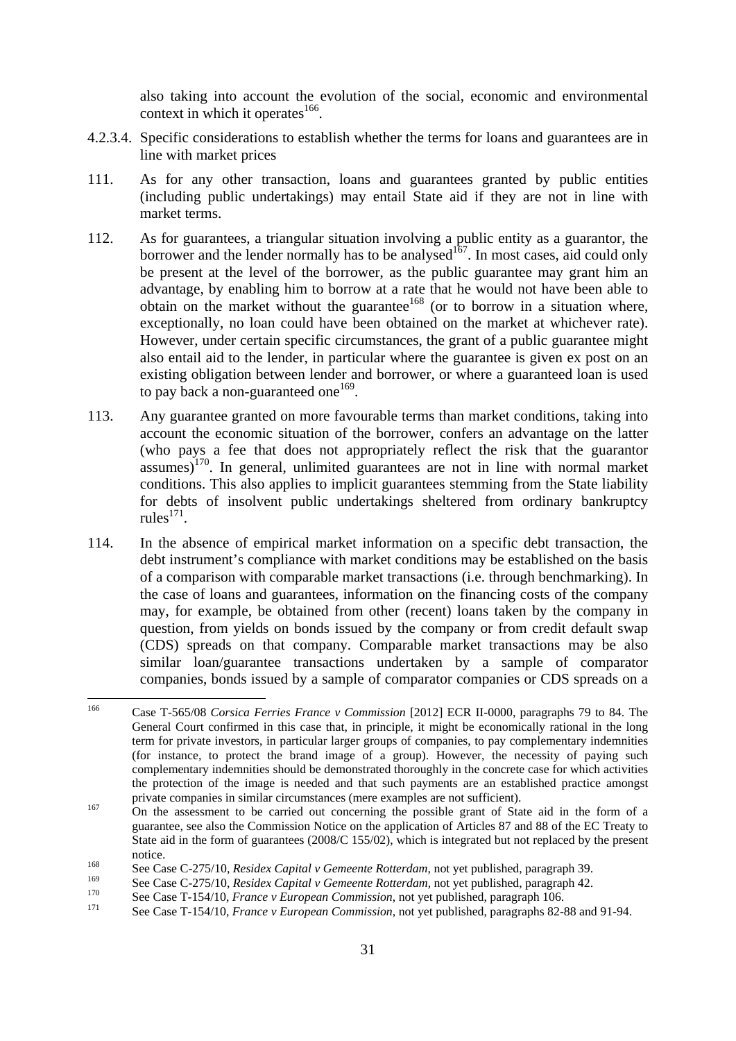also taking into account the evolution of the social, economic and environmental context in which it operates $166$ .

- 4.2.3.4. Specific considerations to establish whether the terms for loans and guarantees are in line with market prices
- 111. As for any other transaction, loans and guarantees granted by public entities (including public undertakings) may entail State aid if they are not in line with market terms.
- 112. As for guarantees, a triangular situation involving a public entity as a guarantor, the borrower and the lender normally has to be analysed<sup>167</sup>. In most cases, aid could only be present at the level of the borrower, as the public guarantee may grant him an advantage, by enabling him to borrow at a rate that he would not have been able to obtain on the market without the guarantee<sup>168</sup> (or to borrow in a situation where, exceptionally, no loan could have been obtained on the market at whichever rate). However, under certain specific circumstances, the grant of a public guarantee might also entail aid to the lender, in particular where the guarantee is given ex post on an existing obligation between lender and borrower, or where a guaranteed loan is used to pay back a non-guaranteed one<sup>169</sup>.
- 113. Any guarantee granted on more favourable terms than market conditions, taking into account the economic situation of the borrower, confers an advantage on the latter (who pays a fee that does not appropriately reflect the risk that the guarantor assumes)170. In general, unlimited guarantees are not in line with normal market conditions. This also applies to implicit guarantees stemming from the State liability for debts of insolvent public undertakings sheltered from ordinary bankruptcy rules $^{171}$ .
- 114. In the absence of empirical market information on a specific debt transaction, the debt instrument's compliance with market conditions may be established on the basis of a comparison with comparable market transactions (i.e. through benchmarking). In the case of loans and guarantees, information on the financing costs of the company may, for example, be obtained from other (recent) loans taken by the company in question, from yields on bonds issued by the company or from credit default swap (CDS) spreads on that company. Comparable market transactions may be also similar loan/guarantee transactions undertaken by a sample of comparator companies, bonds issued by a sample of comparator companies or CDS spreads on a

<sup>166</sup> 166 Case T-565/08 *Corsica Ferries France v Commission* [2012] ECR II-0000, paragraphs 79 to 84. The General Court confirmed in this case that, in principle, it might be economically rational in the long term for private investors, in particular larger groups of companies, to pay complementary indemnities (for instance, to protect the brand image of a group). However, the necessity of paying such complementary indemnities should be demonstrated thoroughly in the concrete case for which activities the protection of the image is needed and that such payments are an established practice amongst private companies in similar circumstances (mere examples are not sufficient).<br><sup>167</sup> On the assessment to be carried out concerning the possible grant of State aid in the form of a

guarantee, see also the Commission Notice on the application of Articles 87 and 88 of the EC Treaty to State aid in the form of guarantees (2008/C 155/02), which is integrated but not replaced by the present

notice.<br>
1<sup>68</sup> See Case C-275/10, *Residex Capital v Gemeente Rotterdam*, not yet published, paragraph 39.<br>
<sup>169</sup> See Case G 275/10, *Residex Capital v Guyente Rotterdam*, not yet published, paragraph 42.

<sup>&</sup>lt;sup>169</sup> See Case C-275/10, *Residex Capital v Gemeente Rotterdam*, not yet published, paragraph 42.<br>
<sup>170</sup> See Case T-154/10, *France v European Commission*, not yet published, paragraph 106.<br>
See Case T-154/10, *France v E*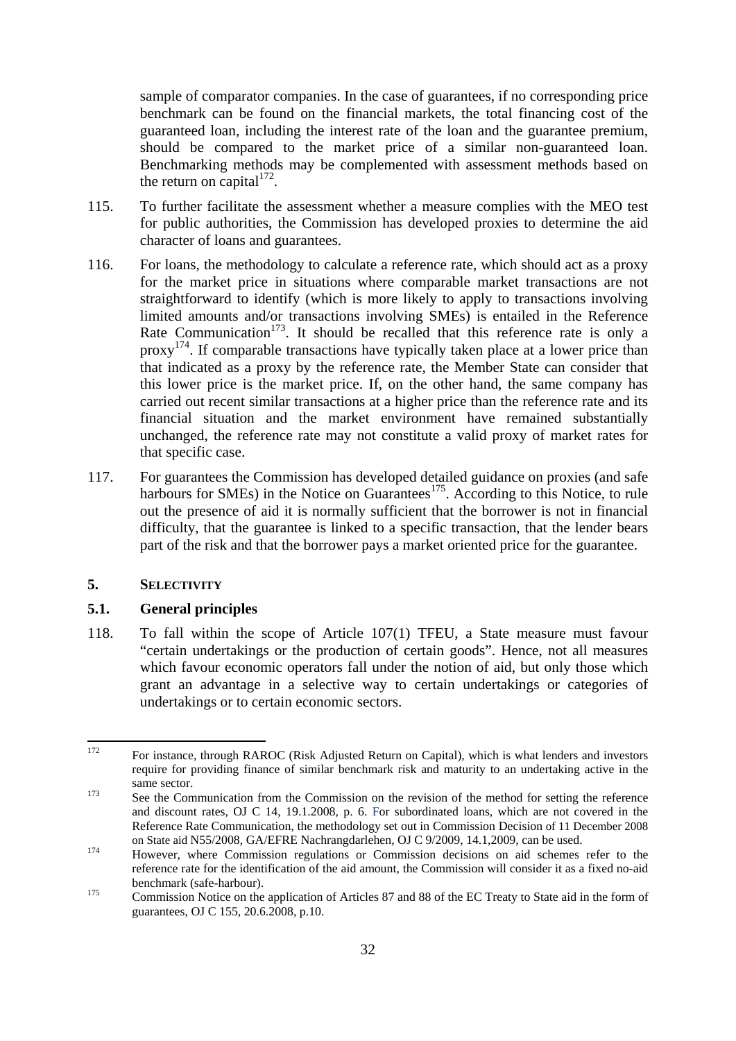sample of comparator companies. In the case of guarantees, if no corresponding price benchmark can be found on the financial markets, the total financing cost of the guaranteed loan, including the interest rate of the loan and the guarantee premium, should be compared to the market price of a similar non-guaranteed loan. Benchmarking methods may be complemented with assessment methods based on the return on capital $1^{172}$ .

- 115. To further facilitate the assessment whether a measure complies with the MEO test for public authorities, the Commission has developed proxies to determine the aid character of loans and guarantees.
- 116. For loans, the methodology to calculate a reference rate, which should act as a proxy for the market price in situations where comparable market transactions are not straightforward to identify (which is more likely to apply to transactions involving limited amounts and/or transactions involving SMEs) is entailed in the Reference Rate Communication<sup>173</sup>. It should be recalled that this reference rate is only a proxy<sup>174</sup>. If comparable transactions have typically taken place at a lower price than that indicated as a proxy by the reference rate, the Member State can consider that this lower price is the market price. If, on the other hand, the same company has carried out recent similar transactions at a higher price than the reference rate and its financial situation and the market environment have remained substantially unchanged, the reference rate may not constitute a valid proxy of market rates for that specific case.
- 117. For guarantees the Commission has developed detailed guidance on proxies (and safe harbours for SMEs) in the Notice on Guarantees<sup>175</sup>. According to this Notice, to rule out the presence of aid it is normally sufficient that the borrower is not in financial difficulty, that the guarantee is linked to a specific transaction, that the lender bears part of the risk and that the borrower pays a market oriented price for the guarantee.

#### <span id="page-31-0"></span>**5. SELECTIVITY**

#### <span id="page-31-1"></span>**5.1. General principles**

118. To fall within the scope of Article 107(1) TFEU, a State measure must favour "certain undertakings or the production of certain goods". Hence, not all measures which favour economic operators fall under the notion of aid, but only those which grant an advantage in a selective way to certain undertakings or categories of undertakings or to certain economic sectors.

<sup>172</sup> 172 For instance, through RAROC (Risk Adjusted Return on Capital), which is what lenders and investors require for providing finance of similar benchmark risk and maturity to an undertaking active in the same sector.<br>
See the Communication from the Commission on the revision of the method for setting the reference

and discount rates, OJ C 14, 19.1.2008, p. 6. For subordinated loans, which are not covered in the Reference Rate Communication, the methodology set out in Commission Decision of 11 December 2008<br>on State aid N55/2008, GA/EFRE Nachrangdarlehen, OJ C 9/2009, 14.1,2009, can be used.

<sup>&</sup>lt;sup>174</sup> However, where Commission regulations or Commission decisions on aid schemes refer to the reference rate for the identification of the aid amount, the Commission will consider it as a fixed no-aid benchmark (safe-harbour).<br><sup>175</sup> Commission Notice on the application of Articles 87 and 88 of the EC Treaty to State aid in the form of

guarantees, OJ C 155, 20.6.2008, p.10.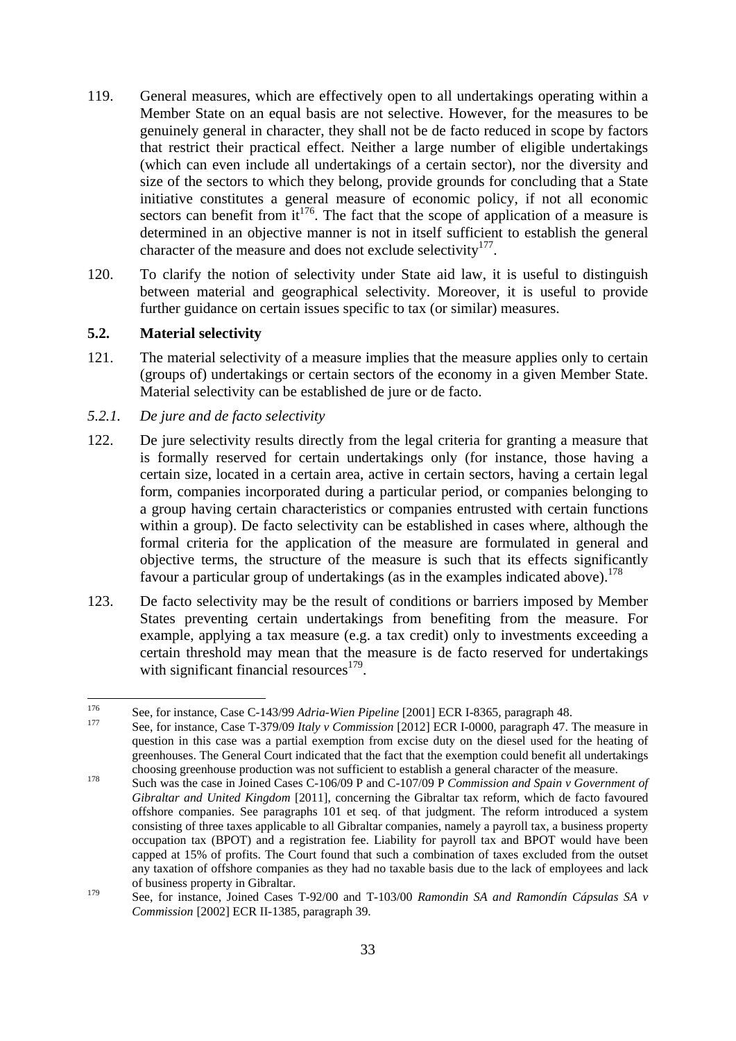- 119. General measures, which are effectively open to all undertakings operating within a Member State on an equal basis are not selective. However, for the measures to be genuinely general in character, they shall not be de facto reduced in scope by factors that restrict their practical effect. Neither a large number of eligible undertakings (which can even include all undertakings of a certain sector), nor the diversity and size of the sectors to which they belong, provide grounds for concluding that a State initiative constitutes a general measure of economic policy, if not all economic sectors can benefit from  $it^{176}$ . The fact that the scope of application of a measure is determined in an objective manner is not in itself sufficient to establish the general character of the measure and does not exclude selectivity<sup>177</sup>.
- 120. To clarify the notion of selectivity under State aid law, it is useful to distinguish between material and geographical selectivity. Moreover, it is useful to provide further guidance on certain issues specific to tax (or similar) measures.

#### <span id="page-32-0"></span>**5.2. Material selectivity**

- 121. The material selectivity of a measure implies that the measure applies only to certain (groups of) undertakings or certain sectors of the economy in a given Member State. Material selectivity can be established de jure or de facto.
- <span id="page-32-1"></span>*5.2.1. De jure and de facto selectivity*
- 122. De jure selectivity results directly from the legal criteria for granting a measure that is formally reserved for certain undertakings only (for instance, those having a certain size, located in a certain area, active in certain sectors, having a certain legal form, companies incorporated during a particular period, or companies belonging to a group having certain characteristics or companies entrusted with certain functions within a group). De facto selectivity can be established in cases where, although the formal criteria for the application of the measure are formulated in general and objective terms, the structure of the measure is such that its effects significantly favour a particular group of undertakings (as in the examples indicated above).<sup>178</sup>
- 123. De facto selectivity may be the result of conditions or barriers imposed by Member States preventing certain undertakings from benefiting from the measure. For example, applying a tax measure (e.g. a tax credit) only to investments exceeding a certain threshold may mean that the measure is de facto reserved for undertakings with significant financial resources $179$ .

<sup>176</sup> 176 See, for instance, Case C-143/99 *Adria-Wien Pipeline* [2001] ECR I-8365*,* paragraph 48. 177 See, for instance, Case T-379/09 *Italy v Commission* [2012] ECR I-0000*,* paragraph 47. The measure in

question in this case was a partial exemption from excise duty on the diesel used for the heating of greenhouses. The General Court indicated that the fact that the exemption could benefit all undertakings choosing greenhouse production was not sufficient to establish a general character of the measure.<br>Such was the case in Joined Cases C-106/09 P and C-107/09 P *Commission and Spain v Government of* 

*Gibraltar and United Kingdom* [2011], concerning the Gibraltar tax reform, which de facto favoured offshore companies. See paragraphs 101 et seq. of that judgment. The reform introduced a system consisting of three taxes applicable to all Gibraltar companies, namely a payroll tax, a business property occupation tax (BPOT) and a registration fee. Liability for payroll tax and BPOT would have been capped at 15% of profits. The Court found that such a combination of taxes excluded from the outset any taxation of offshore companies as they had no taxable basis due to the lack of employees and lack of business property in Gibraltar.

<sup>179</sup> See, for instance, Joined Cases T-92/00 and T-103/00 *Ramondin SA and Ramondín Cápsulas SA v Commission* [2002] ECR II-1385, paragraph 39.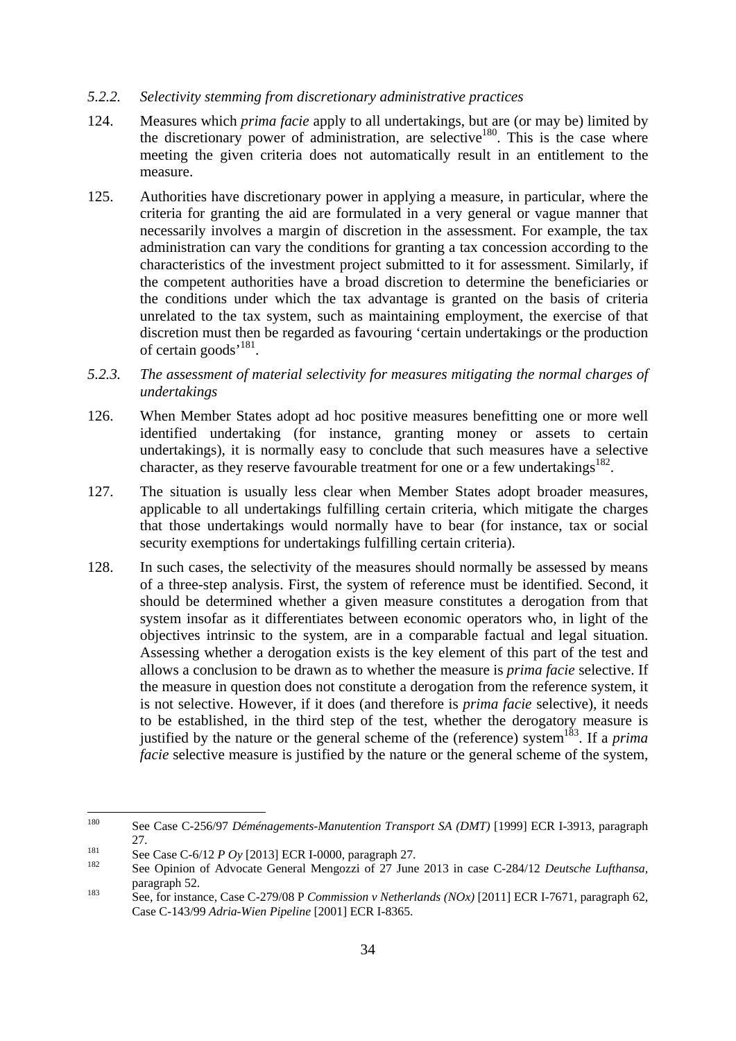#### *5.2.2. Selectivity stemming from discretionary administrative practices*

- 124. Measures which *prima facie* apply to all undertakings, but are (or may be) limited by the discretionary power of administration, are selective<sup>180</sup>. This is the case where meeting the given criteria does not automatically result in an entitlement to the measure.
- 125. Authorities have discretionary power in applying a measure, in particular, where the criteria for granting the aid are formulated in a very general or vague manner that necessarily involves a margin of discretion in the assessment. For example, the tax administration can vary the conditions for granting a tax concession according to the characteristics of the investment project submitted to it for assessment. Similarly, if the competent authorities have a broad discretion to determine the beneficiaries or the conditions under which the tax advantage is granted on the basis of criteria unrelated to the tax system, such as maintaining employment, the exercise of that discretion must then be regarded as favouring 'certain undertakings or the production of certain goods<sup>'181</sup>.
- <span id="page-33-0"></span>*5.2.3. The assessment of material selectivity for measures mitigating the normal charges of undertakings*
- 126. When Member States adopt ad hoc positive measures benefitting one or more well identified undertaking (for instance, granting money or assets to certain undertakings), it is normally easy to conclude that such measures have a selective character, as they reserve favourable treatment for one or a few undertakings<sup>182</sup>.
- 127. The situation is usually less clear when Member States adopt broader measures, applicable to all undertakings fulfilling certain criteria, which mitigate the charges that those undertakings would normally have to bear (for instance, tax or social security exemptions for undertakings fulfilling certain criteria).
- 128. In such cases, the selectivity of the measures should normally be assessed by means of a three-step analysis. First, the system of reference must be identified. Second, it should be determined whether a given measure constitutes a derogation from that system insofar as it differentiates between economic operators who, in light of the objectives intrinsic to the system, are in a comparable factual and legal situation. Assessing whether a derogation exists is the key element of this part of the test and allows a conclusion to be drawn as to whether the measure is *prima facie* selective. If the measure in question does not constitute a derogation from the reference system, it is not selective. However, if it does (and therefore is *prima facie* selective), it needs to be established, in the third step of the test, whether the derogatory measure is justified by the nature or the general scheme of the (reference) system<sup>183</sup>. If a *prima facie* selective measure is justified by the nature or the general scheme of the system,

<sup>180</sup> See Case C-256/97 *Déménagements-Manutention Transport SA (DMT)* [1999] ECR I-3913, paragraph 27.<br>
See Case C-6/12 *P Oy* [2013] ECR I-0000, paragraph 27.<br>
See Opinion of Advocate General Mengozzi of 27 June 2013 in case C-284/12 *Deutsche Lufthansa*,

paragraph 52.<br>
See, for instance, Case C-279/08 P *Commission v Netherlands (NOx)* [2011] ECR I-7671, paragraph 62,

Case C-143/99 *Adria-Wien Pipeline* [2001] ECR I-8365.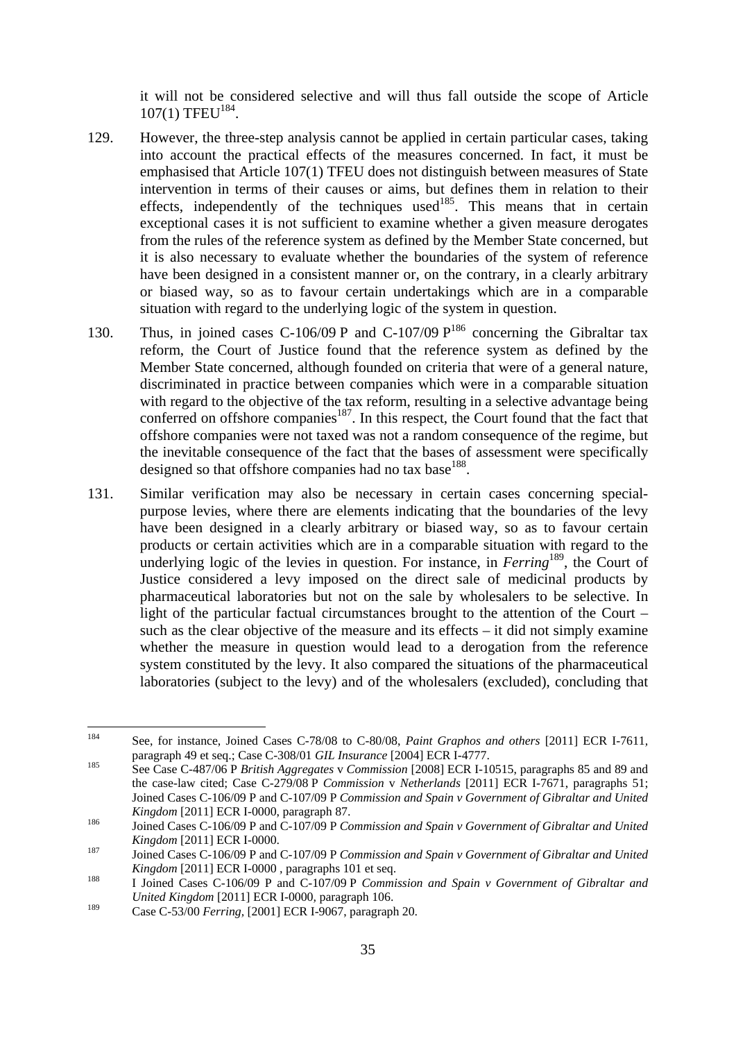it will not be considered selective and will thus fall outside the scope of Article 107(1) TFEU<sup>184</sup>.

- 129. However, the three-step analysis cannot be applied in certain particular cases, taking into account the practical effects of the measures concerned. In fact, it must be emphasised that Article 107(1) TFEU does not distinguish between measures of State intervention in terms of their causes or aims, but defines them in relation to their effects, independently of the techniques used<sup>185</sup>. This means that in certain exceptional cases it is not sufficient to examine whether a given measure derogates from the rules of the reference system as defined by the Member State concerned, but it is also necessary to evaluate whether the boundaries of the system of reference have been designed in a consistent manner or, on the contrary, in a clearly arbitrary or biased way, so as to favour certain undertakings which are in a comparable situation with regard to the underlying logic of the system in question.
- 130. Thus, in joined cases C-106/09 P and C-107/09  $P^{186}$  concerning the Gibraltar tax reform, the Court of Justice found that the reference system as defined by the Member State concerned, although founded on criteria that were of a general nature, discriminated in practice between companies which were in a comparable situation with regard to the objective of the tax reform, resulting in a selective advantage being conferred on offshore companies<sup>187</sup>. In this respect, the Court found that the fact that offshore companies were not taxed was not a random consequence of the regime, but the inevitable consequence of the fact that the bases of assessment were specifically designed so that offshore companies had no tax base<sup>188</sup>.
- 131. Similar verification may also be necessary in certain cases concerning specialpurpose levies, where there are elements indicating that the boundaries of the levy have been designed in a clearly arbitrary or biased way, so as to favour certain products or certain activities which are in a comparable situation with regard to the underlying logic of the levies in question. For instance, in *Ferring*<sup>189</sup>, the Court of Justice considered a levy imposed on the direct sale of medicinal products by pharmaceutical laboratories but not on the sale by wholesalers to be selective. In light of the particular factual circumstances brought to the attention of the Court – such as the clear objective of the measure and its effects – it did not simply examine whether the measure in question would lead to a derogation from the reference system constituted by the levy. It also compared the situations of the pharmaceutical laboratories (subject to the levy) and of the wholesalers (excluded), concluding that

<sup>184</sup> 184 See, for instance, Joined Cases C-78/08 to C-80/08, *Paint Graphos and others* [2011] ECR I-7611*,*  paragraph 49 et seq.; Case C-308/01 *GIL Insurance* [2004] ECR I-4777.<br><sup>185</sup> See Case C-487/06 P *British Aggregates* v *Commission* [2008] ECR I-10515, paragraphs 85 and 89 and

the case-law cited; Case C-279/08 P *Commission* v *Netherlands* [2011] ECR I-7671, paragraphs 51; Joined Cases C-106/09 P and C-107/09 P *Commission and Spain v Government of Gibraltar and United Kingdom* [2011] ECR I-0000, paragraph 87.<br>
Joined Cases C-106/09 P and C-107/09 P *Commission and Spain v Government of Gibraltar and United* 

*Kingdom* [2011] ECR I-0000.<br><sup>187</sup> Joined Cases C-106/09 P and C-107/09 P *Commission and Spain v Government of Gibraltar and United* 

*Kingdom* [2011] ECR I-0000 *,* paragraphs 101 et seq.<br>188 I Joined Cases C-106/09 P and C-107/09 P *Commission and Spain v Government of Gibraltar and* 

*United Kingdom* [2011] ECR I-0000*,* paragraph 106.

<sup>189</sup> Case C-53/00 *Ferring,* [2001] ECR I-9067, paragraph 20.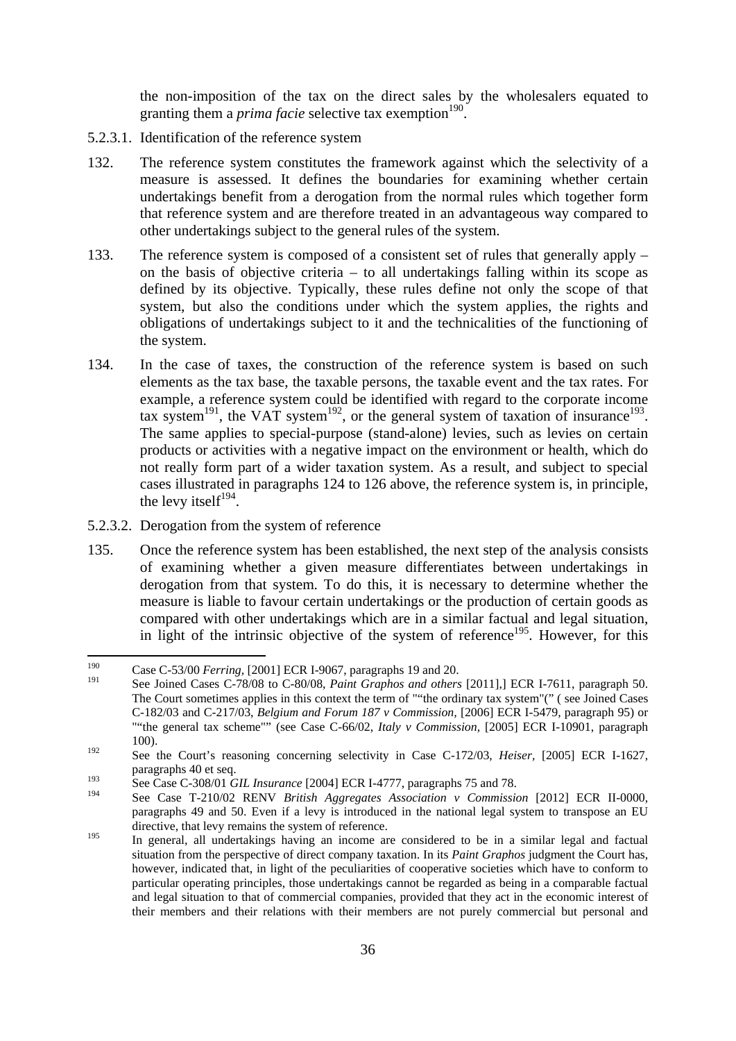the non-imposition of the tax on the direct sales by the wholesalers equated to granting them a *prima facie* selective tax exemption<sup>190</sup>.

- 5.2.3.1. Identification of the reference system
- 132. The reference system constitutes the framework against which the selectivity of a measure is assessed. It defines the boundaries for examining whether certain undertakings benefit from a derogation from the normal rules which together form that reference system and are therefore treated in an advantageous way compared to other undertakings subject to the general rules of the system.
- 133. The reference system is composed of a consistent set of rules that generally apply on the basis of objective criteria – to all undertakings falling within its scope as defined by its objective. Typically, these rules define not only the scope of that system, but also the conditions under which the system applies, the rights and obligations of undertakings subject to it and the technicalities of the functioning of the system.
- 134. In the case of taxes, the construction of the reference system is based on such elements as the tax base, the taxable persons, the taxable event and the tax rates. For example, a reference system could be identified with regard to the corporate income tax system<sup>191</sup>, the VAT system<sup>192</sup>, or the general system of taxation of insurance<sup>193</sup>. The same applies to special-purpose (stand-alone) levies, such as levies on certain products or activities with a negative impact on the environment or health, which do not really form part of a wider taxation system. As a result, and subject to special cases illustrated in paragraphs 124 to 126 above, the reference system is, in principle, the levy itself<sup>194</sup>.
- 5.2.3.2. Derogation from the system of reference
- 135. Once the reference system has been established, the next step of the analysis consists of examining whether a given measure differentiates between undertakings in derogation from that system. To do this, it is necessary to determine whether the measure is liable to favour certain undertakings or the production of certain goods as compared with other undertakings which are in a similar factual and legal situation, in light of the intrinsic objective of the system of reference<sup>195</sup>. However, for this

<sup>190</sup> 190 Case C-53/00 *Ferring,* [2001] ECR I-9067, paragraphs 19 and 20.

<sup>191</sup> See Joined Cases C-78/08 to C-80/08, *Paint Graphos and others* [2011],] ECR I-7611, paragraph 50. The Court sometimes applies in this context the term of ""the ordinary tax system"(" ( see Joined Cases C-182/03 and C-217/03, *Belgium and Forum 187 v Commission,* [2006] ECR I-5479, paragraph 95) or ""the general tax scheme"" (see Case C-66/02, *Italy v Commission,* [2005] ECR I-10901, paragraph 100).

<sup>192</sup> See the Court's reasoning concerning selectivity in Case C-172/03, *Heiser,* [2005] ECR I-1627, paragraphs 40 et seq.

<sup>193</sup> See Case C-308/01 *GIL Insurance* [2004] ECR I-4777, paragraphs 75 and 78.

<sup>194</sup> See Case T-210/02 RENV *British Aggregates Association v Commission* [2012] ECR II-0000, paragraphs 49 and 50. Even if a levy is introduced in the national legal system to transpose an EU directive, that levy remains the system of reference.

<sup>&</sup>lt;sup>195</sup> In general, all undertakings having an income are considered to be in a similar legal and factual situation from the perspective of direct company taxation. In its *Paint Graphos* judgment the Court has, however, indicated that, in light of the peculiarities of cooperative societies which have to conform to particular operating principles, those undertakings cannot be regarded as being in a comparable factual and legal situation to that of commercial companies, provided that they act in the economic interest of their members and their relations with their members are not purely commercial but personal and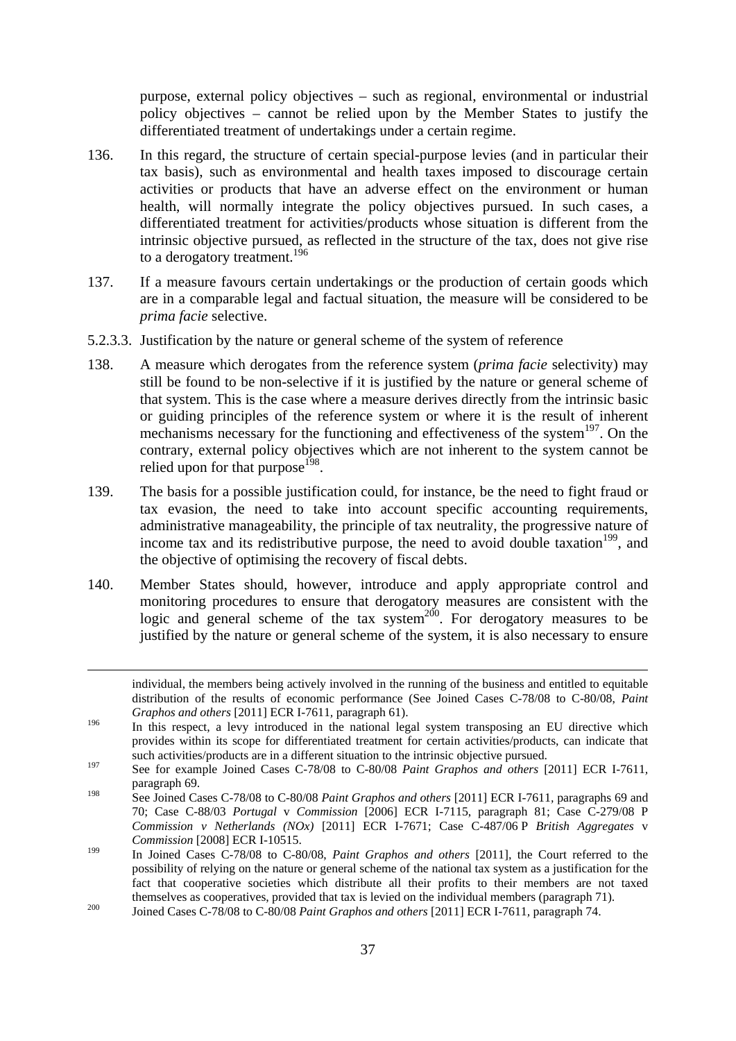purpose, external policy objectives – such as regional, environmental or industrial policy objectives – cannot be relied upon by the Member States to justify the differentiated treatment of undertakings under a certain regime.

- 136. In this regard, the structure of certain special-purpose levies (and in particular their tax basis), such as environmental and health taxes imposed to discourage certain activities or products that have an adverse effect on the environment or human health, will normally integrate the policy objectives pursued. In such cases, a differentiated treatment for activities/products whose situation is different from the intrinsic objective pursued, as reflected in the structure of the tax, does not give rise to a derogatory treatment.<sup>196</sup>
- 137. If a measure favours certain undertakings or the production of certain goods which are in a comparable legal and factual situation, the measure will be considered to be *prima facie* selective.
- 5.2.3.3. Justification by the nature or general scheme of the system of reference
- 138. A measure which derogates from the reference system (*prima facie* selectivity) may still be found to be non-selective if it is justified by the nature or general scheme of that system. This is the case where a measure derives directly from the intrinsic basic or guiding principles of the reference system or where it is the result of inherent mechanisms necessary for the functioning and effectiveness of the system<sup>197</sup>. On the contrary, external policy objectives which are not inherent to the system cannot be relied upon for that purpose<sup> $198$ </sup>.
- 139. The basis for a possible justification could, for instance, be the need to fight fraud or tax evasion, the need to take into account specific accounting requirements, administrative manageability, the principle of tax neutrality, the progressive nature of income tax and its redistributive purpose, the need to avoid double taxation<sup>199</sup>, and the objective of optimising the recovery of fiscal debts.
- 140. Member States should, however, introduce and apply appropriate control and monitoring procedures to ensure that derogatory measures are consistent with the logic and general scheme of the tax system<sup>200</sup>. For derogatory measures to be justified by the nature or general scheme of the system, it is also necessary to ensure

**.** 

individual, the members being actively involved in the running of the business and entitled to equitable distribution of the results of economic performance (See Joined Cases C-78/08 to C-80/08, *Paint Graphos and others* [2011] ECR I-7611*,* paragraph 61).

<sup>&</sup>lt;sup>196</sup> In this respect, a levy introduced in the national legal system transposing an EU directive which provides within its scope for differentiated treatment for certain activities/products, can indicate that such activities/products are in a different situation to the intrinsic objective pursued.

<sup>197</sup> See for example Joined Cases C-78/08 to C-80/08 *Paint Graphos and others* [2011] ECR I-7611*,*  paragraph 69.

<sup>198</sup> See Joined Cases C-78/08 to C-80/08 *Paint Graphos and others* [2011] ECR I-7611*,* paragraphs 69 and 70; Case C-88/03 *Portugal* v *Commission* [2006] ECR I-7115, paragraph 81; Case C-279/08 P *Commission v Netherlands (NOx)* [2011] ECR I-7671; Case C-487/06 P *British Aggregates* v *Commission* [2008] ECR I-10515.

<sup>199</sup> In Joined Cases C-78/08 to C-80/08, *Paint Graphos and others* [2011]*,* the Court referred to the possibility of relying on the nature or general scheme of the national tax system as a justification for the fact that cooperative societies which distribute all their profits to their members are not taxed themselves as cooperatives, provided that tax is levied on the individual members (paragraph 71).<br>
<sup>200</sup> Joined Cases C-78/08 to C-80/08 *Paint Graphos and others* [2011] ECR I-7611, paragraph 74.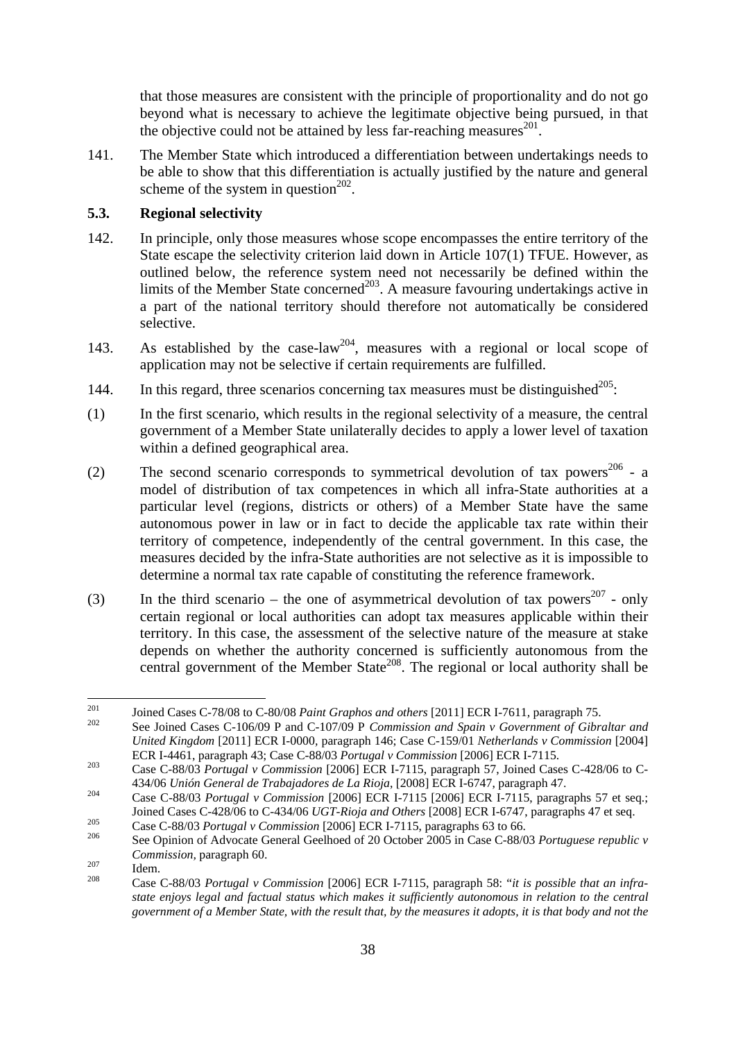that those measures are consistent with the principle of proportionality and do not go beyond what is necessary to achieve the legitimate objective being pursued, in that the objective could not be attained by less far-reaching measures<sup>201</sup>.

141. The Member State which introduced a differentiation between undertakings needs to be able to show that this differentiation is actually justified by the nature and general scheme of the system in question $^{202}$ .

#### <span id="page-37-0"></span>**5.3. Regional selectivity**

- 142. In principle, only those measures whose scope encompasses the entire territory of the State escape the selectivity criterion laid down in Article 107(1) TFUE. However, as outlined below, the reference system need not necessarily be defined within the limits of the Member State concerned<sup>203</sup>. A measure favouring undertakings active in a part of the national territory should therefore not automatically be considered selective.
- 143. As established by the case-law<sup>204</sup>, measures with a regional or local scope of application may not be selective if certain requirements are fulfilled.
- 144. In this regard, three scenarios concerning tax measures must be distinguished<sup>205</sup>:
- (1) In the first scenario, which results in the regional selectivity of a measure, the central government of a Member State unilaterally decides to apply a lower level of taxation within a defined geographical area.
- (2) The second scenario corresponds to symmetrical devolution of tax powers<sup>206</sup> a model of distribution of tax competences in which all infra-State authorities at a particular level (regions, districts or others) of a Member State have the same autonomous power in law or in fact to decide the applicable tax rate within their territory of competence, independently of the central government. In this case, the measures decided by the infra-State authorities are not selective as it is impossible to determine a normal tax rate capable of constituting the reference framework.
- (3) In the third scenario the one of asymmetrical devolution of tax powers<sup>207</sup> only certain regional or local authorities can adopt tax measures applicable within their territory. In this case, the assessment of the selective nature of the measure at stake depends on whether the authority concerned is sufficiently autonomous from the central government of the Member State<sup>208</sup>. The regional or local authority shall be

<sup>201</sup> 

<sup>&</sup>lt;sup>201</sup> Joined Cases C-78/08 to C-80/08 *Paint Graphos and others* [2011] ECR I-7611, paragraph 75.<br><sup>202</sup> See Joined Cases C-106/09 P and C-107/09 P *Commission and Spain v Government of Gibraltar and United Kingdom* [2011] ECR I-0000*,* paragraph 146; Case C-159/01 *Netherlands v Commission* [2004] ECR I-4461, paragraph 43; Case C-88/03 *Portugal v Commission* [2006] ECR I-7115. 203 Case C-88/03 *Portugal v Commission* [2006] ECR I-7115, paragraph 57, Joined Cases C-428/06 to C-

<sup>434/06</sup> *Unión General de Trabajadores de La Rioja*, [2008] ECR I-6747, paragraph 47. 204 Case C-88/03 *Portugal v Commission* [2006] ECR I-7115 [2006] ECR I-7115, paragraphs 57 et seq.;

Joined Cases C-428/06 to C-434/06 *UGT-Rioja and Others* [2008] ECR I-6747, paragraphs 47 et seq.<br>
Case C-88/03 *Portugal v Commission* [2006] ECR I-7115, paragraphs 63 to 66.<br>
See Opinion of Advocate General Geelhoed of 2

*Commission, paragraph 60.*<br>
Idem. 208 Case C-88/03 *Portugal v Commission* [2006] ECR I-7115, paragraph 58: "*it is possible that an infra-*

*state enjoys legal and factual status which makes it sufficiently autonomous in relation to the central government of a Member State, with the result that, by the measures it adopts, it is that body and not the*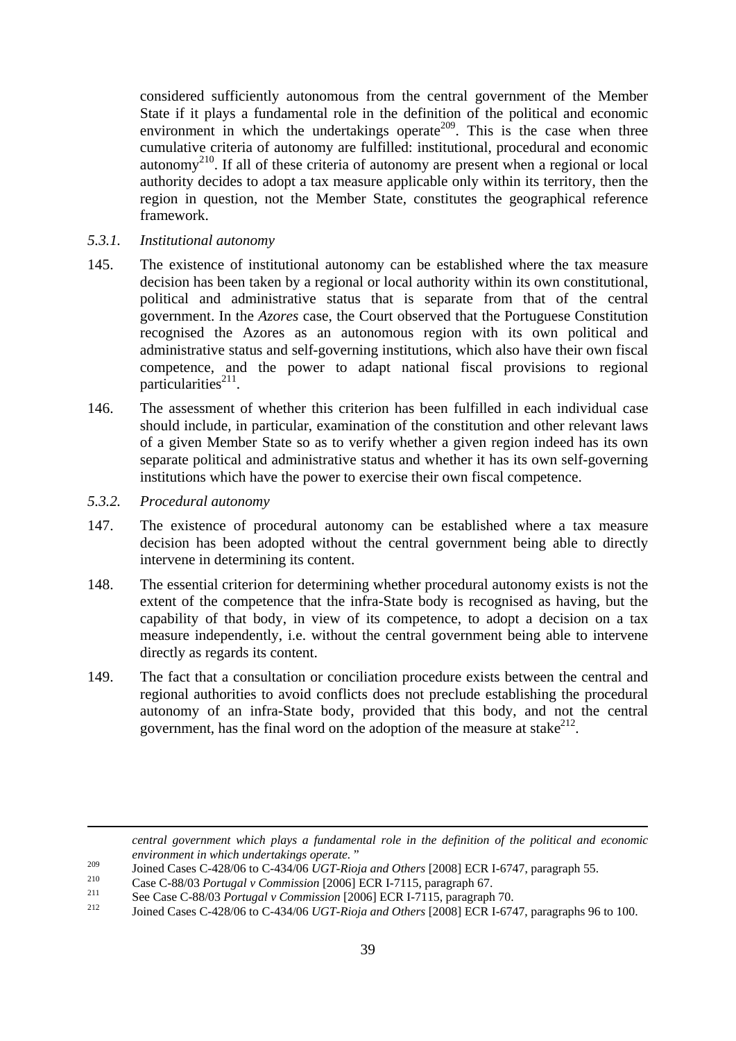considered sufficiently autonomous from the central government of the Member State if it plays a fundamental role in the definition of the political and economic environment in which the undertakings operate<sup>209</sup>. This is the case when three cumulative criteria of autonomy are fulfilled: institutional, procedural and economic autonomy<sup>210</sup>. If all of these criteria of autonomy are present when a regional or local authority decides to adopt a tax measure applicable only within its territory, then the region in question, not the Member State, constitutes the geographical reference framework.

- <span id="page-38-0"></span>*5.3.1. Institutional autonomy*
- 145. The existence of institutional autonomy can be established where the tax measure decision has been taken by a regional or local authority within its own constitutional, political and administrative status that is separate from that of the central government. In the *Azores* case, the Court observed that the Portuguese Constitution recognised the Azores as an autonomous region with its own political and administrative status and self-governing institutions, which also have their own fiscal competence, and the power to adapt national fiscal provisions to regional particularities $^{211}$ .
- 146. The assessment of whether this criterion has been fulfilled in each individual case should include, in particular, examination of the constitution and other relevant laws of a given Member State so as to verify whether a given region indeed has its own separate political and administrative status and whether it has its own self-governing institutions which have the power to exercise their own fiscal competence.
- <span id="page-38-1"></span>*5.3.2. Procedural autonomy*

**.** 

- 147. The existence of procedural autonomy can be established where a tax measure decision has been adopted without the central government being able to directly intervene in determining its content.
- 148. The essential criterion for determining whether procedural autonomy exists is not the extent of the competence that the infra-State body is recognised as having, but the capability of that body, in view of its competence, to adopt a decision on a tax measure independently, i.e. without the central government being able to intervene directly as regards its content.
- 149. The fact that a consultation or conciliation procedure exists between the central and regional authorities to avoid conflicts does not preclude establishing the procedural autonomy of an infra-State body, provided that this body, and not the central government, has the final word on the adoption of the measure at stake<sup>212</sup>.

<sup>209</sup><br>Joined Cases C-428/06 to C-434/06 *UGT-Rioja and Others* [2008] ECR I-6747, paragraph 55.<br>Case C-88/03 *Portugal v Commission* [2006] ECR I-7115, paragraph 67.<br>See Case C-88/03 *Portugal v Commission* [2006] ECR I-7

*central government which plays a fundamental role in the definition of the political and economic environment in which undertakings operate.* "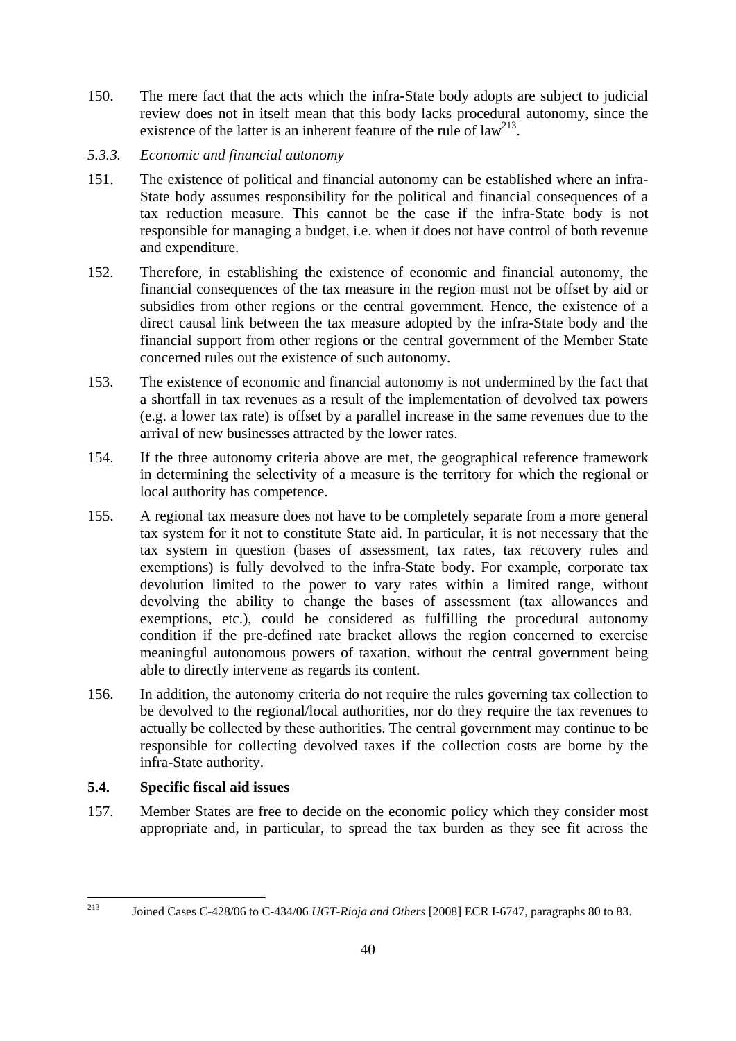- 150. The mere fact that the acts which the infra-State body adopts are subject to judicial review does not in itself mean that this body lacks procedural autonomy, since the existence of the latter is an inherent feature of the rule of  $law<sup>213</sup>$ .
- <span id="page-39-0"></span>*5.3.3. Economic and financial autonomy*
- 151. The existence of political and financial autonomy can be established where an infra-State body assumes responsibility for the political and financial consequences of a tax reduction measure. This cannot be the case if the infra-State body is not responsible for managing a budget, i.e. when it does not have control of both revenue and expenditure.
- 152. Therefore, in establishing the existence of economic and financial autonomy, the financial consequences of the tax measure in the region must not be offset by aid or subsidies from other regions or the central government. Hence, the existence of a direct causal link between the tax measure adopted by the infra-State body and the financial support from other regions or the central government of the Member State concerned rules out the existence of such autonomy.
- 153. The existence of economic and financial autonomy is not undermined by the fact that a shortfall in tax revenues as a result of the implementation of devolved tax powers (e.g. a lower tax rate) is offset by a parallel increase in the same revenues due to the arrival of new businesses attracted by the lower rates.
- 154. If the three autonomy criteria above are met, the geographical reference framework in determining the selectivity of a measure is the territory for which the regional or local authority has competence.
- 155. A regional tax measure does not have to be completely separate from a more general tax system for it not to constitute State aid. In particular, it is not necessary that the tax system in question (bases of assessment, tax rates, tax recovery rules and exemptions) is fully devolved to the infra-State body. For example, corporate tax devolution limited to the power to vary rates within a limited range, without devolving the ability to change the bases of assessment (tax allowances and exemptions, etc.), could be considered as fulfilling the procedural autonomy condition if the pre-defined rate bracket allows the region concerned to exercise meaningful autonomous powers of taxation, without the central government being able to directly intervene as regards its content.
- 156. In addition, the autonomy criteria do not require the rules governing tax collection to be devolved to the regional/local authorities, nor do they require the tax revenues to actually be collected by these authorities. The central government may continue to be responsible for collecting devolved taxes if the collection costs are borne by the infra-State authority.

# <span id="page-39-1"></span>**5.4. Specific fiscal aid issues**

157. Member States are free to decide on the economic policy which they consider most appropriate and, in particular, to spread the tax burden as they see fit across the

<sup>213</sup> 213 Joined Cases C-428/06 to C-434/06 *UGT-Rioja and Others* [2008] ECR I-6747, paragraphs 80 to 83.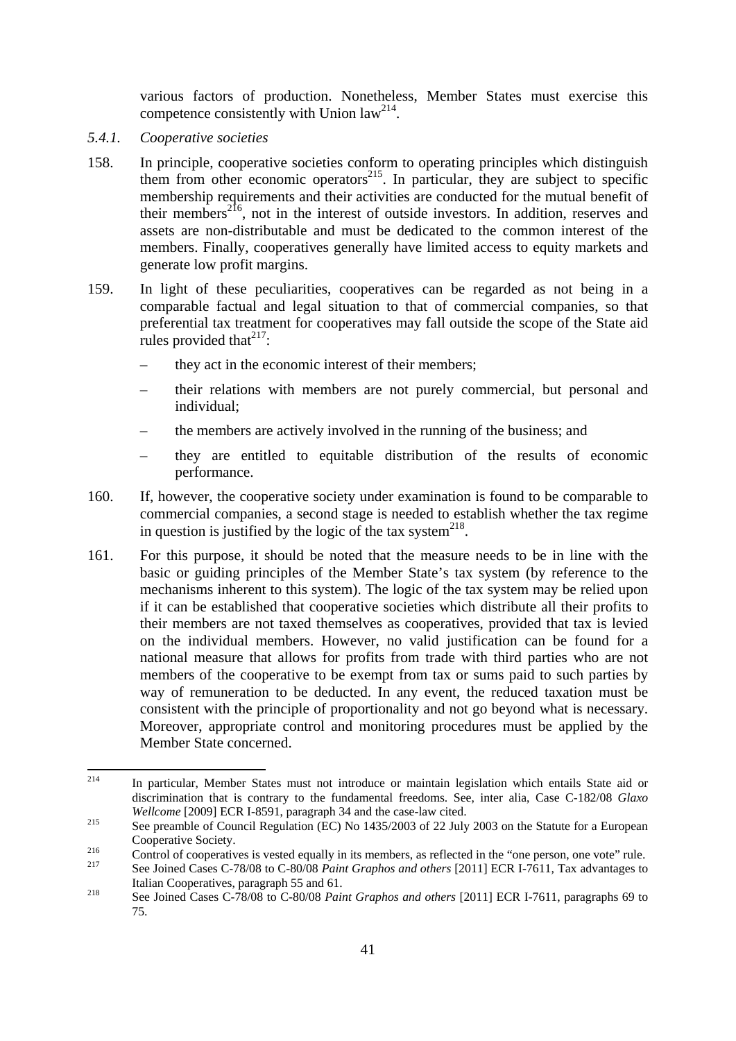various factors of production. Nonetheless, Member States must exercise this competence consistently with Union  $law<sup>214</sup>$ .

- <span id="page-40-0"></span>*5.4.1. Cooperative societies*
- 158. In principle, cooperative societies conform to operating principles which distinguish them from other economic operators<sup>215</sup>. In particular, they are subject to specific membership requirements and their activities are conducted for the mutual benefit of their members<sup>216</sup>, not in the interest of outside investors. In addition, reserves and assets are non-distributable and must be dedicated to the common interest of the members. Finally, cooperatives generally have limited access to equity markets and generate low profit margins.
- 159. In light of these peculiarities, cooperatives can be regarded as not being in a comparable factual and legal situation to that of commercial companies, so that preferential tax treatment for cooperatives may fall outside the scope of the State aid rules provided that  $2^{17}$ :
	- they act in the economic interest of their members;
	- their relations with members are not purely commercial, but personal and individual;
	- the members are actively involved in the running of the business; and
	- they are entitled to equitable distribution of the results of economic performance.
- 160. If, however, the cooperative society under examination is found to be comparable to commercial companies, a second stage is needed to establish whether the tax regime in question is justified by the logic of the tax system<sup>218</sup>.
- 161. For this purpose, it should be noted that the measure needs to be in line with the basic or guiding principles of the Member State's tax system (by reference to the mechanisms inherent to this system). The logic of the tax system may be relied upon if it can be established that cooperative societies which distribute all their profits to their members are not taxed themselves as cooperatives, provided that tax is levied on the individual members. However, no valid justification can be found for a national measure that allows for profits from trade with third parties who are not members of the cooperative to be exempt from tax or sums paid to such parties by way of remuneration to be deducted. In any event, the reduced taxation must be consistent with the principle of proportionality and not go beyond what is necessary. Moreover, appropriate control and monitoring procedures must be applied by the Member State concerned.

<sup>214</sup> In particular, Member States must not introduce or maintain legislation which entails State aid or discrimination that is contrary to the fundamental freedoms. See, inter alia, Case C-182/08 *Glaxo Wellcome* [2009] ECR I-8591, paragraph 34 and the case-law cited.<br><sup>215</sup> See preamble of Council Regulation (EC) No 1435/2003 of 22 July 2003 on the Statute for a European

Cooperative Society.<br>Control of cooperatives is vested equally in its members, as reflected in the "one person, one vote" rule.<br>See Joined Cases C-78/08 to C-80/08 *Paint Graphos and others* [2011] ECR I-7611, Tax advantag

Italian Cooperatives, paragraph 55 and 61.<br>
See Joined Cases C-78/08 to C-80/08 *Paint Graphos and others* [2011] ECR I-7611, paragraphs 69 to

<sup>75.</sup>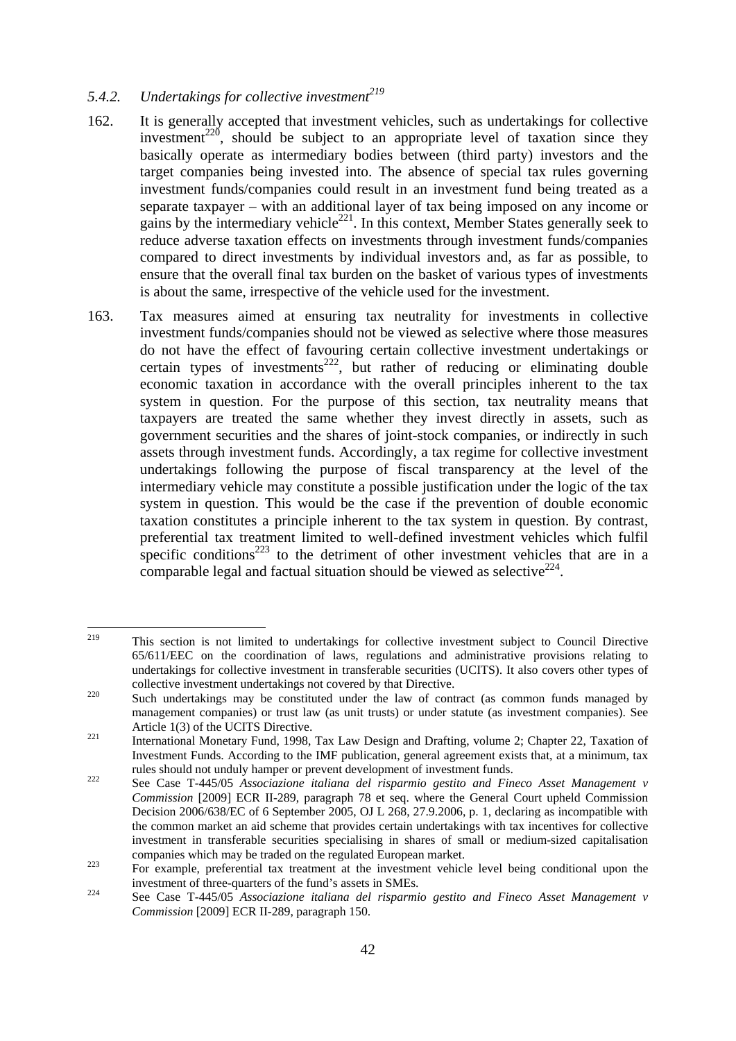# <span id="page-41-0"></span>5.4.2. Undertakings for collective investment<sup>219</sup>

- 162. It is generally accepted that investment vehicles, such as undertakings for collective investment<sup>220</sup>, should be subject to an appropriate level of taxation since they basically operate as intermediary bodies between (third party) investors and the target companies being invested into. The absence of special tax rules governing investment funds/companies could result in an investment fund being treated as a separate taxpayer – with an additional layer of tax being imposed on any income or gains by the intermediary vehicle<sup>221</sup>. In this context, Member States generally seek to reduce adverse taxation effects on investments through investment funds/companies compared to direct investments by individual investors and, as far as possible, to ensure that the overall final tax burden on the basket of various types of investments is about the same, irrespective of the vehicle used for the investment.
- 163. Tax measures aimed at ensuring tax neutrality for investments in collective investment funds/companies should not be viewed as selective where those measures do not have the effect of favouring certain collective investment undertakings or certain types of investments<sup>222</sup>, but rather of reducing or eliminating double economic taxation in accordance with the overall principles inherent to the tax system in question. For the purpose of this section, tax neutrality means that taxpayers are treated the same whether they invest directly in assets, such as government securities and the shares of joint-stock companies, or indirectly in such assets through investment funds. Accordingly, a tax regime for collective investment undertakings following the purpose of fiscal transparency at the level of the intermediary vehicle may constitute a possible justification under the logic of the tax system in question. This would be the case if the prevention of double economic taxation constitutes a principle inherent to the tax system in question. By contrast, preferential tax treatment limited to well-defined investment vehicles which fulfil specific conditions<sup>223</sup> to the detriment of other investment vehicles that are in a comparable legal and factual situation should be viewed as selective<sup>224</sup>.

 $219$ 219 This section is not limited to undertakings for collective investment subject to Council Directive 65/611/EEC on the coordination of laws, regulations and administrative provisions relating to undertakings for collective investment in transferable securities (UCITS). It also covers other types of collective investment undertakings not covered by that Directive.<br><sup>220</sup> Such undertakings may be constituted under the law of contract (as common funds managed by

management companies) or trust law (as unit trusts) or under statute (as investment companies). See Article 1(3) of the UCITS Directive.<br>
International Monetary Fund, 1998, Tax Law Design and Drafting, volume 2; Chapter 22, Taxation of

Investment Funds. According to the IMF publication, general agreement exists that, at a minimum, tax rules should not unduly hamper or prevent development of investment funds.<br><sup>222</sup> See Case T-445/05 *Associazione italiana del risparmio gestito and Fineco Asset Management v* 

*Commission* [2009] ECR II-289, paragraph 78 et seq. where the General Court upheld Commission Decision 2006/638/EC of 6 September 2005, OJ L 268, 27.9.2006, p. 1, declaring as incompatible with the common market an aid scheme that provides certain undertakings with tax incentives for collective investment in transferable securities specialising in shares of small or medium-sized capitalisation companies which may be traded on the regulated European market.<br><sup>223</sup> For example, preferential tax treatment at the investment vehicle level being conditional upon the

investment of three-quarters of the fund's assets in SMEs.<br><sup>224</sup> See Case T-445/05 Associazione italiana del risparmio gestito and Fineco Asset Management v

*Commission* [2009] ECR II-289, paragraph 150.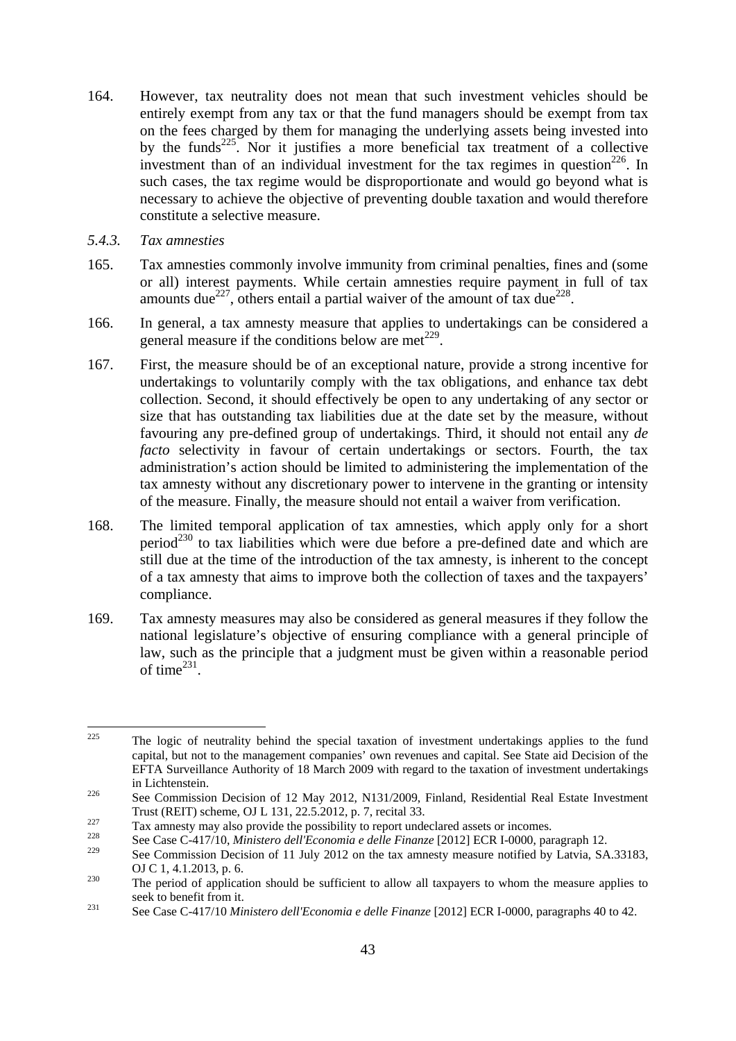- 164. However, tax neutrality does not mean that such investment vehicles should be entirely exempt from any tax or that the fund managers should be exempt from tax on the fees charged by them for managing the underlying assets being invested into by the funds<sup>225</sup>. Nor it justifies a more beneficial tax treatment of a collective investment than of an individual investment for the tax regimes in question<sup>226</sup>. In such cases, the tax regime would be disproportionate and would go beyond what is necessary to achieve the objective of preventing double taxation and would therefore constitute a selective measure.
- <span id="page-42-0"></span>*5.4.3. Tax amnesties*
- 165. Tax amnesties commonly involve immunity from criminal penalties, fines and (some or all) interest payments. While certain amnesties require payment in full of tax amounts due<sup>227</sup>, others entail a partial waiver of the amount of tax due<sup>228</sup>.
- 166. In general, a tax amnesty measure that applies to undertakings can be considered a general measure if the conditions below are met<sup> $229$ </sup>.
- 167. First, the measure should be of an exceptional nature, provide a strong incentive for undertakings to voluntarily comply with the tax obligations, and enhance tax debt collection. Second, it should effectively be open to any undertaking of any sector or size that has outstanding tax liabilities due at the date set by the measure, without favouring any pre-defined group of undertakings. Third, it should not entail any *de facto* selectivity in favour of certain undertakings or sectors. Fourth, the tax administration's action should be limited to administering the implementation of the tax amnesty without any discretionary power to intervene in the granting or intensity of the measure. Finally, the measure should not entail a waiver from verification.
- 168. The limited temporal application of tax amnesties, which apply only for a short  $period<sup>230</sup>$  to tax liabilities which were due before a pre-defined date and which are still due at the time of the introduction of the tax amnesty, is inherent to the concept of a tax amnesty that aims to improve both the collection of taxes and the taxpayers' compliance.
- 169. Tax amnesty measures may also be considered as general measures if they follow the national legislature's objective of ensuring compliance with a general principle of law, such as the principle that a judgment must be given within a reasonable period of time $^{231}$ .

<sup>225</sup> The logic of neutrality behind the special taxation of investment undertakings applies to the fund capital, but not to the management companies' own revenues and capital. See State aid Decision of the EFTA Surveillance Authority of 18 March 2009 with regard to the taxation of investment undertakings in Lichtenstein.<br><sup>226</sup> See Commission Decision of 12 May 2012, N131/2009, Finland, Residential Real Estate Investment

Trust (REIT) scheme, OJ L 131, 22.5.2012, p. 7, recital 33.<br>Tax amnesty may also provide the possibility to report undeclared assets or incomes.<br>See Case C-417/10, *Ministero dell'Economia e delle Finanze* [2012] ECR I-000

<sup>229</sup> See Commission Decision of 11 July 2012 on the tax amnesty measure notified by Latvia, SA.33183, OJ C 1, 4.1.2013, p. 6.<br><sup>230</sup> The period of application should be sufficient to allow all taxpayers to whom the measure applies to

seek to benefit from it. 231 See Case C-417/10 *Ministero dell'Economia e delle Finanze* [2012] ECR I-0000, paragraphs 40 to 42.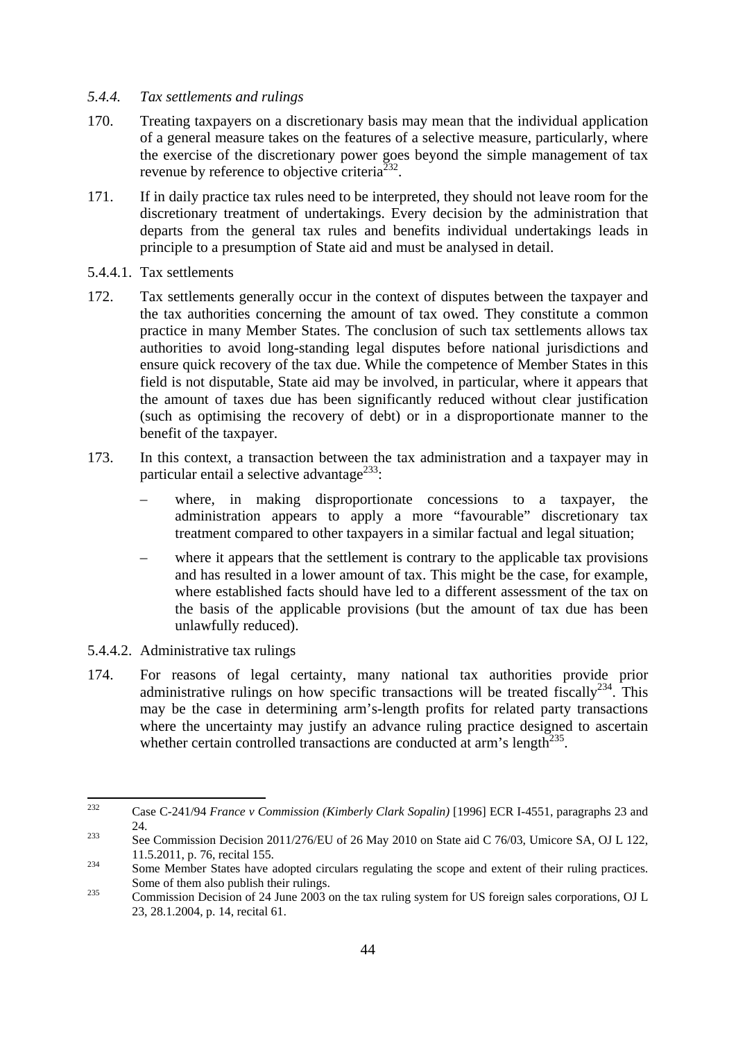#### <span id="page-43-0"></span>*5.4.4. Tax settlements and rulings*

- 170. Treating taxpayers on a discretionary basis may mean that the individual application of a general measure takes on the features of a selective measure, particularly, where the exercise of the discretionary power goes beyond the simple management of tax revenue by reference to objective criteria<sup>232</sup>.
- 171. If in daily practice tax rules need to be interpreted, they should not leave room for the discretionary treatment of undertakings. Every decision by the administration that departs from the general tax rules and benefits individual undertakings leads in principle to a presumption of State aid and must be analysed in detail.
- 5.4.4.1. Tax settlements
- 172. Tax settlements generally occur in the context of disputes between the taxpayer and the tax authorities concerning the amount of tax owed. They constitute a common practice in many Member States. The conclusion of such tax settlements allows tax authorities to avoid long-standing legal disputes before national jurisdictions and ensure quick recovery of the tax due. While the competence of Member States in this field is not disputable, State aid may be involved, in particular, where it appears that the amount of taxes due has been significantly reduced without clear justification (such as optimising the recovery of debt) or in a disproportionate manner to the benefit of the taxpayer.
- 173. In this context, a transaction between the tax administration and a taxpayer may in particular entail a selective advantage<sup>233</sup>:
	- where, in making disproportionate concessions to a taxpayer, the administration appears to apply a more "favourable" discretionary tax treatment compared to other taxpayers in a similar factual and legal situation;
	- where it appears that the settlement is contrary to the applicable tax provisions and has resulted in a lower amount of tax. This might be the case, for example, where established facts should have led to a different assessment of the tax on the basis of the applicable provisions (but the amount of tax due has been unlawfully reduced).
- 5.4.4.2. Administrative tax rulings
- 174. For reasons of legal certainty, many national tax authorities provide prior administrative rulings on how specific transactions will be treated fiscally<sup>234</sup>. This may be the case in determining arm's-length profits for related party transactions where the uncertainty may justify an advance ruling practice designed to ascertain whether certain controlled transactions are conducted at arm's length<sup>235</sup>.

 $232$ 232 Case C-241/94 *France v Commission (Kimberly Clark Sopalin)* [1996] ECR I-4551, paragraphs 23 and 24.<br>
233 See Commission Decision 2011/276/EU of 26 May 2010 on State aid C 76/03, Umicore SA, OJ L 122,

<sup>11.5.2011,</sup> p. 76, recital 155.<br>
Some Member States have adopted circulars regulating the scope and extent of their ruling practices.

Some of them also publish their rulings.<br>
235 Commission Decision of 24 June 2003 on the tax ruling system for US foreign sales corporations, OJ L

<sup>23, 28.1.2004,</sup> p. 14, recital 61.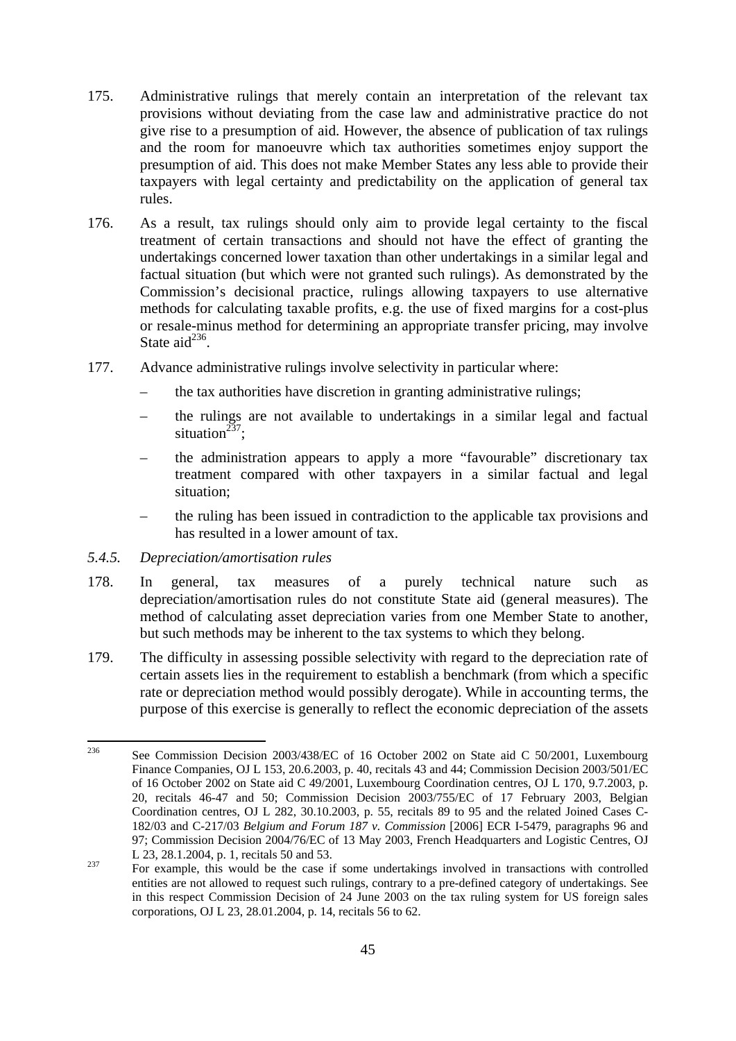- 175. Administrative rulings that merely contain an interpretation of the relevant tax provisions without deviating from the case law and administrative practice do not give rise to a presumption of aid. However, the absence of publication of tax rulings and the room for manoeuvre which tax authorities sometimes enjoy support the presumption of aid. This does not make Member States any less able to provide their taxpayers with legal certainty and predictability on the application of general tax rules.
- 176. As a result, tax rulings should only aim to provide legal certainty to the fiscal treatment of certain transactions and should not have the effect of granting the undertakings concerned lower taxation than other undertakings in a similar legal and factual situation (but which were not granted such rulings). As demonstrated by the Commission's decisional practice, rulings allowing taxpayers to use alternative methods for calculating taxable profits, e.g. the use of fixed margins for a cost-plus or resale-minus method for determining an appropriate transfer pricing, may involve State aid $^{236}$ .
- 177. Advance administrative rulings involve selectivity in particular where:
	- the tax authorities have discretion in granting administrative rulings;
	- the rulings are not available to undertakings in a similar legal and factual situation<sup> $237$ </sup>:
	- the administration appears to apply a more "favourable" discretionary tax treatment compared with other taxpayers in a similar factual and legal situation;
	- the ruling has been issued in contradiction to the applicable tax provisions and has resulted in a lower amount of tax.

#### <span id="page-44-0"></span>*5.4.5. Depreciation/amortisation rules*

- 178. In general, tax measures of a purely technical nature such as depreciation/amortisation rules do not constitute State aid (general measures). The method of calculating asset depreciation varies from one Member State to another, but such methods may be inherent to the tax systems to which they belong.
- 179. The difficulty in assessing possible selectivity with regard to the depreciation rate of certain assets lies in the requirement to establish a benchmark (from which a specific rate or depreciation method would possibly derogate). While in accounting terms, the purpose of this exercise is generally to reflect the economic depreciation of the assets

<sup>236</sup> See Commission Decision 2003/438/EC of 16 October 2002 on State aid C 50/2001, Luxembourg Finance Companies, OJ L 153, 20.6.2003, p. 40, recitals 43 and 44; Commission Decision 2003/501/EC of 16 October 2002 on State aid C 49/2001, Luxembourg Coordination centres, OJ L 170, 9.7.2003, p. 20, recitals 46-47 and 50; Commission Decision 2003/755/EC of 17 February 2003, Belgian Coordination centres, OJ L 282, 30.10.2003, p. 55, recitals 89 to 95 and the related Joined Cases C-182/03 and C-217/03 *Belgium and Forum 187 v. Commission* [2006] ECR I-5479, paragraphs 96 and 97; Commission Decision 2004/76/EC of 13 May 2003, French Headquarters and Logistic Centres, OJ L 23, 28.1.2004, p. 1, recitals 50 and 53.

<sup>&</sup>lt;sup>237</sup> For example, this would be the case if some undertakings involved in transactions with controlled entities are not allowed to request such rulings, contrary to a pre-defined category of undertakings. See in this respect Commission Decision of 24 June 2003 on the tax ruling system for US foreign sales corporations, OJ L 23, 28.01.2004, p. 14, recitals 56 to 62.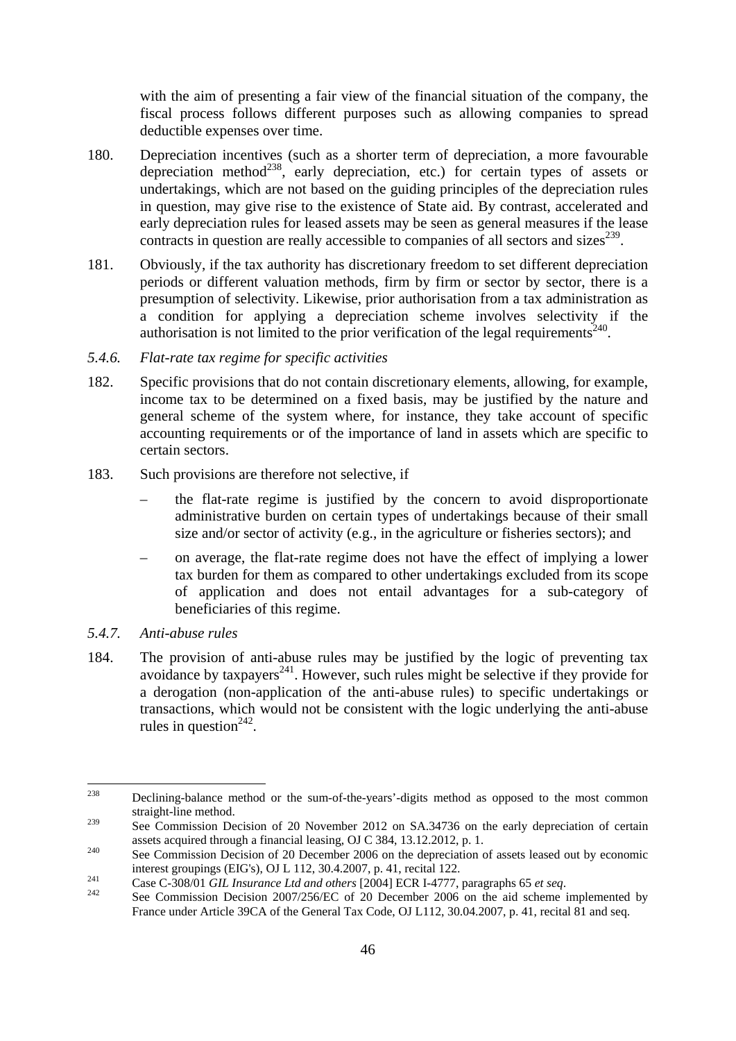with the aim of presenting a fair view of the financial situation of the company, the fiscal process follows different purposes such as allowing companies to spread deductible expenses over time.

- 180. Depreciation incentives (such as a shorter term of depreciation, a more favourable depreciation method<sup>238</sup>, early depreciation, etc.) for certain types of assets or undertakings, which are not based on the guiding principles of the depreciation rules in question, may give rise to the existence of State aid. By contrast, accelerated and early depreciation rules for leased assets may be seen as general measures if the lease contracts in question are really accessible to companies of all sectors and sizes<sup> $239$ </sup>.
- 181. Obviously, if the tax authority has discretionary freedom to set different depreciation periods or different valuation methods, firm by firm or sector by sector, there is a presumption of selectivity. Likewise, prior authorisation from a tax administration as a condition for applying a depreciation scheme involves selectivity if the authorisation is not limited to the prior verification of the legal requirements<sup>240</sup>.
- <span id="page-45-0"></span>*5.4.6. Flat-rate tax regime for specific activities*
- 182. Specific provisions that do not contain discretionary elements, allowing, for example, income tax to be determined on a fixed basis, may be justified by the nature and general scheme of the system where, for instance, they take account of specific accounting requirements or of the importance of land in assets which are specific to certain sectors.
- 183. Such provisions are therefore not selective, if
	- the flat-rate regime is justified by the concern to avoid disproportionate administrative burden on certain types of undertakings because of their small size and/or sector of activity (e.g., in the agriculture or fisheries sectors); and
	- on average, the flat-rate regime does not have the effect of implying a lower tax burden for them as compared to other undertakings excluded from its scope of application and does not entail advantages for a sub-category of beneficiaries of this regime.
- <span id="page-45-1"></span>*5.4.7. Anti-abuse rules*
- 184. The provision of anti-abuse rules may be justified by the logic of preventing tax  $\frac{1}{2}$  avoidance by taxpayers<sup>241</sup>. However, such rules might be selective if they provide for a derogation (non-application of the anti-abuse rules) to specific undertakings or transactions, which would not be consistent with the logic underlying the anti-abuse rules in question<sup> $242$ </sup>.

<sup>238</sup> 238 Declining-balance method or the sum-of-the-years'-digits method as opposed to the most common straight-line method.

<sup>&</sup>lt;sup>239</sup> See Commission Decision of 20 November 2012 on SA.34736 on the early depreciation of certain assets acquired through a financial leasing, OJ C 384, 13.12.2012, p. 1.<br><sup>240</sup> See Commission Decision of 20 December 2006 on the depreciation of assets leased out by economic

interest groupings (EIG's), OJ L 112, 30.4.2007, p. 41, recital 122.<br>
Case C-308/01 *GIL Insurance Ltd and others* [2004] ECR I-4777, paragraphs 65 *et seq.*<br>
See Commission Decision 2007/256/EC of 20 December 2006 on the

France under Article 39CA of the General Tax Code, OJ L112, 30.04.2007, p. 41, recital 81 and seq.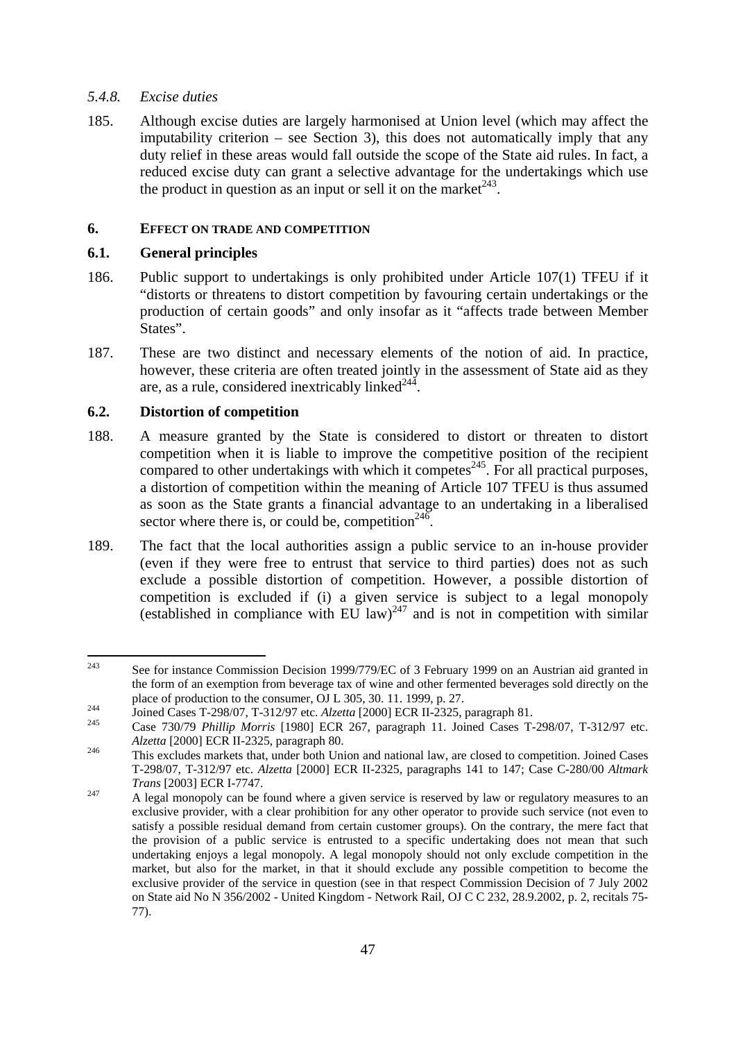#### <span id="page-46-0"></span>*5.4.8. Excise duties*

185. Although excise duties are largely harmonised at Union level (which may affect the imputability criterion – see Section 3), this does not automatically imply that any duty relief in these areas would fall outside the scope of the State aid rules. In fact, a reduced excise duty can grant a selective advantage for the undertakings which use the product in question as an input or sell it on the market<sup> $243$ </sup>.

#### <span id="page-46-2"></span><span id="page-46-1"></span>**6. EFFECT ON TRADE AND COMPETITION**

#### **6.1. General principles**

- 186. Public support to undertakings is only prohibited under Article 107(1) TFEU if it "distorts or threatens to distort competition by favouring certain undertakings or the production of certain goods" and only insofar as it "affects trade between Member States".
- 187. These are two distinct and necessary elements of the notion of aid. In practice, however, these criteria are often treated jointly in the assessment of State aid as they are, as a rule, considered inextricably linked $^{244}$ .

# <span id="page-46-3"></span>**6.2. Distortion of competition**

- 188. A measure granted by the State is considered to distort or threaten to distort competition when it is liable to improve the competitive position of the recipient  $\frac{1}{2}$  compared to other undertakings with which it competes<sup>245</sup>. For all practical purposes, a distortion of competition within the meaning of Article 107 TFEU is thus assumed as soon as the State grants a financial advantage to an undertaking in a liberalised sector where there is, or could be, competition<sup>246</sup>.
- 189. The fact that the local authorities assign a public service to an in-house provider (even if they were free to entrust that service to third parties) does not as such exclude a possible distortion of competition. However, a possible distortion of competition is excluded if (i) a given service is subject to a legal monopoly (established in compliance with  $EU$  law)<sup>247</sup> and is not in competition with similar

<sup>243</sup> See for instance Commission Decision 1999/779/EC of 3 February 1999 on an Austrian aid granted in the form of an exemption from beverage tax of wine and other fermented beverages sold directly on the place of production to the consumer, OJ L 305, 30. 11. 1999, p. 27.<br>
Joined Cases T-298/07, T-312/97 etc. *Alzetta* [2000] ECR II-2325, paragraph 81.<br>
Case 730/79 *Phillip Morris* [1980] ECR 267, paragraph 11. Joined Cases

*Alzetta* [2000] ECR II-2325, paragraph 80.<br><sup>246</sup> This excludes markets that, under both Union and national law, are closed to competition. Joined Cases T-298/07, T-312/97 etc. *Alzetta* [2000] ECR II-2325, paragraphs 141 to 147; Case C-280/00 *Altmark Trans* [2003] ECR I-7747.<br><sup>247</sup> A legal monopoly can be found where a given service is reserved by law or regulatory measures to an

exclusive provider, with a clear prohibition for any other operator to provide such service (not even to satisfy a possible residual demand from certain customer groups). On the contrary, the mere fact that the provision of a public service is entrusted to a specific undertaking does not mean that such undertaking enjoys a legal monopoly. A legal monopoly should not only exclude competition in the market, but also for the market, in that it should exclude any possible competition to become the exclusive provider of the service in question (see in that respect Commission Decision of 7 July 2002 on State aid No N 356/2002 - United Kingdom - Network Rail, OJ C C 232, 28.9.2002, p. 2, recitals 75- 77).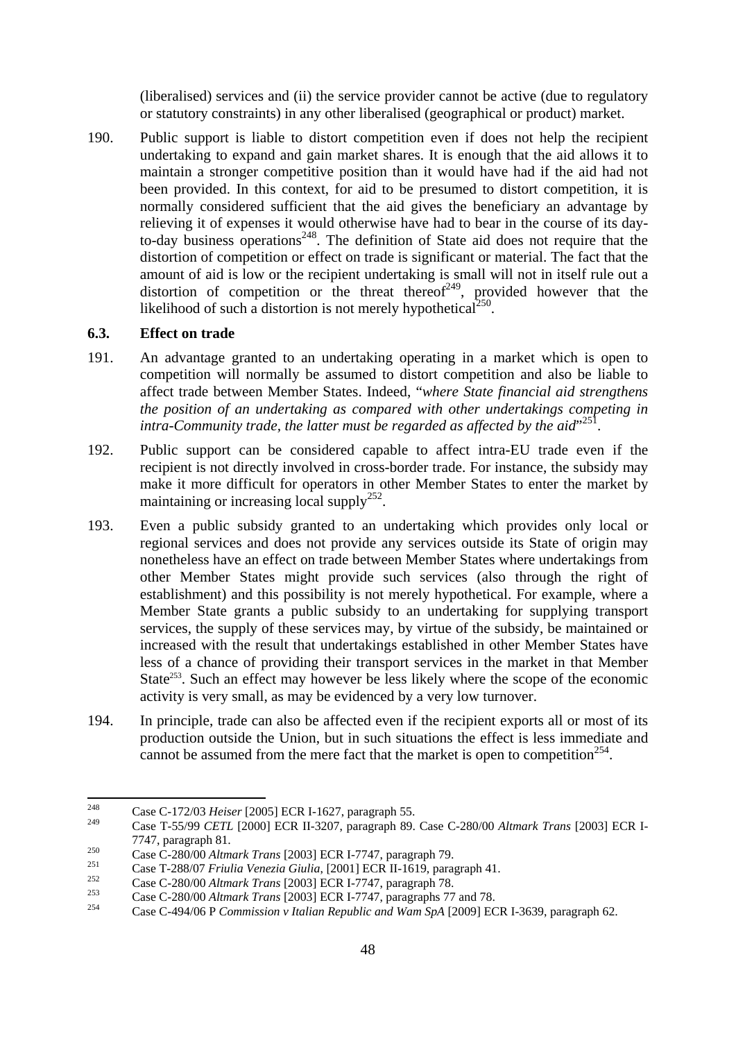(liberalised) services and (ii) the service provider cannot be active (due to regulatory or statutory constraints) in any other liberalised (geographical or product) market.

190. Public support is liable to distort competition even if does not help the recipient undertaking to expand and gain market shares. It is enough that the aid allows it to maintain a stronger competitive position than it would have had if the aid had not been provided. In this context, for aid to be presumed to distort competition, it is normally considered sufficient that the aid gives the beneficiary an advantage by relieving it of expenses it would otherwise have had to bear in the course of its dayto-day business operations<sup>248</sup>. The definition of State aid does not require that the distortion of competition or effect on trade is significant or material. The fact that the amount of aid is low or the recipient undertaking is small will not in itself rule out a distortion of competition or the threat thereof<sup>249</sup>, provided however that the likelihood of such a distortion is not merely hypothetical<sup>250</sup>.

#### <span id="page-47-0"></span>**6.3. Effect on trade**

- 191. An advantage granted to an undertaking operating in a market which is open to competition will normally be assumed to distort competition and also be liable to affect trade between Member States. Indeed, "*where State financial aid strengthens the position of an undertaking as compared with other undertakings competing in*  intra-Community trade, the latter must be regarded as affected by the aid<sup>"251</sup>.
- 192. Public support can be considered capable to affect intra-EU trade even if the recipient is not directly involved in cross-border trade. For instance, the subsidy may make it more difficult for operators in other Member States to enter the market by maintaining or increasing local supply<sup>252</sup>.
- 193. Even a public subsidy granted to an undertaking which provides only local or regional services and does not provide any services outside its State of origin may nonetheless have an effect on trade between Member States where undertakings from other Member States might provide such services (also through the right of establishment) and this possibility is not merely hypothetical. For example, where a Member State grants a public subsidy to an undertaking for supplying transport services, the supply of these services may, by virtue of the subsidy, be maintained or increased with the result that undertakings established in other Member States have less of a chance of providing their transport services in the market in that Member State<sup>253</sup>. Such an effect may however be less likely where the scope of the economic activity is very small, as may be evidenced by a very low turnover.
- 194. In principle, trade can also be affected even if the recipient exports all or most of its production outside the Union, but in such situations the effect is less immediate and cannot be assumed from the mere fact that the market is open to competition<sup>254</sup>.

 $248$ 248 Case C-172/03 *Heiser* [2005] ECR I-1627, paragraph 55.

<sup>249</sup> Case T-55/99 *CETL* [2000] ECR II-3207, paragraph 89. Case C-280/00 *Altmark Trans* [2003] ECR I-7747, paragraph 81.<br>
Case C-280/00 Altmark Trans [2003] ECR I-7747, paragraph 79.<br>
Case T-288/07 Friulia Venezia Giulia, [2001] ECR II-1619, paragraph 41.<br>
Case C-280/00 Altmark Trans [2003] ECR I-7747, paragraph 78.<br>
Cas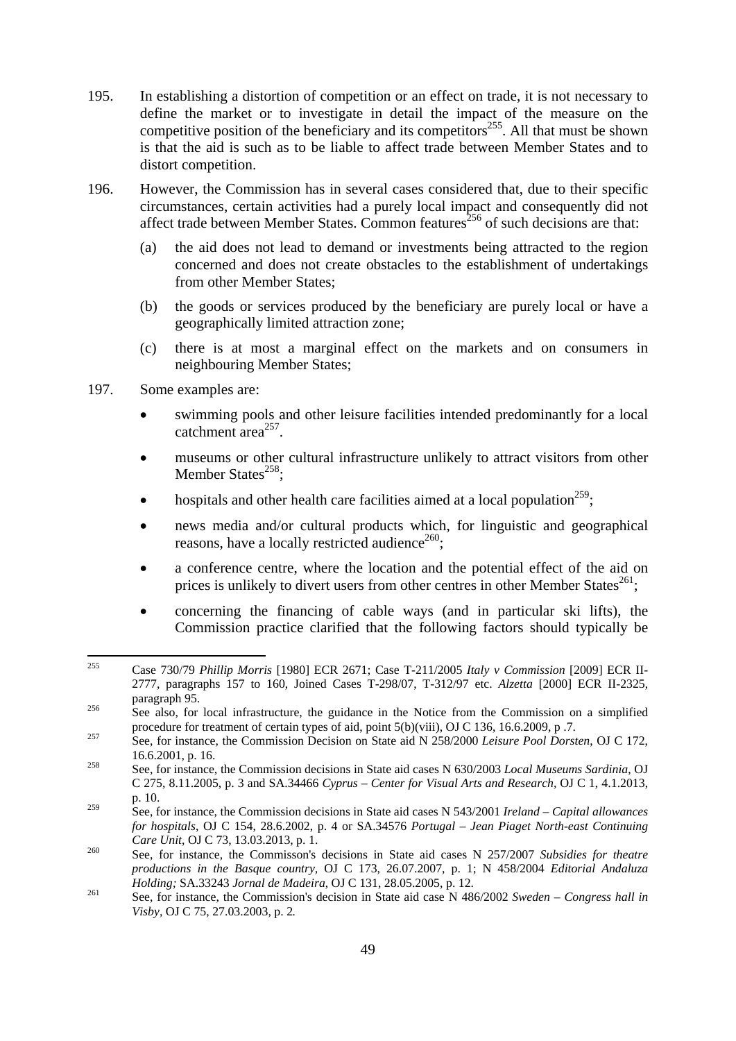- 195. In establishing a distortion of competition or an effect on trade, it is not necessary to define the market or to investigate in detail the impact of the measure on the competitive position of the beneficiary and its competitors<sup>255</sup>. All that must be shown is that the aid is such as to be liable to affect trade between Member States and to distort competition.
- 196. However, the Commission has in several cases considered that, due to their specific circumstances, certain activities had a purely local impact and consequently did not affect trade between Member States. Common features<sup>256</sup> of such decisions are that:
	- (a) the aid does not lead to demand or investments being attracted to the region concerned and does not create obstacles to the establishment of undertakings from other Member States:
	- (b) the goods or services produced by the beneficiary are purely local or have a geographically limited attraction zone;
	- (c) there is at most a marginal effect on the markets and on consumers in neighbouring Member States;
- 197. Some examples are:
	- swimming pools and other leisure facilities intended predominantly for a local catchment  $area^{257}$ .
	- museums or other cultural infrastructure unlikely to attract visitors from other Member States<sup>258</sup>:
	- hospitals and other health care facilities aimed at a local population<sup>259</sup>:
	- news media and/or cultural products which, for linguistic and geographical reasons, have a locally restricted audience<sup>260</sup>;
	- a conference centre, where the location and the potential effect of the aid on prices is unlikely to divert users from other centres in other Member States<sup>261</sup>;
	- concerning the financing of cable ways (and in particular ski lifts), the Commission practice clarified that the following factors should typically be

<sup>255</sup> 255 Case 730/79 *Phillip Morris* [1980] ECR 2671; Case T-211/2005 *Italy v Commission* [2009] ECR II-2777, paragraphs 157 to 160, Joined Cases T-298/07, T-312/97 etc. *Alzetta* [2000] ECR II-2325, paragraph 95.<br><sup>256</sup> See also, for local infrastructure, the guidance in the Notice from the Commission on a simplified

procedure for treatment of certain types of aid, point 5(b)(viii), OJ C 136, 16.6.2009, p .7.<br>See, for instance, the Commission Decision on State aid N 258/2000 *Leisure Pool Dorsten*, OJ C 172,

<sup>16.6.2001,</sup> p. 16. 258 See, for instance, the Commission decisions in State aid cases N 630/2003 *Local Museums Sardinia*, OJ

C 275, 8.11.2005, p. 3 and SA.34466 *Cyprus – Center for Visual Arts and Research,* OJ C 1, 4.1.2013, p. 10.

<sup>259</sup> See, for instance, the Commission decisions in State aid cases N 543/2001 *Ireland – Capital allowances for hospitals*, OJ C 154, 28.6.2002, p. 4 or SA.34576 *Portugal – Jean Piaget North-east Continuing* 

<sup>&</sup>lt;sup>260</sup> See, for instance, the Commisson's decisions in State aid cases N 257/2007 *Subsidies for theatre productions in the Basque country,* OJ C 173, 26.07.2007, p. 1; N 458/2004 *Editorial Andaluza Holding; SA.33243 Jornal de Madeira, OJ C 131, 28.05.2005, p. 12.*<br><sup>261</sup> See, for instance, the Commission's decision in State aid case N 486/2002 *Sweden – Congress hall in* 

*Visby,* OJ C 75, 27.03.2003, p. 2*.*